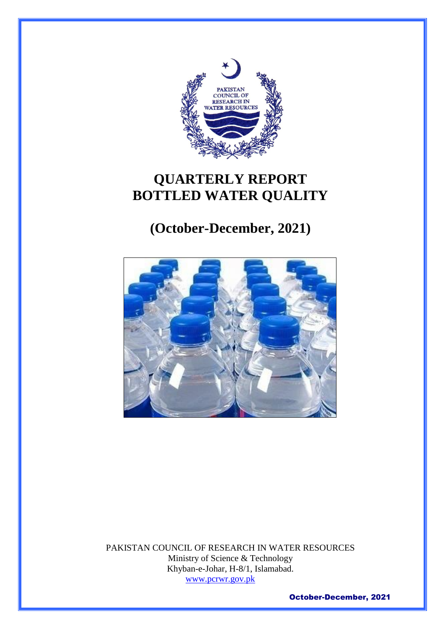

# **QUARTERLY REPORT BOTTLED WATER QUALITY**

# **(October-December, 2021)**



PAKISTAN COUNCIL OF RESEARCH IN WATER RESOURCES Ministry of Science & Technology Khyban-e-Johar, H-8/1, Islamabad. [www.pcrwr.gov.pk](http://www.pcrwr.gov.pk/)

October-December, 2021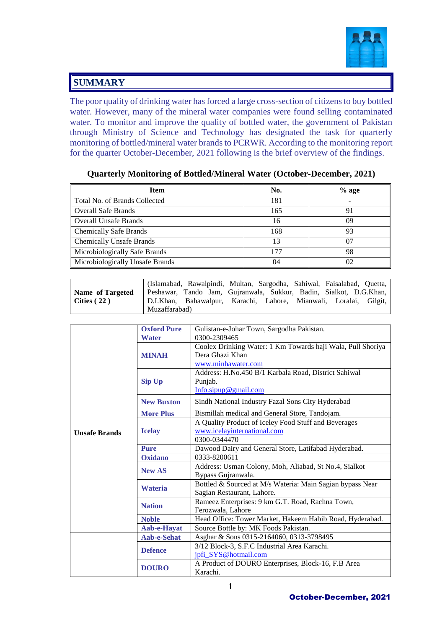

#### **SUMMARY**

The poor quality of drinking water has forced a large cross-section of citizens to buy bottled water. However, many of the mineral water companies were found selling contaminated water. To monitor and improve the quality of bottled water, the government of Pakistan through Ministry of Science and Technology has designated the task for quarterly monitoring of bottled/mineral water brands to PCRWR. According to the monitoring report for the quarter October-December, 2021 following is the brief overview of the findings.

| <b>Item</b>                     | No. | $%$ age |  |
|---------------------------------|-----|---------|--|
| Total No. of Brands Collected   | 181 |         |  |
| Overall Safe Brands             | 165 | 91      |  |
| Overall Unsafe Brands           | 16  | 09      |  |
| <b>Chemically Safe Brands</b>   | 168 | 93      |  |
| <b>Chemically Unsafe Brands</b> | 13  |         |  |
| Microbiologically Safe Brands   | 177 | 98      |  |
| Microbiologically Unsafe Brands | 04  | 02      |  |

#### **Quarterly Monitoring of Bottled/Mineral Water (October-December, 2021)**

|                  |               | (Islamabad, Rawalpindi, Multan, Sargodha, Sahiwal, Faisalabad, Quetta, |  |  |  |
|------------------|---------------|------------------------------------------------------------------------|--|--|--|
| Name of Targeted |               | Peshawar, Tando Jam, Gujranwala, Sukkur, Badin, Sialkot, D.G.Khan,     |  |  |  |
| Cities $(22)$    |               | D.I.Khan, Bahawalpur, Karachi, Lahore, Mianwali, Loralai, Gilgit,      |  |  |  |
|                  | Muzaffarabad) |                                                                        |  |  |  |

|                      | <b>Oxford Pure</b> | Gulistan-e-Johar Town, Sargodha Pakistan.                   |
|----------------------|--------------------|-------------------------------------------------------------|
|                      | <b>Water</b>       | 0300-2309465                                                |
|                      |                    | Coolex Drinking Water: 1 Km Towards haji Wala, Pull Shoriya |
|                      | <b>MINAH</b>       | Dera Ghazi Khan                                             |
|                      |                    | www.minhawater.com                                          |
|                      |                    | Address: H.No.450 B/1 Karbala Road, District Sahiwal        |
|                      | <b>Sip Up</b>      | Punjab.                                                     |
|                      |                    | $Info.\text{sipup@gmail.com}$                               |
|                      | <b>New Buxton</b>  | Sindh National Industry Fazal Sons City Hyderabad           |
|                      | <b>More Plus</b>   | Bismillah medical and General Store, Tandojam.              |
|                      |                    | A Quality Product of Iceley Food Stuff and Beverages        |
| <b>Unsafe Brands</b> | <b>Icelay</b>      | www.icelayinternational.com                                 |
|                      |                    | 0300-0344470                                                |
|                      | <b>Pure</b>        | Dawood Dairy and General Store, Latifabad Hyderabad.        |
|                      | <b>Oxidano</b>     | 0333-8200611                                                |
|                      | <b>New AS</b>      | Address: Usman Colony, Moh, Aliabad, St No.4, Sialkot       |
|                      |                    | Bypass Gujranwala.                                          |
|                      | Wateria            | Bottled & Sourced at M/s Wateria: Main Sagian bypass Near   |
|                      |                    | Sagian Restaurant, Lahore.                                  |
|                      | <b>Nation</b>      | Rameez Enterprises: 9 km G.T. Road, Rachna Town,            |
|                      |                    | Ferozwala, Lahore                                           |
|                      | <b>Noble</b>       | Head Office: Tower Market, Hakeem Habib Road, Hyderabad.    |
|                      | Aab-e-Hayat        | Source Bottle by: MK Foods Pakistan.                        |
|                      | Aab-e-Sehat        | Asghar & Sons 0315-2164060, 0313-3798495                    |
|                      | <b>Defence</b>     | 3/12 Block-3, S.F.C Industrial Area Karachi.                |
|                      |                    | jpfi_SYS@hotmail.com                                        |
|                      | <b>DOURO</b>       | A Product of DOURO Enterprises, Block-16, F.B Area          |
|                      |                    | Karachi.                                                    |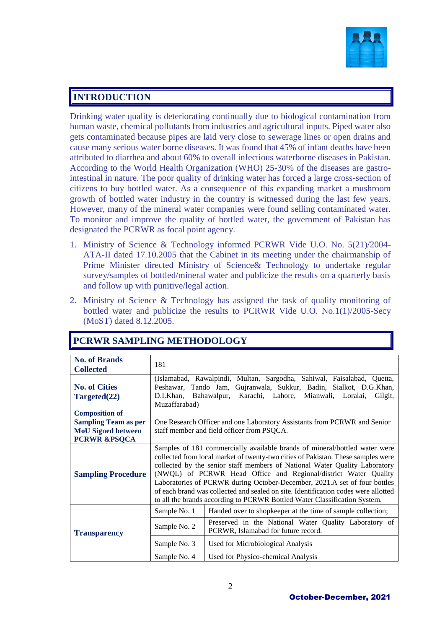

#### **INTRODUCTION**

Drinking water quality is deteriorating continually due to biological contamination from human waste, chemical pollutants from industries and agricultural inputs. Piped water also gets contaminated because pipes are laid very close to sewerage lines or open drains and cause many serious water borne diseases. It was found that 45% of infant deaths have been attributed to diarrhea and about 60% to overall infectious waterborne diseases in Pakistan. According to the World Health Organization (WHO) 25-30% of the diseases are gastrointestinal in nature. The poor quality of drinking water has forced a large cross-section of citizens to buy bottled water. As a consequence of this expanding market a mushroom growth of bottled water industry in the country is witnessed during the last few years. However, many of the mineral water companies were found selling contaminated water. To monitor and improve the quality of bottled water, the government of Pakistan has designated the PCRWR as focal point agency.

- 1. Ministry of Science & Technology informed PCRWR Vide U.O. No. 5(21)/2004- ATA-II dated 17.10.2005 that the Cabinet in its meeting under the chairmanship of Prime Minister directed Ministry of Science& Technology to undertake regular survey/samples of bottled/mineral water and publicize the results on a quarterly basis and follow up with punitive/legal action.
- 2. Ministry of Science & Technology has assigned the task of quality monitoring of bottled water and publicize the results to PCRWR Vide U.O. No.1(1)/2005-Secy (MoST) dated 8.12.2005.

| <b>No. of Brands</b><br><b>Collected</b> | 181                                                                     |                                                                                                                                                                                                                                                                                                                                                                                                                                                                                   |  |  |  |  |  |  |  |
|------------------------------------------|-------------------------------------------------------------------------|-----------------------------------------------------------------------------------------------------------------------------------------------------------------------------------------------------------------------------------------------------------------------------------------------------------------------------------------------------------------------------------------------------------------------------------------------------------------------------------|--|--|--|--|--|--|--|
|                                          | (Islamabad, Rawalpindi, Multan, Sargodha, Sahiwal, Faisalabad, Quetta,  |                                                                                                                                                                                                                                                                                                                                                                                                                                                                                   |  |  |  |  |  |  |  |
| <b>No. of Cities</b>                     | Peshawar, Tando Jam, Gujranwala, Sukkur, Badin, Sialkot, D.G.Khan,      |                                                                                                                                                                                                                                                                                                                                                                                                                                                                                   |  |  |  |  |  |  |  |
|                                          | D.I.Khan, Bahawalpur,<br>Karachi, Lahore, Mianwali, Loralai,<br>Gilgit, |                                                                                                                                                                                                                                                                                                                                                                                                                                                                                   |  |  |  |  |  |  |  |
| Targeted(22)                             |                                                                         |                                                                                                                                                                                                                                                                                                                                                                                                                                                                                   |  |  |  |  |  |  |  |
|                                          | Muzaffarabad)                                                           |                                                                                                                                                                                                                                                                                                                                                                                                                                                                                   |  |  |  |  |  |  |  |
| <b>Composition of</b>                    |                                                                         |                                                                                                                                                                                                                                                                                                                                                                                                                                                                                   |  |  |  |  |  |  |  |
| <b>Sampling Team as per</b>              |                                                                         | One Research Officer and one Laboratory Assistants from PCRWR and Senior                                                                                                                                                                                                                                                                                                                                                                                                          |  |  |  |  |  |  |  |
| <b>MoU</b> Signed between                |                                                                         | staff member and field officer from PSQCA.                                                                                                                                                                                                                                                                                                                                                                                                                                        |  |  |  |  |  |  |  |
| <b>PCRWR &amp;PSQCA</b>                  |                                                                         |                                                                                                                                                                                                                                                                                                                                                                                                                                                                                   |  |  |  |  |  |  |  |
|                                          |                                                                         | Samples of 181 commercially available brands of mineral/bottled water were                                                                                                                                                                                                                                                                                                                                                                                                        |  |  |  |  |  |  |  |
| <b>Sampling Procedure</b>                |                                                                         | collected from local market of twenty-two cities of Pakistan. These samples were<br>collected by the senior staff members of National Water Quality Laboratory<br>(NWQL) of PCRWR Head Office and Regional/district Water Quality<br>Laboratories of PCRWR during October-December, 2021.A set of four bottles<br>of each brand was collected and sealed on site. Identification codes were allotted<br>to all the brands according to PCRWR Bottled Water Classification System. |  |  |  |  |  |  |  |
|                                          | Sample No. 1                                                            | Handed over to shopkeeper at the time of sample collection;                                                                                                                                                                                                                                                                                                                                                                                                                       |  |  |  |  |  |  |  |
| <b>Transparency</b>                      | Sample No. 2                                                            | Preserved in the National Water Quality Laboratory of<br>PCRWR, Islamabad for future record.                                                                                                                                                                                                                                                                                                                                                                                      |  |  |  |  |  |  |  |
|                                          | Sample No. 3                                                            | Used for Microbiological Analysis                                                                                                                                                                                                                                                                                                                                                                                                                                                 |  |  |  |  |  |  |  |
|                                          | Sample No. 4                                                            | Used for Physico-chemical Analysis                                                                                                                                                                                                                                                                                                                                                                                                                                                |  |  |  |  |  |  |  |

### **PCRWR SAMPLING METHODOLOGY**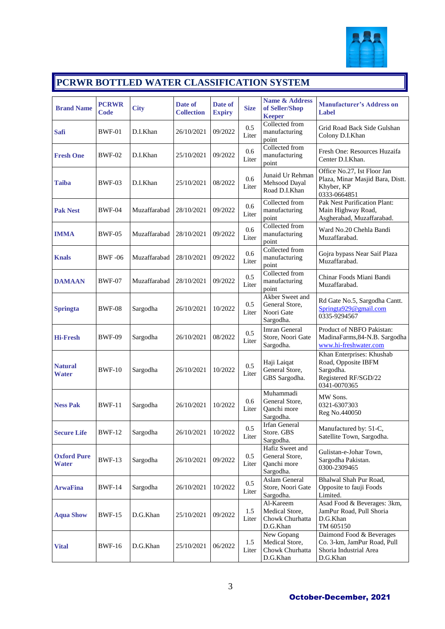

### **PCRWR BOTTLED WATER CLASSIFICATION SYSTEM**

| <b>Brand Name</b>                  | <b>PCRWR</b><br>Code | <b>City</b>  | Date of<br><b>Collection</b> | Date of<br><b>Expiry</b> | <b>Size</b>      | <b>Name &amp; Address</b><br>of Seller/Shop<br><b>Keeper</b>  | <b>Manufacturer's Address on</b><br>Label                                                             |
|------------------------------------|----------------------|--------------|------------------------------|--------------------------|------------------|---------------------------------------------------------------|-------------------------------------------------------------------------------------------------------|
| <b>Safi</b>                        | <b>BWF-01</b>        | D.I.Khan     | 26/10/2021                   | 09/2022                  | 0.5<br>Liter     | Collected from<br>manufacturing<br>point                      | Grid Road Back Side Gulshan<br>Colony D.I.Khan                                                        |
| <b>Fresh One</b>                   | <b>BWF-02</b>        | D.I.Khan     | 25/10/2021                   | 09/2022                  | 0.6<br>Liter     | Collected from<br>manufacturing<br>point                      | Fresh One: Resources Huzaifa<br>Center D.I.Khan.                                                      |
| <b>Taiba</b>                       | BWF-03               | D.I.Khan     | 25/10/2021                   | 08/2022                  | 0.6<br>Liter     | Junaid Ur Rehman<br>Mehsood Dayal<br>Road D.I.Khan            | Office No.27, Ist Floor Jan<br>Plaza, Minar Masjid Bara, Distt.<br>Khyber, KP<br>0333-0664851         |
| <b>Pak Nest</b>                    | <b>BWF-04</b>        | Muzaffarabad | 28/10/2021                   | 09/2022                  | 0.6<br>Liter     | Collected from<br>manufacturing<br>point                      | <b>Pak Nest Purification Plant:</b><br>Main Highway Road,<br>Asgherabad, Muzaffarabad.                |
| <b>IMMA</b>                        | BWF-05               | Muzaffarabad | 28/10/2021                   | 09/2022                  | 0.6<br>Liter     | Collected from<br>manufacturing<br>point                      | Ward No.20 Chehla Bandi<br>Muzaffarabad.                                                              |
| <b>Knals</b>                       | <b>BWF-06</b>        | Muzaffarabad | 28/10/2021                   | 09/2022                  | 0.6<br>Liter     | Collected from<br>manufacturing<br>point                      | Gojra bypass Near Saif Plaza<br>Muzaffarabad.                                                         |
| <b>DAMAAN</b>                      | <b>BWF-07</b>        | Muzaffarabad | 28/10/2021                   | 09/2022                  | 0.5<br>Liter     | Collected from<br>manufacturing<br>point                      | Chinar Foods Miani Bandi<br>Muzaffarabad.                                                             |
| <b>Springta</b>                    | <b>BWF-08</b>        | Sargodha     | 26/10/2021                   | 10/2022                  | 0.5<br>Liter     | Akber Sweet and<br>General Store,<br>Noori Gate<br>Sargodha.  | Rd Gate No.5, Sargodha Cantt.<br>Springta929@gmail.com<br>0335-9294567                                |
| <b>Hi-Fresh</b>                    | <b>BWF-09</b>        | Sargodha     | 26/10/2021                   | 08/2022                  | 0.5<br>Liter     | Imran General<br>Store, Noori Gate<br>Sargodha.               | Product of NBFO Pakistan:<br>MadinaFarms, 84-N.B. Sargodha<br>www.hi-freshwater.com                   |
| <b>Natural</b><br>Water            | <b>BWF-10</b>        | Sargodha     | 26/10/2021                   | 10/2022                  | 0.5<br>Liter     | Haji Laiqat<br>General Store,<br>GBS Sargodha.                | Khan Enterprises: Khushab<br>Road, Opposite IBFM<br>Sargodha.<br>Registered RF/SGD/22<br>0341-0070365 |
| <b>Ness Pak</b>                    | <b>BWF-11</b>        | Sargodha     | 26/10/2021                   | 10/2022                  | 0.6<br>Liter     | Muhammadi<br>General Store,<br>Qanchi more<br>Sargodha.       | MW Sons.<br>0321-6307303<br>Reg No.440050                                                             |
| <b>Secure Life</b>                 | <b>BWF-12</b>        | Sargodha     | 26/10/2021                   | 10/2022                  | $0.5\,$<br>Liter | Irfan General<br>Store. GBS<br>Sargodha.                      | Manufactured by: 51-C,<br>Satellite Town, Sargodha.                                                   |
| <b>Oxford Pure</b><br><b>Water</b> | <b>BWF-13</b>        | Sargodha     | 26/10/2021                   | 09/2022                  | 0.5<br>Liter     | Hafiz Sweet and<br>General Store,<br>Qanchi more<br>Sargodha. | Gulistan-e-Johar Town,<br>Sargodha Pakistan.<br>0300-2309465                                          |
| <b>ArwaFina</b>                    | <b>BWF-14</b>        | Sargodha     | 26/10/2021                   | 10/2022                  | 0.5<br>Liter     | <b>Aslam General</b><br>Store, Noori Gate<br>Sargodha.        | Bhalwal Shah Pur Road,<br>Opposite to fauji Foods<br>Limited.                                         |
| <b>Aqua Show</b>                   | <b>BWF-15</b>        | D.G.Khan     | 25/10/2021                   | 09/2022                  | 1.5<br>Liter     | Al-Kareem<br>Medical Store,<br>Chowk Churhatta<br>D.G.Khan    | Asad Food & Beverages: 3km,<br>JamPur Road, Pull Shoria<br>D.G.Khan<br>TM 605150                      |
| <b>Vital</b>                       | <b>BWF-16</b>        | D.G.Khan     | 25/10/2021                   | 06/2022                  | 1.5<br>Liter     | New Gopang<br>Medical Store,<br>Chowk Churhatta<br>D.G.Khan   | Daimond Food & Beverages<br>Co. 3-km, JamPur Road, Pull<br>Shoria Industrial Area<br>D.G.Khan         |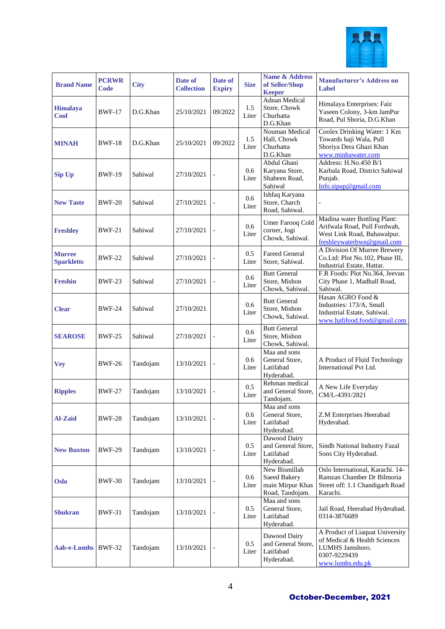

| <b>Brand Name</b>                  | <b>PCRWR</b><br>Code | <b>City</b> | Date of<br><b>Collection</b> | Date of<br><b>Expiry</b> | <b>Size</b>  | <b>Name &amp; Address</b><br>of Seller/Shop<br><b>Keeper</b>                | <b>Manufacturer's Address on</b><br>Label                                                                                 |
|------------------------------------|----------------------|-------------|------------------------------|--------------------------|--------------|-----------------------------------------------------------------------------|---------------------------------------------------------------------------------------------------------------------------|
| Himalaya<br><b>Cool</b>            | <b>BWF-17</b>        | D.G.Khan    | 25/10/2021                   | 09/2022                  | 1.5<br>Liter | Adnan Medical<br>Store, Chowk<br>Churhatta<br>D.G.Khan                      | Himalaya Enterprises: Faiz<br>Yaseen Colony, 3-km JamPur<br>Road, Pul Shoria, D.G.Khan                                    |
| <b>MINAH</b>                       | <b>BWF-18</b>        | D.G.Khan    | 25/10/2021                   | 09/2022                  | 1.5<br>Liter | Nouman Medical<br>Hall, Chowk<br>Churhatta<br>D.G.Khan                      | Coolex Drinking Water: 1 Km<br>Towards haji Wala, Pull<br>Shoriya Dera Ghazi Khan<br>www.minhawater.com                   |
| Sip Up                             | <b>BWF-19</b>        | Sahiwal     | 27/10/2021                   |                          | 0.6<br>Liter | Abdul Ghani<br>Karyana Store,<br>Shaheen Road,<br>Sahiwal                   | Address: H.No.450 B/1<br>Karbala Road, District Sahiwal<br>Punjab.<br>Info.sipup@gmail.com                                |
| <b>New Taste</b>                   | <b>BWF-20</b>        | Sahiwal     | 27/10/2021                   |                          | 0.6<br>Liter | Ishfaq Karyana<br>Store, Charch<br>Road, Sahiwal.                           |                                                                                                                           |
| <b>Freshley</b>                    | <b>BWF-21</b>        | Sahiwal     | 27/10/2021                   |                          | 0.6<br>Liter | <b>Umer Farooq Cold</b><br>corner, Jogi<br>Chowk, Sahiwal.                  | Madina water Bottling Plant:<br>Arifwala Road, Pull Fordwah,<br>West Link Road, Bahawalpur.<br>freshleywaterbwn@gmail.com |
| <b>Murree</b><br><b>Sparkletts</b> | <b>BWF-22</b>        | Sahiwal     | 27/10/2021                   |                          | 0.5<br>Liter | <b>Fareed General</b><br>Store, Sahiwal.                                    | A Division Of Murree Brewery<br>Co.Ltd: Plot No.102, Phase III,<br>Industrial Estate, Hattar.                             |
| <b>Freshin</b>                     | <b>BWF-23</b>        | Sahiwal     | 27/10/2021                   |                          | 0.6<br>Liter | <b>Butt General</b><br>Store, Mishon<br>Chowk, Sahiwal.                     | F.R Foods: Plot No.364, Jeevan<br>City Phase 1, Madhall Road,<br>Sahiwal.                                                 |
| <b>Clear</b>                       | <b>BWF-24</b>        | Sahiwal     | 27/10/2021                   |                          | 0.6<br>Liter | <b>Butt General</b><br>Store, Mishon<br>Chowk, Sahiwal.                     | Hasan AGRO Food &<br>Industries: 173/A, Small<br>Industrial Estate, Sahiwal.<br>www.hafifood.food@gmail.com               |
| <b>SEAROSE</b>                     | <b>BWF-25</b>        | Sahiwal     | 27/10/2021                   |                          | 0.6<br>Liter | <b>Butt General</b><br>Store, Mishon<br>Chowk, Sahiwal.                     |                                                                                                                           |
| <b>Vey</b>                         | <b>BWF-26</b>        | Tandojam    | 13/10/2021                   |                          | 0.6<br>Liter | Maa and sons<br>General Store,<br>Latifabad<br>Hyderabad.                   | A Product of Fluid Technology<br>International Pvt Ltd.                                                                   |
| <b>Ripples</b>                     | <b>BWF-27</b>        | Tandojam    | 13/10/2021                   |                          | 0.5<br>Liter | Rehman medical<br>and General Store,<br>Tandojam.                           | A New Life Everyday<br>CM/L-4391/2821                                                                                     |
| <b>Al-Zaid</b>                     | <b>BWF-28</b>        | Tandojam    | 13/10/2021                   |                          | 0.6<br>Liter | Maa and sons<br>General Store,<br>Latifabad<br>Hyderabad.                   | Z.M Enterprises Heerabad<br>Hyderabad.                                                                                    |
| <b>New Buxton</b>                  | <b>BWF-29</b>        | Tandojam    | 13/10/2021                   |                          | 0.5<br>Liter | Dawood Dairy<br>and General Store,<br>Latifabad<br>Hyderabad.               | Sindh National Industry Fazal<br>Sons City Hyderabad.                                                                     |
| <b>Oslo</b>                        | <b>BWF-30</b>        | Tandojam    | 13/10/2021                   |                          | 0.6<br>Liter | New Bismillah<br><b>Saeed Bakery</b><br>main Mirpur Khas<br>Road, Tandojam. | Oslo International, Karachi. 14-<br>Ramzan Chamber Dr Bilmoria<br>Street off: 1.1 Chandigarh Road<br>Karachi.             |
| <b>Shukran</b>                     | BWF-31               | Tandojam    | 13/10/2021                   |                          | 0.5<br>Liter | Maa and sons<br>General Store,<br>Latifabad<br>Hyderabad.                   | Jail Road, Heerabad Hyderabad.<br>0314-3876689                                                                            |
| Aab-e-Lumhs BWF-32                 |                      | Tandojam    | 13/10/2021                   |                          | 0.5<br>Liter | Dawood Dairy<br>and General Store,<br>Latifabad<br>Hyderabad.               | A Product of Liaquat University<br>of Medical & Health Sciences<br>LUMHS Jamshoro.<br>0307-9229439<br>www.lumhs.edu.pk    |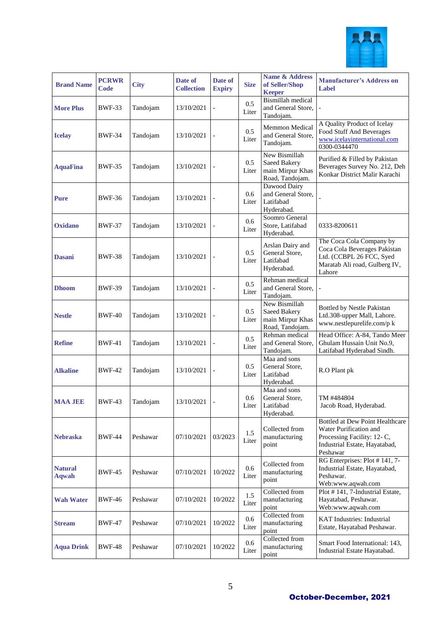

| <b>Brand Name</b>              | <b>PCRWR</b><br>Code | <b>City</b> | Date of<br><b>Collection</b> | Date of<br><b>Expiry</b> | <b>Size</b>  | Name & Address<br>of Seller/Shop<br><b>Keeper</b>                    | <b>Manufacturer's Address on</b><br>Label                                                                                                   |
|--------------------------------|----------------------|-------------|------------------------------|--------------------------|--------------|----------------------------------------------------------------------|---------------------------------------------------------------------------------------------------------------------------------------------|
| <b>More Plus</b>               | <b>BWF-33</b>        | Tandojam    | 13/10/2021                   |                          | 0.5<br>Liter | <b>Bismillah</b> medical<br>and General Store,<br>Tandojam.          |                                                                                                                                             |
| <b>Icelay</b>                  | <b>BWF-34</b>        | Tandojam    | 13/10/2021                   |                          | 0.5<br>Liter | <b>Memmon Medical</b><br>and General Store,<br>Tandojam.             | A Quality Product of Icelay<br>Food Stuff And Beverages<br>www.icelayinternational.com<br>0300-0344470                                      |
| <b>AquaFina</b>                | <b>BWF-35</b>        | Tandojam    | 13/10/2021                   |                          | 0.5<br>Liter | New Bismillah<br>Saeed Bakery<br>main Mirpur Khas<br>Road, Tandojam. | Purified & Filled by Pakistan<br>Beverages Survey No. 212, Deh<br>Konkar District Malir Karachi                                             |
| <b>Pure</b>                    | <b>BWF-36</b>        | Tandojam    | 13/10/2021                   |                          | 0.6<br>Liter | Dawood Dairy<br>and General Store,<br>Latifabad<br>Hyderabad.        |                                                                                                                                             |
| <b>Oxidano</b>                 | <b>BWF-37</b>        | Tandojam    | 13/10/2021                   |                          | 0.6<br>Liter | Soomro General<br>Store, Latifabad<br>Hyderabad.                     | 0333-8200611                                                                                                                                |
| <b>Dasani</b>                  | <b>BWF-38</b>        | Tandojam    | 13/10/2021                   |                          | 0.5<br>Liter | Arslan Dairy and<br>General Store,<br>Latifabad<br>Hyderabad.        | The Coca Cola Company by<br>Coca Cola Beverages Pakistan<br>Ltd. (CCBPL 26 FCC, Syed<br>Maratab Ali road, Gulberg IV,<br>Lahore             |
| <b>Dhoom</b>                   | <b>BWF-39</b>        | Tandojam    | 13/10/2021                   |                          | 0.5<br>Liter | Rehman medical<br>and General Store,<br>Tandojam.                    |                                                                                                                                             |
| <b>Nestle</b>                  | <b>BWF-40</b>        | Tandojam    | 13/10/2021                   |                          | 0.5<br>Liter | New Bismillah<br>Saeed Bakery<br>main Mirpur Khas<br>Road, Tandojam. | Bottled by Nestle Pakistan<br>Ltd.308-upper Mall, Lahore.<br>www.nestlepurelife.com/p k                                                     |
| <b>Refine</b>                  | <b>BWF-41</b>        | Tandojam    | 13/10/2021                   |                          | 0.5<br>Liter | Rehman medical<br>and General Store,<br>Tandojam.                    | Head Office: A-84, Tando Meer<br>Ghulam Hussain Unit No.9,<br>Latifabad Hyderabad Sindh.                                                    |
| <b>Alkaline</b>                | <b>BWF-42</b>        | Tandojam    | 13/10/2021                   |                          | 0.5<br>Liter | Maa and sons<br>General Store,<br>Latifabad<br>Hyderabad.            | R.O Plant pk                                                                                                                                |
| <b>MAA JEE</b>                 | <b>BWF-43</b>        | Tandojam    | 13/10/2021                   |                          | 0.6<br>Liter | Maa and sons<br>General Store,<br>Latifabad<br>Hyderabad.            | TM #484804<br>Jacob Road, Hyderabad.                                                                                                        |
| <b>Nebraska</b>                | <b>BWF-44</b>        | Peshawar    | 07/10/2021                   | 03/2023                  | 1.5<br>Liter | Collected from<br>manufacturing<br>point                             | <b>Bottled at Dew Point Healthcare</b><br>Water Purification and<br>Processing Facility: 12-C,<br>Industrial Estate, Hayatabad,<br>Peshawar |
| <b>Natural</b><br><b>Aqwah</b> | <b>BWF-45</b>        | Peshawar    | 07/10/2021                   | 10/2022                  | 0.6<br>Liter | Collected from<br>manufacturing<br>point                             | RG Enterprises: Plot #141, 7-<br>Industrial Estate, Hayatabad,<br>Peshawar.<br>Web:www.aqwah.com                                            |
| <b>Wah Water</b>               | <b>BWF-46</b>        | Peshawar    | 07/10/2021                   | 10/2022                  | 1.5<br>Liter | Collected from<br>manufacturing<br>point                             | Plot #141, 7-Industrial Estate,<br>Hayatabad, Peshawar.<br>Web:www.aqwah.com                                                                |
| <b>Stream</b>                  | <b>BWF-47</b>        | Peshawar    | 07/10/2021                   | 10/2022                  | 0.6<br>Liter | Collected from<br>manufacturing<br>point                             | <b>KAT</b> Industries: Industrial<br>Estate, Hayatabad Peshawar.                                                                            |
| <b>Aqua Drink</b>              | <b>BWF-48</b>        | Peshawar    | 07/10/2021                   | 10/2022                  | 0.6<br>Liter | Collected from<br>manufacturing<br>point                             | Smart Food International: 143,<br>Industrial Estate Hayatabad.                                                                              |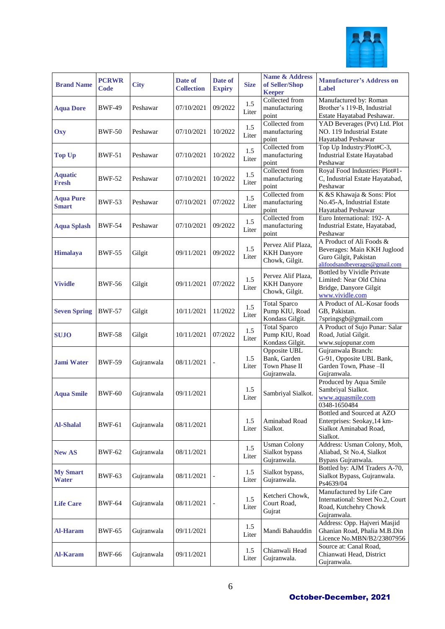

| <b>Brand Name</b>                | <b>PCRWR</b><br>Code | <b>City</b> | Date of<br><b>Collection</b> | Date of<br><b>Expiry</b> | <b>Size</b>  | <b>Name &amp; Address</b><br>of Seller/Shop<br><b>Keeper</b> | <b>Manufacturer's Address on</b><br>Label                                                                          |
|----------------------------------|----------------------|-------------|------------------------------|--------------------------|--------------|--------------------------------------------------------------|--------------------------------------------------------------------------------------------------------------------|
| <b>Aqua Dore</b>                 | <b>BWF-49</b>        | Peshawar    | 07/10/2021                   | 09/2022                  | 1.5<br>Liter | Collected from<br>manufacturing<br>point                     | Manufactured by: Roman<br>Brother's 119-B, Industrial<br>Estate Hayatabad Peshawar.                                |
| Oxy                              | <b>BWF-50</b>        | Peshawar    | 07/10/2021                   | 10/2022                  | 1.5<br>Liter | Collected from<br>manufacturing<br>point                     | YAD Beverages (Pvt) Ltd. Plot<br>NO. 119 Industrial Estate<br>Hayatabad Peshawar                                   |
| <b>Top Up</b>                    | <b>BWF-51</b>        | Peshawar    | 07/10/2021                   | 10/2022                  | 1.5<br>Liter | Collected from<br>manufacturing<br>point                     | Top Up Industry:Plot#C-3,<br><b>Industrial Estate Hayatabad</b><br>Peshawar                                        |
| <b>Aquatic</b><br><b>Fresh</b>   | <b>BWF-52</b>        | Peshawar    | 07/10/2021                   | 10/2022                  | 1.5<br>Liter | Collected from<br>manufacturing<br>point                     | Royal Food Industries: Plot#1-<br>C, Industrial Estate Hayatabad,<br>Peshawar                                      |
| <b>Aqua Pure</b><br><b>Smart</b> | <b>BWF-53</b>        | Peshawar    | 07/10/2021                   | 07/2022                  | 1.5<br>Liter | Collected from<br>manufacturing<br>point                     | K &S Khawaja & Sons: Plot<br>No.45-A, Industrial Estate<br>Hayatabad Peshawar                                      |
| <b>Aqua Splash</b>               | <b>BWF-54</b>        | Peshawar    | 07/10/2021                   | 09/2022                  | 1.5<br>Liter | Collected from<br>manufacturing<br>point                     | Euro International: 192- A<br>Industrial Estate, Hayatabad,<br>Peshawar                                            |
| <b>Himalaya</b>                  | <b>BWF-55</b>        | Gilgit      | 09/11/2021                   | 09/2022                  | 1.5<br>Liter | Pervez Alif Plaza,<br><b>KKH</b> Danyore<br>Chowk, Gilgit.   | A Product of Ali Foods &<br>Beverages: Main KKH Juglood<br>Guro Gilgit, Pakistan<br>alifoodsandbeverages@gmail.com |
| <b>Vividle</b>                   | <b>BWF-56</b>        | Gilgit      | 09/11/2021                   | 07/2022                  | 1.5<br>Liter | Pervez Alif Plaza,<br><b>KKH</b> Danyore<br>Chowk, Gilgit.   | Bottled by Vividle Private<br>Limited: Near Old China<br>Bridge, Danyore Gilgit<br>www.vividle.com                 |
| <b>Seven Spring</b>              | <b>BWF-57</b>        | Gilgit      | 10/11/2021                   | 11/2022                  | 1.5<br>Liter | <b>Total Sparco</b><br>Pump KIU, Road<br>Kondass Gilgit.     | A Product of AL-Kosar foods<br>GB, Pakistan.<br>7springsgb@gmail.com                                               |
| <b>SUJO</b>                      | <b>BWF-58</b>        | Gilgit      | 10/11/2021                   | 07/2022                  | 1.5<br>Liter | <b>Total Sparco</b><br>Pump KIU, Road<br>Kondass Gilgit.     | A Product of Sujo Punar: Salar<br>Road, Jutial Gilgit.<br>www.sujopunar.com                                        |
| <b>Jami Water</b>                | <b>BWF-59</b>        | Gujranwala  | 08/11/2021                   |                          | 1.5<br>Liter | Opposite UBL<br>Bank, Garden<br>Town Phase II<br>Gujranwala. | Gujranwala Branch:<br>G-91, Opposite UBL Bank,<br>Garden Town, Phase -II<br>Gujranwala.                            |
| <b>Aqua Smile</b>                | <b>BWF-60</b>        | Gujranwala  | 09/11/2021                   |                          | 1.5<br>Liter | Sambriyal Sialkot.                                           | Produced by Aqua Smile<br>Sambriyal Sialkot.<br>www.aquasmile.com<br>0348-1650484                                  |
| <b>Al-Shalal</b>                 | <b>BWF-61</b>        | Gujranwala  | 08/11/2021                   |                          | 1.5<br>Liter | Aminabad Road<br>Sialkot.                                    | Bottled and Sourced at AZO<br>Enterprises: Seokay, 14 km-<br>Sialkot Aminabad Road,<br>Sialkot.                    |
| <b>New AS</b>                    | <b>BWF-62</b>        | Gujranwala  | 08/11/2021                   |                          | 1.5<br>Liter | <b>Usman Colony</b><br>Sialkot bypass<br>Gujranwala.         | Address: Usman Colony, Moh,<br>Aliabad, St No.4, Sialkot<br>Bypass Gujranwala.                                     |
| <b>My Smart</b><br><b>Water</b>  | BWF-63               | Gujranwala  | 08/11/2021                   |                          | 1.5<br>Liter | Sialkot bypass,<br>Gujranwala.                               | Bottled by: AJM Traders A-70,<br>Sialkot Bypass, Gujranwala.<br>Ps4639/04                                          |
| <b>Life Care</b>                 | BWF-64               | Gujranwala  | 08/11/2021                   |                          | 1.5<br>Liter | Ketcheri Chowk,<br>Court Road,<br>Gujrat                     | Manufactured by Life Care<br>International: Street No.2, Court<br>Road, Kutchehry Chowk<br>Gujranwala.             |
| <b>Al-Haram</b>                  | <b>BWF-65</b>        | Gujranwala  | 09/11/2021                   |                          | 1.5<br>Liter | Mandi Bahauddin                                              | Address: Opp. Hajveri Masjid<br>Ghanian Road, Phalia M.B.Din<br>Licence No.MBN/B2/23807956                         |
| <b>Al-Karam</b>                  | <b>BWF-66</b>        | Gujranwala  | 09/11/2021                   |                          | 1.5<br>Liter | Chianwali Head<br>Gujranwala.                                | Source at: Canal Road,<br>Chianwati Head, District<br>Gujranwala.                                                  |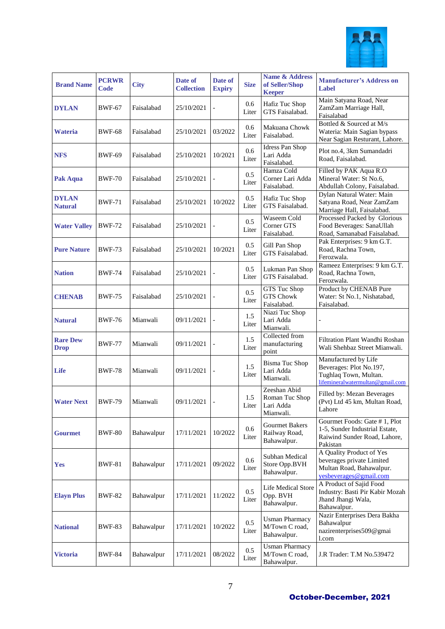

| <b>Brand Name</b>              | <b>PCRWR</b><br>Code | <b>City</b> | Date of<br><b>Collection</b> | Date of<br><b>Expiry</b> | <b>Size</b>  | <b>Name &amp; Address</b><br>of Seller/Shop<br><b>Keeper</b> | <b>Manufacturer's Address on</b><br>Label                                                                    |
|--------------------------------|----------------------|-------------|------------------------------|--------------------------|--------------|--------------------------------------------------------------|--------------------------------------------------------------------------------------------------------------|
| <b>DYLAN</b>                   | <b>BWF-67</b>        | Faisalabad  | 25/10/2021                   |                          | 0.6<br>Liter | Hafiz Tuc Shop<br>GTS Faisalabad.                            | Main Satyana Road, Near<br>ZamZam Marriage Hall,<br>Faisalabad                                               |
| Wateria                        | <b>BWF-68</b>        | Faisalabad  | 25/10/2021                   | 03/2022                  | 0.6<br>Liter | Makuana Chowk<br>Faisalabad.                                 | Bottled & Sourced at M/s<br>Wateria: Main Sagian bypass<br>Near Sagian Resturant, Lahore.                    |
| <b>NFS</b>                     | <b>BWF-69</b>        | Faisalabad  | 25/10/2021                   | 10/2021                  | 0.6<br>Liter | <b>Idress Pan Shop</b><br>Lari Adda<br>Faisalabad.           | Plot no.4, 3km Sumandadri<br>Road, Faisalabad.                                                               |
| Pak Aqua                       | <b>BWF-70</b>        | Faisalabad  | 25/10/2021                   |                          | 0.5<br>Liter | Hamza Cold<br>Corner Lari Adda<br>Faisalabad.                | Filled by PAK Aqua R.O<br>Mineral Water: St No.6,<br>Abdullah Colony, Faisalabad.                            |
| <b>DYLAN</b><br><b>Natural</b> | <b>BWF-71</b>        | Faisalabad  | 25/10/2021                   | 10/2022                  | 0.5<br>Liter | Hafiz Tuc Shop<br>GTS Faisalabad.                            | Dylan Natural Water: Main<br>Satyana Road, Near ZamZam<br>Marriage Hall, Faisalabad.                         |
| <b>Water Valley</b>            | <b>BWF-72</b>        | Faisalabad  | 25/10/2021                   |                          | 0.5<br>Liter | Waseem Cold<br>Corner GTS<br>Faisalabad.                     | Processed Packed by Glorious<br>Food Beverages: SanaUllah<br>Road, Samanabad Faisalabad.                     |
| <b>Pure Nature</b>             | <b>BWF-73</b>        | Faisalabad  | 25/10/2021                   | 10/2021                  | 0.5<br>Liter | Gill Pan Shop<br>GTS Faisalabad.                             | Pak Enterprises: 9 km G.T.<br>Road, Rachna Town,<br>Ferozwala.                                               |
| <b>Nation</b>                  | <b>BWF-74</b>        | Faisalabad  | 25/10/2021                   |                          | 0.5<br>Liter | Lukman Pan Shop<br>GTS Faisalabad.                           | Rameez Enterprises: 9 km G.T.<br>Road, Rachna Town,<br>Ferozwala.                                            |
| <b>CHENAB</b>                  | <b>BWF-75</b>        | Faisalabad  | 25/10/2021                   |                          | 0.5<br>Liter | GTS Tuc Shop<br>GTS Chowk<br>Faisalabad.                     | Product by CHENAB Pure<br>Water: St No.1, Nishatabad,<br>Faisalabad.                                         |
| <b>Natural</b>                 | <b>BWF-76</b>        | Mianwali    | 09/11/2021                   |                          | 1.5<br>Liter | Niazi Tuc Shop<br>Lari Adda<br>Mianwali.                     |                                                                                                              |
| <b>Rare Dew</b><br><b>Drop</b> | <b>BWF-77</b>        | Mianwali    | 09/11/2021                   |                          | 1.5<br>Liter | Collected from<br>manufacturing<br>point                     | Filtration Plant Wandhi Roshan<br>Wali Shehbaz Street Mianwali.                                              |
| Life                           | <b>BWF-78</b>        | Mianwali    | 09/11/2021                   |                          | 1.5<br>Liter | <b>Bisma Tuc Shop</b><br>Lari Adda<br>Mianwali.              | Manufactured by Life<br>Beverages: Plot No.197,<br>Tughlaq Town, Multan.<br>lifemineralwatermultan@gmail.com |
| <b>Water Next</b>              | <b>BWF-79</b>        | Mianwali    | 09/11/2021                   |                          | 1.5<br>Liter | Zeeshan Abid<br>Roman Tuc Shop<br>Lari Adda<br>Mianwali.     | Filled by: Mezan Beverages<br>(Pvt) Ltd 45 km, Multan Road,<br>Lahore                                        |
| <b>Gourmet</b>                 | <b>BWF-80</b>        | Bahawalpur  | 17/11/2021                   | 10/2022                  | 0.6<br>Liter | <b>Gourmet Bakers</b><br>Railway Road,<br>Bahawalpur.        | Gourmet Foods: Gate #1, Plot<br>1-5, Sunder Industrial Estate,<br>Raiwind Sunder Road, Lahore,<br>Pakistan   |
| <b>Yes</b>                     | <b>BWF-81</b>        | Bahawalpur  | 17/11/2021                   | 09/2022                  | 0.6<br>Liter | Subhan Medical<br>Store Opp.BVH<br>Bahawalpur.               | A Quality Product of Yes<br>beverages private Limited<br>Multan Road, Bahawalpur.<br>yesbeverages@gmail.com  |
| <b>Elayn Plus</b>              | <b>BWF-82</b>        | Bahawalpur  | 17/11/2021                   | 11/2022                  | 0.5<br>Liter | Life Medical Store<br>Opp. BVH<br>Bahawalpur.                | A Product of Sajid Food<br>Industry: Basti Pir Kabir Mozah<br>Jhand Jhangi Wala,<br>Bahawalpur.              |
| <b>National</b>                | <b>BWF-83</b>        | Bahawalpur  | 17/11/2021                   | 10/2022                  | 0.5<br>Liter | <b>Usman Pharmacy</b><br>M/Town C road,<br>Bahawalpur.       | Nazir Enterprises Dera Bakha<br>Bahawalpur<br>nazirenterprises509@gmai<br>l.com                              |
| <b>Victoria</b>                | <b>BWF-84</b>        | Bahawalpur  | 17/11/2021                   | 08/2022                  | 0.5<br>Liter | <b>Usman Pharmacy</b><br>M/Town C road,<br>Bahawalpur.       | J.R Trader: T.M No.539472                                                                                    |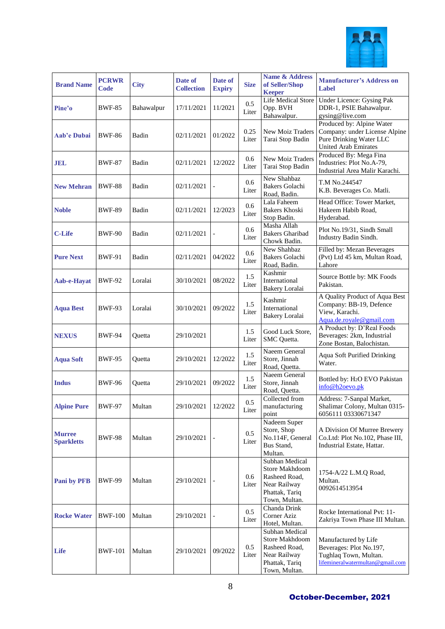

| <b>Brand Name</b>                  | <b>PCRWR</b><br>Code | <b>City</b> | Date of<br><b>Collection</b> | Date of<br><b>Expiry</b> | <b>Size</b>      | <b>Name &amp; Address</b><br>of Seller/Shop<br><b>Keeper</b>                                         | <b>Manufacturer's Address on</b><br>Label                                                                     |
|------------------------------------|----------------------|-------------|------------------------------|--------------------------|------------------|------------------------------------------------------------------------------------------------------|---------------------------------------------------------------------------------------------------------------|
| Pine'o                             | <b>BWF-85</b>        | Bahawalpur  | 17/11/2021                   | 11/2021                  | 0.5<br>Liter     | Life Medical Store<br>Opp. BVH<br>Bahawalpur.                                                        | Under Licence: Gysing Pak<br>DDR-1, PSIE Bahawalpur.<br>gysing@live.com                                       |
| Aab'e Dubai                        | <b>BWF-86</b>        | Badin       | 02/11/2021                   | 01/2022                  | 0.25<br>Liter    | <b>New Moiz Traders</b><br>Tarai Stop Badin                                                          | Produced by: Alpine Water<br>Company: under License Alpine<br>Pure Drinking Water LLC<br>United Arab Emirates |
| <b>JEL</b>                         | <b>BWF-87</b>        | Badin       | 02/11/2021                   | 12/2022                  | 0.6<br>Liter     | New Moiz Traders<br>Tarai Stop Badin                                                                 | Produced By: Mega Fina<br>Industries: Plot No.A-79,<br>Industrial Area Malir Karachi.                         |
| <b>New Mehran</b>                  | <b>BWF-88</b>        | Badin       | 02/11/2021                   |                          | 0.6<br>Liter     | New Shahbaz<br><b>Bakers Golachi</b><br>Road, Badin.                                                 | T.M No.244547<br>K.B. Beverages Co. Matli.                                                                    |
| <b>Noble</b>                       | <b>BWF-89</b>        | Badin       | 02/11/2021                   | 12/2023                  | 0.6<br>Liter     | Lala Faheem<br><b>Bakers Khoski</b><br>Stop Badin.                                                   | Head Office: Tower Market,<br>Hakeem Habib Road,<br>Hyderabad.                                                |
| <b>C-Life</b>                      | <b>BWF-90</b>        | Badin       | 02/11/2021                   |                          | 0.6<br>Liter     | Masha Allah<br><b>Bakers Gharibad</b><br>Chowk Badin.                                                | Plot No.19/31, Sindh Small<br>Industry Badin Sindh.                                                           |
| <b>Pure Next</b>                   | <b>BWF-91</b>        | Badin       | 02/11/2021                   | 04/2022                  | 0.6<br>Liter     | New Shahbaz<br><b>Bakers Golachi</b><br>Road, Badin.                                                 | Filled by: Mezan Beverages<br>(Pvt) Ltd 45 km, Multan Road,<br>Lahore                                         |
| Aab-e-Hayat                        | <b>BWF-92</b>        | Loralai     | 30/10/2021                   | 08/2022                  | 1.5<br>Liter     | Kashmir<br>International<br>Bakery Loralai                                                           | Source Bottle by: MK Foods<br>Pakistan.                                                                       |
| <b>Aqua Best</b>                   | <b>BWF-93</b>        | Loralai     | 30/10/2021                   | 09/2022                  | 1.5<br>Liter     | Kashmir<br>International<br>Bakery Loralai                                                           | A Quality Product of Aqua Best<br>Company: BB-19, Defence<br>View, Karachi.<br>Aqua.de.royale@gmail.com       |
| <b>NEXUS</b>                       | <b>BWF-94</b>        | Quetta      | 29/10/2021                   |                          | 1.5<br>Liter     | Good Luck Store,<br>SMC Quetta.                                                                      | A Product by: D'Real Foods<br>Beverages: 2km, Industrial<br>Zone Bostan, Balochistan.                         |
| <b>Aqua Soft</b>                   | <b>BWF-95</b>        | Quetta      | 29/10/2021                   | 12/2022                  | 1.5<br>Liter     | Naeem General<br>Store, Jinnah<br>Road, Quetta.                                                      | <b>Aqua Soft Purified Drinking</b><br>Water.                                                                  |
| <b>Indus</b>                       | <b>BWF-96</b>        | Ouetta      | 29/10/2021                   | 09/2022                  | 1.5<br>Liter     | Naeem General<br>Store, Jinnah<br>Road, Quetta.                                                      | Bottled by: H <sub>2</sub> O EVO Pakistan<br>info@h2oevo.pk                                                   |
| <b>Alpine Pure</b>                 | <b>BWF-97</b>        | Multan      | 29/10/2021                   | 12/2022                  | 0.5<br>Liter     | Collected from<br>manufacturing<br>point                                                             | Address: 7-Sanpal Market,<br>Shalimar Colony, Multan 0315-<br>6056111 03330671347                             |
| <b>Murree</b><br><b>Sparkletts</b> | <b>BWF-98</b>        | Multan      | 29/10/2021                   |                          | 0.5<br>Liter     | Nadeem Super<br>Store, Shop<br>No.114F, General<br>Bus Stand,<br>Multan.                             | A Division Of Murree Brewery<br>Co.Ltd: Plot No.102, Phase III,<br>Industrial Estate, Hattar.                 |
| <b>Pani by PFB</b>                 | <b>BWF-99</b>        | Multan      | 29/10/2021                   |                          | 0.6<br>Liter     | Subhan Medical<br>Store Makhdoom<br>Rasheed Road,<br>Near Railway<br>Phattak, Tariq<br>Town, Multan. | 1754-A/22 L.M.Q Road,<br>Multan.<br>0092614513954                                                             |
| <b>Rocke Water</b>                 | <b>BWF-100</b>       | Multan      | 29/10/2021                   |                          | $0.5\,$<br>Liter | Chanda Drink<br>Corner Aziz<br>Hotel, Multan.                                                        | Rocke International Pvt: 11-<br>Zakriya Town Phase III Multan.                                                |
| Life                               | <b>BWF-101</b>       | Multan      | 29/10/2021                   | 09/2022                  | 0.5<br>Liter     | Subhan Medical<br>Store Makhdoom<br>Rasheed Road,<br>Near Railway<br>Phattak, Tariq<br>Town, Multan. | Manufactured by Life<br>Beverages: Plot No.197,<br>Tughlaq Town, Multan.<br>lifemineralwatermultan@gmail.com  |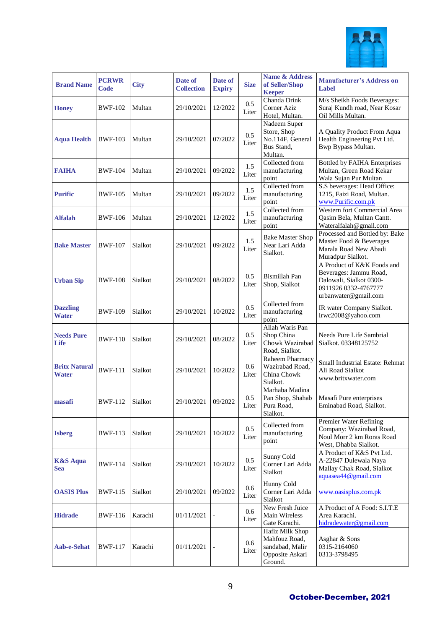

| <b>Brand Name</b>                    | <b>PCRWR</b><br>Code | <b>City</b> | Date of<br><b>Collection</b> | Date of<br><b>Expiry</b> | <b>Size</b>  | <b>Name &amp; Address</b><br>of Seller/Shop<br><b>Keeper</b>                      | <b>Manufacturer's Address on</b><br>Label                                                                                       |
|--------------------------------------|----------------------|-------------|------------------------------|--------------------------|--------------|-----------------------------------------------------------------------------------|---------------------------------------------------------------------------------------------------------------------------------|
| <b>Honey</b>                         | <b>BWF-102</b>       | Multan      | 29/10/2021                   | 12/2022                  | 0.5<br>Liter | Chanda Drink<br>Corner Aziz<br>Hotel, Multan.                                     | M/s Sheikh Foods Beverages:<br>Suraj Kundh road, Near Kosar<br>Oil Mills Multan.                                                |
| <b>Aqua Health</b>                   | <b>BWF-103</b>       | Multan      | 29/10/2021                   | 07/2022                  | 0.5<br>Liter | Nadeem Super<br>Store, Shop<br>No.114F, General<br>Bus Stand,<br>Multan.          | A Quality Product From Aqua<br>Health Engineering Pvt Ltd.<br>Bwp Bypass Multan.                                                |
| <b>FAIHA</b>                         | <b>BWF-104</b>       | Multan      | 29/10/2021                   | 09/2022                  | 1.5<br>Liter | Collected from<br>manufacturing<br>point                                          | <b>Bottled by FAIHA Enterprises</b><br>Multan, Green Road Kekar<br>Wala Sujan Pur Multan                                        |
| <b>Purific</b>                       | <b>BWF-105</b>       | Multan      | 29/10/2021                   | 09/2022                  | 1.5<br>Liter | Collected from<br>manufacturing<br>point                                          | S.S beverages: Head Office:<br>1215, Faizi Road, Multan.<br>www.Purific.com.pk                                                  |
| Alfalah                              | <b>BWF-106</b>       | Multan      | 29/10/2021                   | 12/2022                  | 1.5<br>Liter | Collected from<br>manufacturing<br>point                                          | Western fort Commercial Area<br>Qasim Bela, Multan Cantt.<br>Wateralfalah@gmail.com                                             |
| <b>Bake Master</b>                   | <b>BWF-107</b>       | Sialkot     | 29/10/2021                   | 09/2022                  | 1.5<br>Liter | <b>Bake Master Shop</b><br>Near Lari Adda<br>Sialkot.                             | Processed and Bottled by: Bake<br>Master Food & Beverages<br>Marala Road New Abadi<br>Muradpur Sialkot.                         |
| <b>Urban Sip</b>                     | <b>BWF-108</b>       | Sialkot     | 29/10/2021                   | 08/2022                  | 0.5<br>Liter | Bismillah Pan<br>Shop, Sialkot                                                    | A Product of K&K Foods and<br>Beverages: Jammu Road,<br>Dalowali, Sialkot 0300-<br>0911926 0332-4767777<br>urbanwater@gmail.com |
| <b>Dazzling</b><br><b>Water</b>      | <b>BWF-109</b>       | Sialkot     | 29/10/2021                   | 10/2022                  | 0.5<br>Liter | Collected from<br>manufacturing<br>point                                          | IR water Company Sialkot.<br>Irwc2008@yahoo.com                                                                                 |
| <b>Needs Pure</b><br>Life            | <b>BWF-110</b>       | Sialkot     | 29/10/2021                   | 08/2022                  | 0.5<br>Liter | Allah Waris Pan<br>Shop China<br>Chowk Wazirabad<br>Road, Sialkot.                | Needs Pure Life Sambrial<br>Sialkot. 03348125752                                                                                |
| <b>Britx Natural</b><br><b>Water</b> | <b>BWF-111</b>       | Sialkot     | 29/10/2021                   | 10/2022                  | 0.6<br>Liter | Raheem Pharmacy<br>Wazirabad Road,<br>China Chowk<br>Sialkot.                     | Small Industrial Estate: Rehmat<br>Ali Road Sialkot<br>www.britxwater.com                                                       |
| masafi                               | <b>BWF-112</b>       | Sialkot     | 29/10/2021                   | 09/2022                  | 0.5<br>Liter | Marhaba Madina<br>Pan Shop, Shahab<br>Pura Road,<br>Sialkot.                      | Masafi Pure enterprises<br>Eminabad Road, Sialkot.                                                                              |
| <b>Isberg</b>                        | BWF-113              | Sialkot     | 29/10/2021                   | 10/2022                  | 0.5<br>Liter | Collected from<br>manufacturing<br>point                                          | Premier Water Refining<br>Company: Wazirabad Road,<br>Noul Morr 2 km Roras Road<br>West, Dhabba Sialkot.                        |
| <b>K&amp;S</b> Aqua<br><b>Sea</b>    | <b>BWF-114</b>       | Sialkot     | 29/10/2021                   | 10/2022                  | 0.5<br>Liter | Sunny Cold<br>Corner Lari Adda<br>Sialkot                                         | A Product of K&S Pvt Ltd.<br>A-22847 Dulewala Naya<br>Mallay Chak Road, Sialkot<br>aquasea44@gmail.com                          |
| <b>OASIS Plus</b>                    | <b>BWF-115</b>       | Sialkot     | 29/10/2021                   | 09/2022                  | 0.6<br>Liter | Hunny Cold<br>Corner Lari Adda<br>Sialkot                                         | www.oasisplus.com.pk                                                                                                            |
| <b>Hidrade</b>                       | <b>BWF-116</b>       | Karachi     | 01/11/2021                   |                          | 0.6<br>Liter | New Fresh Juice<br>Main Wireless<br>Gate Karachi.                                 | A Product of A Food: S.I.T.E<br>Area Karachi.<br>hidradewater@gmail.com                                                         |
| <b>Aab-e-Sehat</b>                   | <b>BWF-117</b>       | Karachi     | 01/11/2021                   |                          | 0.6<br>Liter | Hafiz Milk Shop<br>Mahfouz Road,<br>sandabad, Malir<br>Opposite Askari<br>Ground. | Asghar & Sons<br>0315-2164060<br>0313-3798495                                                                                   |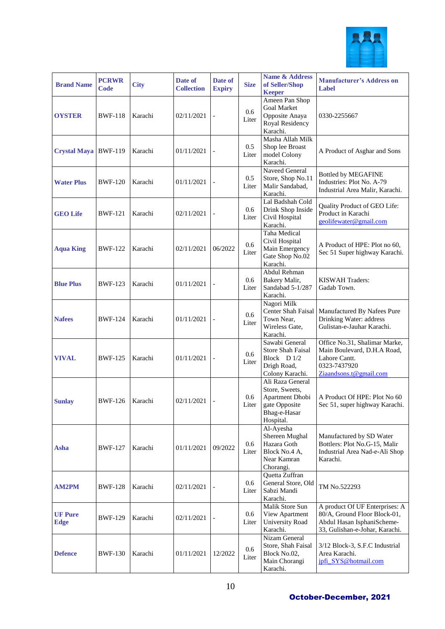

| <b>Brand Name</b>             | <b>PCRWR</b><br>Code | <b>City</b> | Date of<br><b>Collection</b> | Date of<br><b>Expiry</b> | <b>Size</b>  | <b>Name &amp; Address</b><br>of Seller/Shop<br><b>Keeper</b>                                        | <b>Manufacturer's Address on</b><br>Label                                                                                      |
|-------------------------------|----------------------|-------------|------------------------------|--------------------------|--------------|-----------------------------------------------------------------------------------------------------|--------------------------------------------------------------------------------------------------------------------------------|
| <b>OYSTER</b>                 | <b>BWF-118</b>       | Karachi     | 02/11/2021                   |                          | 0.6<br>Liter | Ameen Pan Shop<br><b>Goal Market</b><br>Opposite Anaya<br>Royal Residency<br>Karachi.               | 0330-2255667                                                                                                                   |
| Crystal Maya BWF-119          |                      | Karachi     | 01/11/2021                   |                          | 0.5<br>Liter | Masha Allah Milk<br>Shop lee Broast<br>model Colony<br>Karachi.                                     | A Product of Asghar and Sons                                                                                                   |
| <b>Water Plus</b>             | <b>BWF-120</b>       | Karachi     | 01/11/2021                   |                          | 0.5<br>Liter | Naveed General<br>Store, Shop No.11<br>Malir Sandabad,<br>Karachi.                                  | <b>Bottled by MEGAFINE</b><br>Industries: Plot No. A-79<br>Industrial Area Malir, Karachi.                                     |
| <b>GEO Life</b>               | <b>BWF-121</b>       | Karachi     | 02/11/2021                   |                          | 0.6<br>Liter | Lal Badshah Cold<br>Drink Shop Inside<br>Civil Hospital<br>Karachi.                                 | Quality Product of GEO Life:<br>Product in Karachi<br>geolifewater@gmail.com                                                   |
| <b>Aqua King</b>              | <b>BWF-122</b>       | Karachi     | 02/11/2021                   | 06/2022                  | 0.6<br>Liter | Taha Medical<br>Civil Hospital<br>Main Emergency<br>Gate Shop No.02<br>Karachi.                     | A Product of HPE: Plot no 60,<br>Sec 51 Super highway Karachi.                                                                 |
| <b>Blue Plus</b>              | <b>BWF-123</b>       | Karachi     | 01/11/2021                   |                          | 0.6<br>Liter | Abdul Rehman<br>Bakery Malir,<br>Sandabad 5-1/287<br>Karachi.                                       | <b>KISWAH Traders:</b><br>Gadab Town.                                                                                          |
| <b>Nafees</b>                 | <b>BWF-124</b>       | Karachi     | 01/11/2021                   |                          | 0.6<br>Liter | Nagori Milk<br>Center Shah Faisal<br>Town Near,<br>Wireless Gate,<br>Karachi.                       | Manufactured By Nafees Pure<br>Drinking Water: address<br>Gulistan-e-Jauhar Karachi.                                           |
| <b>VIVAL</b>                  | <b>BWF-125</b>       | Karachi     | 01/11/2021                   | $\blacksquare$           | 0.6<br>Liter | Sawabi General<br><b>Store Shah Faisal</b><br>Block D 1/2<br>Drigh Road,<br>Colony Karachi.         | Office No.31, Shalimar Marke,<br>Main Boulevard, D.H.A Road,<br>Lahore Cantt.<br>0323-7437920<br>Ziaandsons.t@gmail.com        |
| <b>Sunlay</b>                 | <b>BWF-126</b>       | Karachi     | 02/11/2021                   |                          | 0.6<br>Liter | Ali Raza General<br>Store, Sweets,<br>Apartment Dhobi<br>gate Opposite<br>Bhag-e-Hasar<br>Hospital. | A Product Of HPE: Plot No 60<br>Sec 51, super highway Karachi.                                                                 |
| Asha                          | <b>BWF-127</b>       | Karachi     | 01/11/2021                   | 09/2022                  | 0.6<br>Liter | Al-Ayesha<br>Shereen Mughal<br>Hazara Goth<br>Block No.4 A,<br>Near Kamran<br>Chorangi.             | Manufactured by SD Water<br>Bottlers: Plot No.G-15, Malir<br>Industrial Area Nad-e-Ali Shop<br>Karachi.                        |
| <b>AM2PM</b>                  | <b>BWF-128</b>       | Karachi     | 02/11/2021                   |                          | 0.6<br>Liter | Quetta Zuffran<br>General Store, Old<br>Sabzi Mandi<br>Karachi.                                     | TM No.522293                                                                                                                   |
| <b>UF Pure</b><br><b>Edge</b> | <b>BWF-129</b>       | Karachi     | 02/11/2021                   |                          | 0.6<br>Liter | Malik Store Sun<br>View Apartment<br>University Road<br>Karachi.                                    | A product Of UF Enterprises: A<br>80/A, Ground Floor Block-01,<br>Abdul Hasan IsphaniScheme-<br>33, Gulishan-e-Johar, Karachi. |
| <b>Defence</b>                | <b>BWF-130</b>       | Karachi     | 01/11/2021                   | 12/2022                  | 0.6<br>Liter | Nizam General<br>Store, Shah Faisal<br>Block No.02,<br>Main Chorangi<br>Karachi.                    | 3/12 Block-3, S.F.C Industrial<br>Area Karachi.<br>jpfi_SYS@hotmail.com                                                        |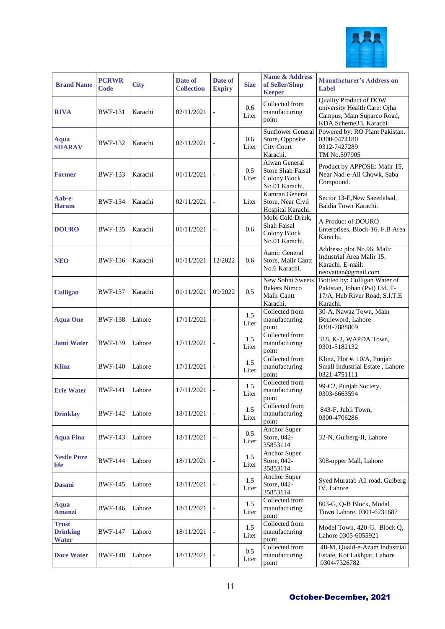

| <b>Brand Name</b>                               | <b>PCRWR</b><br><b>Code</b> | <b>City</b> | Date of<br><b>Collection</b> | Date of<br><b>Expiry</b> | <b>Size</b>      | <b>Name &amp; Address</b><br>of Seller/Shop<br><b>Keeper</b>                 | <b>Manufacturer's Address on</b><br>Label                                                                             |
|-------------------------------------------------|-----------------------------|-------------|------------------------------|--------------------------|------------------|------------------------------------------------------------------------------|-----------------------------------------------------------------------------------------------------------------------|
| <b>RIVA</b>                                     | <b>BWF-131</b>              | Karachi     | 02/11/2021                   |                          | 0.6<br>Liter     | Collected from<br>manufacturing<br>point                                     | <b>Quality Product of DOW</b><br>university Health Care: Ojha<br>Campus, Main Suparco Road,<br>KDA Scheme33, Karachi. |
| Aqua<br><b>SHARAV</b>                           | <b>BWF-132</b>              | Karachi     | 02/11/2021                   |                          | 0.6<br>Liter     | <b>Sunflower General</b><br>Store, Opposite<br><b>City Court</b><br>Karachi. | Powered by: RO Plant Pakistan.<br>0300-0474180<br>0312-7427289<br>TM No.597905                                        |
| <b>Former</b>                                   | <b>BWF-133</b>              | Karachi     | 01/11/2021                   |                          | 0.5<br>Liter     | Aiwan General<br><b>Store Shah Faisal</b><br>Colony Block<br>No.01 Karachi.  | Product by APPOSE: Malir 15,<br>Near Nad-e-Ali Chowk, Saba<br>Compound.                                               |
| Aab-e-<br><b>Haram</b>                          | <b>BWF-134</b>              | Karachi     | 02/11/2021                   |                          | Liter            | Kamran General<br>Store, Near Civil<br>Hospital Karachi.                     | Sector 13-E, New Saeedabad,<br>Baldia Town Karachi.                                                                   |
| <b>DOURO</b>                                    | <b>BWF-135</b>              | Karachi     | 01/11/2021                   |                          | 0.6              | Mobi Cold Drink,<br><b>Shah Faisal</b><br>Colony Block<br>No.01 Karachi.     | A Product of DOURO<br>Enterprises, Block-16, F.B Area<br>Karachi.                                                     |
| <b>NEO</b>                                      | <b>BWF-136</b>              | Karachi     | 01/11/2021                   | 12/2022                  | 0.6              | Aamir General<br>Store, Malir Cantt<br>No.6 Karachi.                         | Address: plot No.96, Malir<br>Industrial Area Malir 15,<br>Karachi. E-mail:<br>neovattan@gmail.com                    |
| <b>Culligan</b>                                 | <b>BWF-137</b>              | Karachi     | 01/11/2021                   | 09/2022                  | 0.5              | New Sohni Sweets<br><b>Bakers Nimco</b><br>Malir Cantt<br>Karachi.           | Bottled by: Culligan Water of<br>Pakistan, Johan (Pvt) Ltd. F-<br>17/A, Hub River Road, S.I.T.E<br>Karachi.           |
| <b>Aqua One</b>                                 | <b>BWF-138</b>              | Lahore      | 17/11/2021                   |                          | 1.5<br>Liter     | Collected from<br>manufacturing<br>point                                     | 30-A, Nawaz Town, Main<br>Bouleword, Lahore<br>0301-7888869                                                           |
| <b>Jami Water</b>                               | <b>BWF-139</b>              | Lahore      | 17/11/2021                   |                          | 1.5<br>Liter     | Collected from<br>manufacturing<br>point                                     | 318, K-2, WAPDA Town,<br>0301-5182132                                                                                 |
| <b>Klinz</b>                                    | <b>BWF-140</b>              | Lahore      | 17/11/2021                   |                          | $1.5\,$<br>Liter | Collected from<br>manufacturing<br>point                                     | Klinz, Plot #. 10/A, Punjab<br>Small Industrial Estate, Lahore<br>0321-4751111                                        |
| <b>Erie Water</b>                               | <b>BWF-141</b>              | Lahore      | 17/11/2021                   |                          | 1.5<br>Liter     | Collected from<br>manufacturing<br>point                                     | 99-C2, Punjab Society,<br>0303-6663594                                                                                |
| <b>Drinklay</b>                                 | <b>BWF-142</b>              | Lahore      | 18/11/2021                   |                          | $1.5\,$<br>Liter | Collected from<br>manufacturing<br>point                                     | 843-F, Jubli Town,<br>0300-4706286                                                                                    |
| <b>Aqua Fina</b>                                | <b>BWF-143</b>              | Lahore      | 18/11/2021                   |                          | 0.5<br>Liter     | Anchor Super<br>Store, 042-<br>35853114                                      | 32-N, Gulberg-II, Lahore                                                                                              |
| <b>Nestle Pure</b><br>life                      | <b>BWF-144</b>              | Lahore      | 18/11/2021                   |                          | 1.5<br>Liter     | Anchor Super<br>Store, 042-<br>35853114                                      | 308-upper Mall, Lahore                                                                                                |
| <b>Dasani</b>                                   | <b>BWF-145</b>              | Lahore      | 18/11/2021                   |                          | 1.5<br>Liter     | Anchor Super<br>Store, 042-<br>35853114                                      | Syed Muratab Ali road, Gulberg<br>IV, Lahore                                                                          |
| Aqua<br><b>Amanzi</b>                           | <b>BWF-146</b>              | Lahore      | 18/11/2021                   |                          | 1.5<br>Liter     | Collected from<br>manufacturing<br>point                                     | 803-G, Q-B Block, Modal<br>Town Lahore, 0301-6231687                                                                  |
| <b>Trust</b><br><b>Drinking</b><br><b>Water</b> | <b>BWF-147</b>              | Lahore      | 18/11/2021                   |                          | 1.5<br>Liter     | Collected from<br>manufacturing<br>point                                     | Model Town, 420-G, Block Q,<br>Lahore 0305-6055921                                                                    |
| <b>Doce Water</b>                               | <b>BWF-148</b>              | Lahore      | 18/11/2021                   |                          | 0.5<br>Liter     | Collected from<br>manufacturing<br>point                                     | 48-M, Quaid-e-Azam Industrial<br>Estate, Kot Lakhpat, Lahore<br>0304-7326782                                          |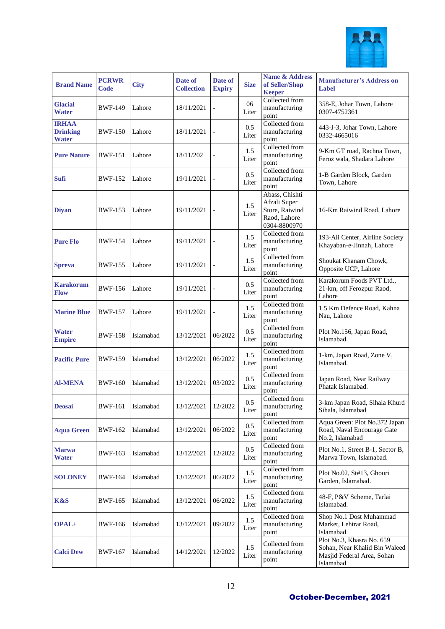

| <b>Brand Name</b>                               | <b>PCRWR</b><br>Code | <b>City</b> | Date of<br><b>Collection</b> | Date of<br><b>Expiry</b> | <b>Size</b>      | <b>Name &amp; Address</b><br>of Seller/Shop<br><b>Keeper</b>                     | <b>Manufacturer's Address on</b><br>Label                                                             |
|-------------------------------------------------|----------------------|-------------|------------------------------|--------------------------|------------------|----------------------------------------------------------------------------------|-------------------------------------------------------------------------------------------------------|
| <b>Glacial</b><br><b>Water</b>                  | <b>BWF-149</b>       | Lahore      | 18/11/2021                   |                          | 06<br>Liter      | Collected from<br>manufacturing<br>point                                         | 358-E, Johar Town, Lahore<br>0307-4752361                                                             |
| <b>IRHAA</b><br><b>Drinking</b><br><b>Water</b> | <b>BWF-150</b>       | Lahore      | 18/11/2021                   |                          | 0.5<br>Liter     | Collected from<br>manufacturing<br>point                                         | 443-J-3, Johar Town, Lahore<br>0332-4665016                                                           |
| <b>Pure Nature</b>                              | <b>BWF-151</b>       | Lahore      | 18/11/202                    |                          | 1.5<br>Liter     | Collected from<br>manufacturing<br>point                                         | 9-Km GT road, Rachna Town,<br>Feroz wala, Shadara Lahore                                              |
| <b>Sufi</b>                                     | <b>BWF-152</b>       | Lahore      | 19/11/2021                   |                          | 0.5<br>Liter     | Collected from<br>manufacturing<br>point                                         | 1-B Garden Block, Garden<br>Town, Lahore                                                              |
| <b>Diyan</b>                                    | <b>BWF-153</b>       | Lahore      | 19/11/2021                   |                          | 1.5<br>Liter     | Abass, Chishti<br>Afzali Super<br>Store, Raiwind<br>Raod, Lahore<br>0304-8800970 | 16-Km Raiwind Road, Lahore                                                                            |
| <b>Pure Flo</b>                                 | <b>BWF-154</b>       | Lahore      | 19/11/2021                   |                          | 1.5<br>Liter     | Collected from<br>manufacturing<br>point                                         | 193-Ali Center, Airline Society<br>Khayaban-e-Jinnah, Lahore                                          |
| <b>Spreva</b>                                   | <b>BWF-155</b>       | Lahore      | 19/11/2021                   |                          | 1.5<br>Liter     | Collected from<br>manufacturing<br>point                                         | Shoukat Khanam Chowk.<br>Opposite UCP, Lahore                                                         |
| <b>Karakorum</b><br><b>Flow</b>                 | <b>BWF-156</b>       | Lahore      | 19/11/2021                   |                          | 0.5<br>Liter     | Collected from<br>manufacturing<br>point                                         | Karakorum Foods PVT Ltd.,<br>21-km, off Ferozpur Raod,<br>Lahore                                      |
| <b>Marine Blue</b>                              | <b>BWF-157</b>       | Lahore      | 19/11/2021                   |                          | 1.5<br>Liter     | Collected from<br>manufacturing<br>point                                         | 1.5 Km Defence Road, Kahna<br>Nau, Lahore                                                             |
| <b>Water</b><br><b>Empire</b>                   | <b>BWF-158</b>       | Islamabad   | 13/12/2021                   | 06/2022                  | 0.5<br>Liter     | Collected from<br>manufacturing<br>point                                         | Plot No.156, Japan Road,<br>Islamabad.                                                                |
| <b>Pacific Pure</b>                             | <b>BWF-159</b>       | Islamabad   | 13/12/2021                   | 06/2022                  | 1.5<br>Liter     | Collected from<br>manufacturing<br>point                                         | 1-km, Japan Road, Zone V,<br>Islamabad.                                                               |
| <b>Al-MENA</b>                                  | <b>BWF-160</b>       | Islamabad   | 13/12/2021                   | 03/2022                  | 0.5<br>Liter     | Collected from<br>manufacturing<br>point                                         | Japan Road, Near Railway<br>Phatak Islamabad.                                                         |
| <b>Deosai</b>                                   | <b>BWF-161</b>       | Islamabad   | 13/12/2021                   | 12/2022                  | 0.5<br>Liter     | Collected from<br>manufacturing<br>point                                         | 3-km Japan Road, Sihala Khurd<br>Sihala, Islamabad                                                    |
| <b>Aqua Green</b>                               | <b>BWF-162</b>       | Islamabad   | 13/12/2021                   | 06/2022                  | 0.5<br>Liter     | Collected from<br>manufacturing<br>point                                         | Aqua Green: Plot No.372 Japan<br>Road, Naval Encourage Gate<br>No.2, Islamabad                        |
| <b>Marwa</b><br><b>Water</b>                    | BWF-163              | Islamabad   | 13/12/2021                   | 12/2022                  | $0.5\,$<br>Liter | Collected from<br>manufacturing<br>point                                         | Plot No.1, Street B-1, Sector B,<br>Marwa Town, Islamabad.                                            |
| <b>SOLONEY</b>                                  | <b>BWF-164</b>       | Islamabad   | 13/12/2021                   | 06/2022                  | 1.5<br>Liter     | Collected from<br>manufacturing<br>point                                         | Plot No.02, St#13, Ghouri<br>Garden, Islamabad.                                                       |
| K&S                                             | <b>BWF-165</b>       | Islamabad   | 13/12/2021                   | 06/2022                  | 1.5<br>Liter     | Collected from<br>manufacturing<br>point                                         | 48-F, P&V Scheme, Tarlai<br>Islamabad.                                                                |
| OPAL+                                           | <b>BWF-166</b>       | Islamabad   | 13/12/2021                   | 09/2022                  | 1.5<br>Liter     | Collected from<br>manufacturing<br>point                                         | Shop No.1 Dost Muhammad<br>Market, Lehtrar Road,<br>Islamabad                                         |
| <b>Calci Dew</b>                                | <b>BWF-167</b>       | Islamabad   | 14/12/2021                   | 12/2022                  | 1.5<br>Liter     | Collected from<br>manufacturing<br>point                                         | Plot No.3, Khasra No. 659<br>Sohan, Near Khalid Bin Waleed<br>Masjid Federal Area, Sohan<br>Islamabad |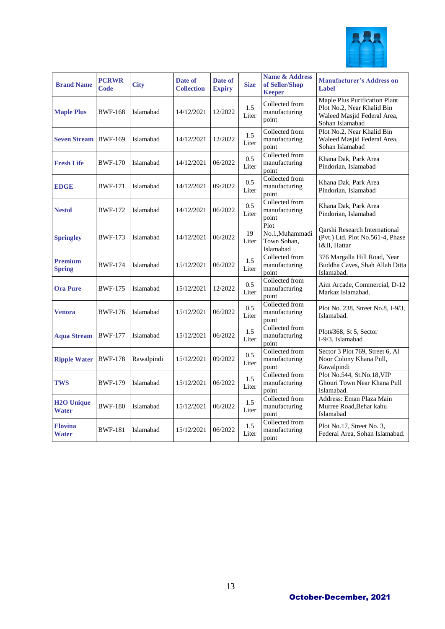

| <b>Brand Name</b>               | <b>PCRWR</b><br>Code | <b>City</b> | Date of<br><b>Collection</b> | Date of<br><b>Expiry</b> | <b>Size</b>  | <b>Name &amp; Address</b><br>of Seller/Shop<br><b>Keeper</b> | <b>Manufacturer's Address on</b><br>Label                                                                     |
|---------------------------------|----------------------|-------------|------------------------------|--------------------------|--------------|--------------------------------------------------------------|---------------------------------------------------------------------------------------------------------------|
| <b>Maple Plus</b>               | <b>BWF-168</b>       | Islamabad   | 14/12/2021                   | 12/2022                  | 1.5<br>Liter | Collected from<br>manufacturing<br>point                     | Maple Plus Purification Plant<br>Plot No.2, Near Khalid Bin<br>Waleed Masjid Federal Area,<br>Sohan Islamabad |
| <b>Seven Stream</b>             | <b>BWF-169</b>       | Islamabad   | 14/12/2021                   | 12/2022                  | 1.5<br>Liter | Collected from<br>manufacturing<br>point                     | Plot No.2, Near Khalid Bin<br>Waleed Masjid Federal Area,<br>Sohan Islamabad                                  |
| <b>Fresh Life</b>               | <b>BWF-170</b>       | Islamabad   | 14/12/2021                   | 06/2022                  | 0.5<br>Liter | Collected from<br>manufacturing<br>point                     | Khana Dak, Park Area<br>Pindorian, Islamabad                                                                  |
| <b>EDGE</b>                     | <b>BWF-171</b>       | Islamabad   | 14/12/2021                   | 09/2022                  | 0.5<br>Liter | Collected from<br>manufacturing<br>point                     | Khana Dak, Park Area<br>Pindorian, Islamabad                                                                  |
| <b>Nestol</b>                   | <b>BWF-172</b>       | Islamabad   | 14/12/2021                   | 06/2022                  | 0.5<br>Liter | Collected from<br>manufacturing<br>point                     | Khana Dak, Park Area<br>Pindorian, Islamabad                                                                  |
| <b>Springley</b>                | <b>BWF-173</b>       | Islamabad   | 14/12/2021                   | 06/2022                  | 19<br>Liter  | Plot<br>No.1, Muhammadi<br>Town Sohan,<br>Islamabad          | Qarshi Research International<br>(Pvt.) Ltd. Plot No.561-4, Phase<br>I&II, Hattar                             |
| <b>Premium</b><br><b>Spring</b> | <b>BWF-174</b>       | Islamabad   | 15/12/2021                   | 06/2022                  | 1.5<br>Liter | Collected from<br>manufacturing<br>point                     | 376 Margalla Hill Road, Near<br>Buddha Caves, Shah Allah Ditta<br>Islamabad.                                  |
| <b>Ora Pure</b>                 | <b>BWF-175</b>       | Islamabad   | 15/12/2021                   | 12/2022                  | 0.5<br>Liter | Collected from<br>manufacturing<br>point                     | Aim Arcade, Commercial, D-12<br>Markaz Islamabad.                                                             |
| <b>Venora</b>                   | <b>BWF-176</b>       | Islamabad   | 15/12/2021                   | 06/2022                  | 0.5<br>Liter | Collected from<br>manufacturing<br>point                     | Plot No. 238, Street No.8, I-9/3,<br>Islamabad.                                                               |
| <b>Aqua Stream</b>              | <b>BWF-177</b>       | Islamabad   | 15/12/2021                   | 06/2022                  | 1.5<br>Liter | Collected from<br>manufacturing<br>point                     | Plot#368, St 5, Sector<br>I-9/3, Islamabad                                                                    |
| <b>Ripple Water</b>             | <b>BWF-178</b>       | Rawalpindi  | 15/12/2021                   | 09/2022                  | 0.5<br>Liter | Collected from<br>manufacturing<br>point                     | Sector 3 Plot 769, Street 6, Al<br>Noor Colony Khana Pull,<br>Rawalpindi                                      |
| TWS                             | <b>BWF-179</b>       | Islamabad   | 15/12/2021                   | 06/2022                  | 1.5<br>Liter | Collected from<br>manufacturing<br>point                     | Plot No.544, St.No.18, VIP<br>Ghouri Town Near Khana Pull<br>Islamabad.                                       |
| <b>H2O Unique</b><br>Water      | <b>BWF-180</b>       | Islamabad   | 15/12/2021                   | 06/2022                  | 1.5<br>Liter | Collected from<br>manufacturing<br>point                     | Address: Eman Plaza Main<br>Murree Road, Behar kahu<br>Islamabad                                              |
| <b>Elovina</b><br>Water         | <b>BWF-181</b>       | Islamabad   | 15/12/2021                   | 06/2022                  | 1.5<br>Liter | Collected from<br>manufacturing<br>point                     | Plot No.17, Street No. 3,<br>Federal Area, Sohan Islamabad.                                                   |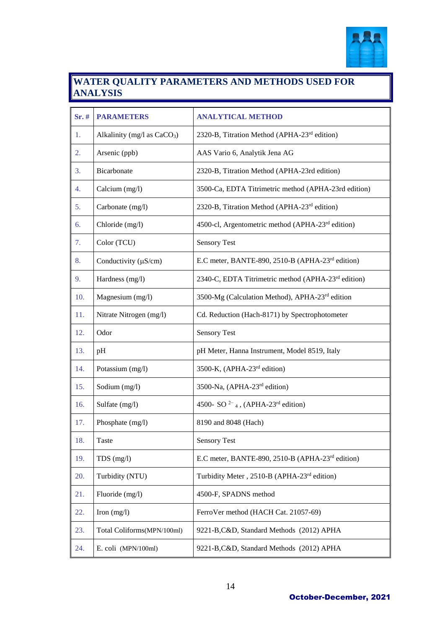

#### **WATER QUALITY PARAMETERS AND METHODS USED FOR ANALYSIS**

| Sr.# | <b>PARAMETERS</b>             | <b>ANALYTICAL METHOD</b>                                              |
|------|-------------------------------|-----------------------------------------------------------------------|
| 1.   | Alkalinity (mg/l as $CaCO3$ ) | 2320-B, Titration Method (APHA-23 <sup>rd</sup> edition)              |
| 2.   | Arsenic (ppb)                 | AAS Vario 6, Analytik Jena AG                                         |
| 3.   | Bicarbonate                   | 2320-B, Titration Method (APHA-23rd edition)                          |
| 4.   | Calcium (mg/l)                | 3500-Ca, EDTA Titrimetric method (APHA-23rd edition)                  |
| 5.   | Carbonate (mg/l)              | 2320-B, Titration Method (APHA-23 <sup>rd</sup> edition)              |
| 6.   | Chloride (mg/l)               | 4500-cl, Argentometric method (APHA-23rd edition)                     |
| 7.   | Color (TCU)                   | <b>Sensory Test</b>                                                   |
| 8.   | Conductivity $(\mu S/cm)$     | E.C meter, BANTE-890, 2510-B (APHA-23 <sup>rd</sup> edition)          |
| 9.   | Hardness (mg/l)               | 2340-C, EDTA Titrimetric method (APHA-23 <sup>rd</sup> edition)       |
| 10.  | Magnesium (mg/l)              | 3500-Mg (Calculation Method), APHA-23 <sup>rd</sup> edition           |
| 11.  | Nitrate Nitrogen (mg/l)       | Cd. Reduction (Hach-8171) by Spectrophotometer                        |
| 12.  | Odor                          | <b>Sensory Test</b>                                                   |
| 13.  | pH                            | pH Meter, Hanna Instrument, Model 8519, Italy                         |
| 14.  | Potassium (mg/l)              | 3500-K, (APHA-23 <sup>rd</sup> edition)                               |
| 15.  | Sodium (mg/l)                 | 3500-Na, (APHA-23 <sup>rd</sup> edition)                              |
| 16.  | Sulfate (mg/l)                | 4500- SO <sup>2-</sup> <sub>4</sub> , (APHA-23 <sup>rd</sup> edition) |
| 17.  | Phosphate (mg/l)              | 8190 and 8048 (Hach)                                                  |
| 18.  | Taste                         | <b>Sensory Test</b>                                                   |
| 19.  | $TDS$ (mg/l)                  | E.C meter, BANTE-890, 2510-B (APHA-23 <sup>rd</sup> edition)          |
| 20.  | Turbidity (NTU)               | Turbidity Meter, 2510-B (APHA-23 <sup>rd</sup> edition)               |
| 21.  | Fluoride (mg/l)               | 4500-F, SPADNS method                                                 |
| 22.  | Iron $(mg/l)$                 | FerroVer method (HACH Cat. 21057-69)                                  |
| 23.  | Total Coliforms(MPN/100ml)    | 9221-B, C&D, Standard Methods (2012) APHA                             |
| 24.  | E. coli (MPN/100ml)           | 9221-B, C&D, Standard Methods (2012) APHA                             |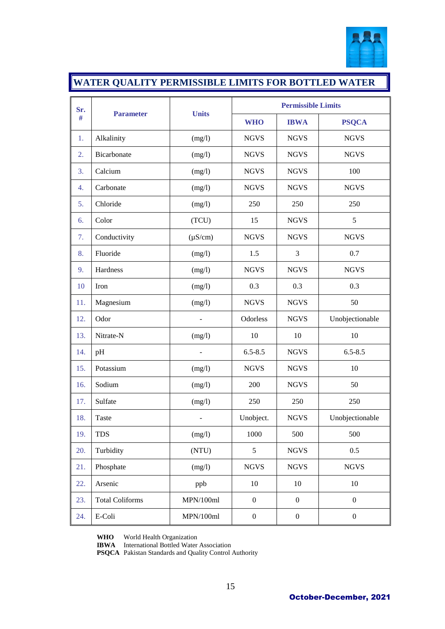

### **WATER QUALITY PERMISSIBLE LIMITS FOR BOTTLED WATER**

| Sr. | <b>Parameter</b>       |              | <b>Permissible Limits</b> |                  |                  |  |  |
|-----|------------------------|--------------|---------------------------|------------------|------------------|--|--|
| #   |                        | <b>Units</b> | <b>WHO</b>                | <b>IBWA</b>      | <b>PSQCA</b>     |  |  |
| 1.  | Alkalinity             | (mg/l)       | <b>NGVS</b>               | <b>NGVS</b>      | <b>NGVS</b>      |  |  |
| 2.  | Bicarbonate            | (mg/l)       | <b>NGVS</b>               | <b>NGVS</b>      | <b>NGVS</b>      |  |  |
| 3.  | Calcium                | (mg/l)       | <b>NGVS</b>               | <b>NGVS</b>      | 100              |  |  |
| 4.  | Carbonate              | (mg/l)       | <b>NGVS</b>               | <b>NGVS</b>      | <b>NGVS</b>      |  |  |
| 5.  | Chloride               | (mg/l)       | 250                       | 250              | 250              |  |  |
| 6.  | Color                  | (TCU)        | 15                        | <b>NGVS</b>      | 5                |  |  |
| 7.  | Conductivity           | $(\mu S/cm)$ | <b>NGVS</b>               | <b>NGVS</b>      | <b>NGVS</b>      |  |  |
| 8.  | Fluoride               | (mg/l)       | 1.5                       | 3                | 0.7              |  |  |
| 9.  | Hardness               | (mg/l)       | <b>NGVS</b>               | <b>NGVS</b>      | <b>NGVS</b>      |  |  |
| 10  | Iron                   | (mg/l)       | 0.3                       | 0.3              | 0.3              |  |  |
| 11. | Magnesium              | (mg/l)       | <b>NGVS</b>               | <b>NGVS</b>      | 50               |  |  |
| 12. | Odor                   |              | Odorless                  | <b>NGVS</b>      | Unobjectionable  |  |  |
| 13. | Nitrate-N              | (mg/l)       | 10                        | 10               | 10               |  |  |
| 14. | pH                     |              | $6.5 - 8.5$               | <b>NGVS</b>      | $6.5 - 8.5$      |  |  |
| 15. | Potassium              | (mg/l)       | <b>NGVS</b>               | <b>NGVS</b>      | 10               |  |  |
| 16. | Sodium                 | (mg/l)       | 200                       | <b>NGVS</b>      | 50               |  |  |
| 17. | Sulfate                | (mg/l)       | 250                       | 250              | 250              |  |  |
| 18. | Taste                  |              | Unobject.                 | <b>NGVS</b>      | Unobjectionable  |  |  |
| 19. | <b>TDS</b>             | (mg/l)       | 1000                      | 500              | 500              |  |  |
| 20. | Turbidity              | (NTU)        | 5                         | <b>NGVS</b>      | 0.5              |  |  |
| 21. | Phosphate              | (mg/l)       | <b>NGVS</b>               | <b>NGVS</b>      | <b>NGVS</b>      |  |  |
| 22. | Arsenic                | ppb          | $10\,$                    | $10\,$           | 10               |  |  |
| 23. | <b>Total Coliforms</b> | MPN/100ml    | $\boldsymbol{0}$          | $\boldsymbol{0}$ | $\boldsymbol{0}$ |  |  |
| 24. | E-Coli                 | MPN/100ml    | $\boldsymbol{0}$          | $\boldsymbol{0}$ | $\boldsymbol{0}$ |  |  |

**WHO** World Health Organization

**IBWA** International Bottled Water Association

**PSQCA** Pakistan Standards and Quality Control Authority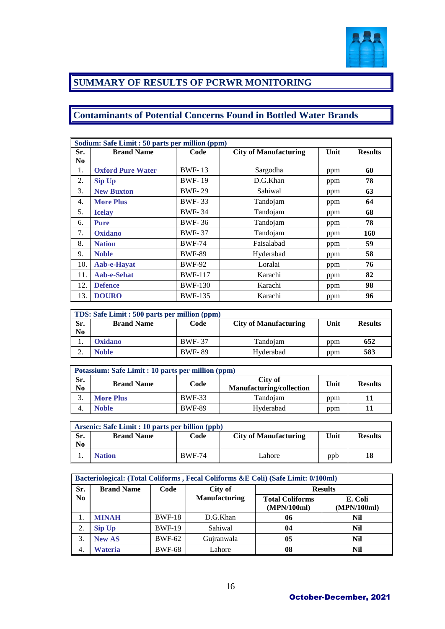

### **SUMMARY OF RESULTS OF PCRWR MONITORING**

### **Contaminants of Potential Concerns Found in Bottled Water Brands**

|                | Sodium: Safe Limit : 50 parts per million (ppm) |                |                              |      |                |  |  |  |
|----------------|-------------------------------------------------|----------------|------------------------------|------|----------------|--|--|--|
| Sr.            | <b>Brand Name</b>                               | Code           | <b>City of Manufacturing</b> | Unit | <b>Results</b> |  |  |  |
| N <sub>0</sub> |                                                 |                |                              |      |                |  |  |  |
| 1.             | <b>Oxford Pure Water</b>                        | <b>BWF-13</b>  | Sargodha                     | ppm  | 60             |  |  |  |
| 2.             | <b>Sip Up</b>                                   | <b>BWF-19</b>  | D.G.Khan                     | ppm  | 78             |  |  |  |
| 3.             | <b>New Buxton</b>                               | <b>BWF-29</b>  | Sahiwal                      | ppm  | 63             |  |  |  |
| 4.             | <b>More Plus</b>                                | <b>BWF-33</b>  | Tandojam                     | ppm  | 64             |  |  |  |
| 5.             | <b>Icelay</b>                                   | <b>BWF-34</b>  | Tandojam                     | ppm  | 68             |  |  |  |
| 6.             | <b>Pure</b>                                     | <b>BWF-36</b>  | Tandojam                     | ppm  | 78             |  |  |  |
| 7.             | <b>Oxidano</b>                                  | <b>BWF-37</b>  | Tandojam                     | ppm  | 160            |  |  |  |
| 8.             | <b>Nation</b>                                   | <b>BWF-74</b>  | Faisalabad                   | ppm  | 59             |  |  |  |
| 9.             | <b>Noble</b>                                    | <b>BWF-89</b>  | Hyderabad                    | ppm  | 58             |  |  |  |
| 10.            | Aab-e-Hayat                                     | <b>BWF-92</b>  | Loralai                      | ppm  | 76             |  |  |  |
| 11.            | Aab-e-Sehat                                     | <b>BWF-117</b> | Karachi                      | ppm  | 82             |  |  |  |
| 12.            | <b>Defence</b>                                  | <b>BWF-130</b> | Karachi                      | ppm  | 98             |  |  |  |
| 13.            | <b>DOURO</b>                                    | <b>BWF-135</b> | Karachi                      | ppm  | 96             |  |  |  |

| TDS: Safe Limit : 500 parts per million (ppm) |                   |               |                              |      |                |
|-----------------------------------------------|-------------------|---------------|------------------------------|------|----------------|
| Sr.                                           | <b>Brand Name</b> | Code          | <b>City of Manufacturing</b> | Unit | <b>Results</b> |
| N <sub>0</sub>                                |                   |               |                              |      |                |
|                                               | <b>Oxidano</b>    | <b>BWF-37</b> | Tandojam                     | ppm  | 652            |
| ٠.                                            | <b>Noble</b>      | <b>BWF-89</b> | Hyderabad                    | ppm  | 583            |

|                               | Potassium: Safe Limit : 10 parts per million (ppm) |               |                                            |      |                |  |  |
|-------------------------------|----------------------------------------------------|---------------|--------------------------------------------|------|----------------|--|--|
| Sr.<br>$\mathbf{N}\mathbf{0}$ | <b>Brand Name</b>                                  | Code          | City of<br><b>Manufacturing/collection</b> | Unit | <b>Results</b> |  |  |
| J.                            | <b>More Plus</b>                                   | <b>BWF-33</b> | Tandojam                                   | ppm  |                |  |  |
|                               | <b>Noble</b>                                       | <b>BWF-89</b> | Hyderabad                                  | ppm  |                |  |  |

|     | Arsenic: Safe Limit : 10 parts per billion (ppb) |               |                              |      |                |
|-----|--------------------------------------------------|---------------|------------------------------|------|----------------|
| Sr. | <b>Brand Name</b>                                | Code          | <b>City of Manufacturing</b> | Unit | <b>Results</b> |
| No  |                                                  |               |                              |      |                |
|     | <b>Nation</b>                                    | <b>BWF-74</b> | Lahore                       | ppb  | 18             |

|                | Bacteriological: (Total Coliforms, Fecal Coliforms &E Coli) (Safe Limit: 0/100ml) |               |                      |                                       |                        |  |  |  |  |
|----------------|-----------------------------------------------------------------------------------|---------------|----------------------|---------------------------------------|------------------------|--|--|--|--|
| Sr.            | <b>Brand Name</b>                                                                 | Code          | City of              | <b>Results</b>                        |                        |  |  |  |  |
| N <sub>0</sub> |                                                                                   |               | <b>Manufacturing</b> | <b>Total Coliforms</b><br>(MPN/100ml) | E. Coli<br>(MPN/100ml) |  |  |  |  |
| 1.             | <b>MINAH</b>                                                                      | <b>BWF-18</b> | D.G.Khan             | 06                                    | Nil                    |  |  |  |  |
| 2.             | <b>Sip Up</b>                                                                     | <b>BWF-19</b> | Sahiwal              | 04                                    | Nil                    |  |  |  |  |
| 3.             | <b>New AS</b>                                                                     | <b>BWF-62</b> | Gujranwala           | 05                                    | Nil                    |  |  |  |  |
| 4.             | Wateria                                                                           | <b>BWF-68</b> | Lahore               | 08                                    | Nil                    |  |  |  |  |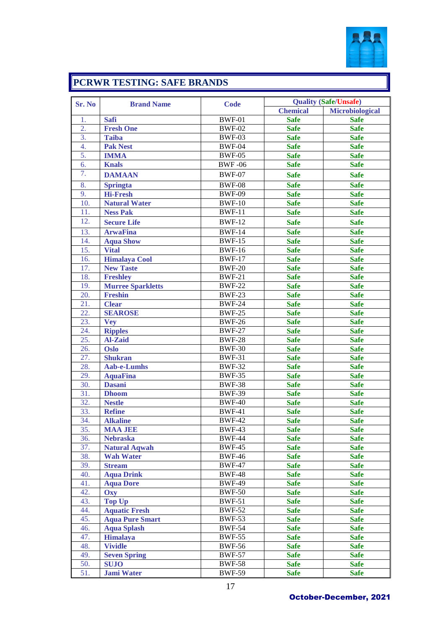

### **PCRWR TESTING: SAFE BRANDS**

| Sr. No           | <b>Brand Name</b>        | <b>Code</b>   |                 | <b>Quality (Safe/Unsafe)</b> |  |  |
|------------------|--------------------------|---------------|-----------------|------------------------------|--|--|
|                  |                          |               | <b>Chemical</b> | <b>Microbiological</b>       |  |  |
| 1.               | <b>Safi</b>              | <b>BWF-01</b> | <b>Safe</b>     | <b>Safe</b>                  |  |  |
| $\overline{2}$ . | <b>Fresh One</b>         | <b>BWF-02</b> | <b>Safe</b>     | <b>Safe</b>                  |  |  |
| 3.               | <b>Taiba</b>             | <b>BWF-03</b> | <b>Safe</b>     | <b>Safe</b>                  |  |  |
| 4.               | <b>Pak Nest</b>          | <b>BWF-04</b> | <b>Safe</b>     | <b>Safe</b>                  |  |  |
| 5.               | <b>IMMA</b>              | <b>BWF-05</b> | <b>Safe</b>     | <b>Safe</b>                  |  |  |
| 6.               | <b>Knals</b>             | <b>BWF-06</b> | <b>Safe</b>     | <b>Safe</b>                  |  |  |
| 7.               | <b>DAMAAN</b>            | <b>BWF-07</b> | <b>Safe</b>     | <b>Safe</b>                  |  |  |
| 8.               | <b>Springta</b>          | <b>BWF-08</b> | <b>Safe</b>     | <b>Safe</b>                  |  |  |
| 9.               | <b>Hi-Fresh</b>          | <b>BWF-09</b> | <b>Safe</b>     | <b>Safe</b>                  |  |  |
| 10.              | <b>Natural Water</b>     | <b>BWF-10</b> | <b>Safe</b>     | <b>Safe</b>                  |  |  |
| 11.              | <b>Ness Pak</b>          | <b>BWF-11</b> | <b>Safe</b>     | <b>Safe</b>                  |  |  |
| 12.              | <b>Secure Life</b>       | <b>BWF-12</b> | <b>Safe</b>     | <b>Safe</b>                  |  |  |
| 13.              | <b>ArwaFina</b>          | <b>BWF-14</b> | <b>Safe</b>     | <b>Safe</b>                  |  |  |
| 14.              | <b>Aqua Show</b>         | <b>BWF-15</b> | <b>Safe</b>     | <b>Safe</b>                  |  |  |
| 15.              | <b>Vital</b>             | <b>BWF-16</b> | <b>Safe</b>     | <b>Safe</b>                  |  |  |
| 16.              | <b>Himalaya Cool</b>     | <b>BWF-17</b> | <b>Safe</b>     | <b>Safe</b>                  |  |  |
| 17.              | <b>New Taste</b>         | <b>BWF-20</b> | <b>Safe</b>     | <b>Safe</b>                  |  |  |
| 18.              | <b>Freshley</b>          | <b>BWF-21</b> | <b>Safe</b>     | <b>Safe</b>                  |  |  |
| 19.              | <b>Murree Sparkletts</b> | <b>BWF-22</b> | <b>Safe</b>     | <b>Safe</b>                  |  |  |
| 20.              | <b>Freshin</b>           | <b>BWF-23</b> | <b>Safe</b>     | <b>Safe</b>                  |  |  |
| 21.              | <b>Clear</b>             | <b>BWF-24</b> | <b>Safe</b>     | <b>Safe</b>                  |  |  |
| 22.              | <b>SEAROSE</b>           | <b>BWF-25</b> | <b>Safe</b>     | <b>Safe</b>                  |  |  |
| 23.              | <b>Vey</b>               | <b>BWF-26</b> | <b>Safe</b>     | <b>Safe</b>                  |  |  |
| 24.              | <b>Ripples</b>           | <b>BWF-27</b> | <b>Safe</b>     | <b>Safe</b>                  |  |  |
| 25.              | <b>Al-Zaid</b>           | <b>BWF-28</b> | <b>Safe</b>     | <b>Safe</b>                  |  |  |
| 26.              | <b>Oslo</b>              | <b>BWF-30</b> | <b>Safe</b>     | <b>Safe</b>                  |  |  |
| 27.              | <b>Shukran</b>           | <b>BWF-31</b> | <b>Safe</b>     | <b>Safe</b>                  |  |  |
| 28.              | <b>Aab-e-Lumhs</b>       | <b>BWF-32</b> | <b>Safe</b>     | <b>Safe</b>                  |  |  |
| 29.              | <b>AquaFina</b>          | <b>BWF-35</b> | <b>Safe</b>     | <b>Safe</b>                  |  |  |
| 30.              | <b>Dasani</b>            | <b>BWF-38</b> | <b>Safe</b>     | <b>Safe</b>                  |  |  |
| 31.              | <b>Dhoom</b>             | <b>BWF-39</b> | <b>Safe</b>     | <b>Safe</b>                  |  |  |
| 32.              | <b>Nestle</b>            | <b>BWF-40</b> | <b>Safe</b>     | <b>Safe</b>                  |  |  |
| 33.              | <b>Refine</b>            | <b>BWF-41</b> | <b>Safe</b>     | <b>Safe</b>                  |  |  |
| 34.              | <b>Alkaline</b>          | <b>BWF-42</b> | <b>Safe</b>     | <b>Safe</b>                  |  |  |
| 35.              | <b>MAA JEE</b>           | <b>BWF-43</b> | <b>Safe</b>     | <b>Safe</b>                  |  |  |
| 36.              | <b>Nebraska</b>          | <b>BWF-44</b> | <b>Safe</b>     | <b>Safe</b>                  |  |  |
| 37.              | <b>Natural Aqwah</b>     | <b>BWF-45</b> | <b>Safe</b>     | <b>Safe</b>                  |  |  |
| 38.              | <b>Wah Water</b>         | <b>BWF-46</b> | <b>Safe</b>     | <b>Safe</b>                  |  |  |
| 39.              | <b>Stream</b>            | <b>BWF-47</b> | <b>Safe</b>     | <b>Safe</b>                  |  |  |
| 40.              | <b>Aqua Drink</b>        | <b>BWF-48</b> | <b>Safe</b>     | <b>Safe</b>                  |  |  |
| 41.              | <b>Aqua Dore</b>         | <b>BWF-49</b> | <b>Safe</b>     | <b>Safe</b>                  |  |  |
| 42.              | Oxy                      | <b>BWF-50</b> | <b>Safe</b>     | <b>Safe</b>                  |  |  |
| 43.              | <b>Top Up</b>            | <b>BWF-51</b> | <b>Safe</b>     | <b>Safe</b>                  |  |  |
| 44.              | <b>Aquatic Fresh</b>     | <b>BWF-52</b> | <b>Safe</b>     | <b>Safe</b>                  |  |  |
| 45.              | <b>Aqua Pure Smart</b>   | <b>BWF-53</b> | <b>Safe</b>     | <b>Safe</b>                  |  |  |
| 46.              | <b>Aqua Splash</b>       | <b>BWF-54</b> | <b>Safe</b>     | <b>Safe</b>                  |  |  |
| 47.              | <b>Himalaya</b>          | <b>BWF-55</b> | <b>Safe</b>     | <b>Safe</b>                  |  |  |
| 48.              | <b>Vividle</b>           | <b>BWF-56</b> | <b>Safe</b>     | <b>Safe</b>                  |  |  |
| 49.              | <b>Seven Spring</b>      | <b>BWF-57</b> | <b>Safe</b>     | <b>Safe</b>                  |  |  |
| 50.              | <b>SUJO</b>              | <b>BWF-58</b> | <b>Safe</b>     | <b>Safe</b>                  |  |  |
| 51.              | <b>Jami Water</b>        | <b>BWF-59</b> | <b>Safe</b>     | <b>Safe</b>                  |  |  |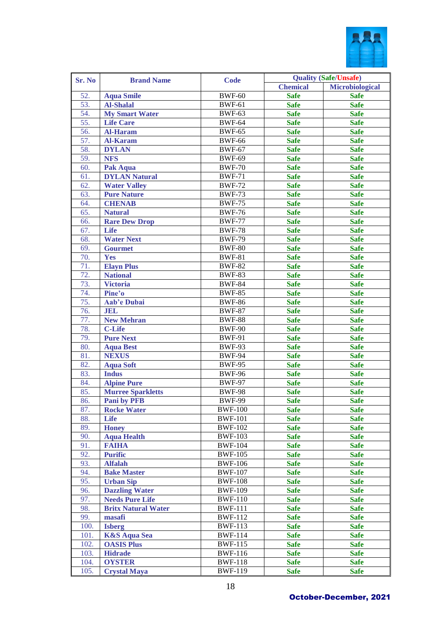

| Sr. No | <b>Brand Name</b>          | <b>Code</b>    |                 | <b>Quality (Safe/Unsafe)</b> |
|--------|----------------------------|----------------|-----------------|------------------------------|
|        |                            |                | <b>Chemical</b> | <b>Microbiological</b>       |
| 52.    | <b>Aqua Smile</b>          | <b>BWF-60</b>  | <b>Safe</b>     | <b>Safe</b>                  |
| 53.    | <b>Al-Shalal</b>           | <b>BWF-61</b>  | <b>Safe</b>     | <b>Safe</b>                  |
| 54.    | <b>My Smart Water</b>      | <b>BWF-63</b>  | <b>Safe</b>     | <b>Safe</b>                  |
| 55.    | <b>Life Care</b>           | <b>BWF-64</b>  | <b>Safe</b>     | <b>Safe</b>                  |
| 56.    | <b>Al-Haram</b>            | <b>BWF-65</b>  | <b>Safe</b>     | <b>Safe</b>                  |
| 57.    | <b>Al-Karam</b>            | <b>BWF-66</b>  | <b>Safe</b>     | <b>Safe</b>                  |
| 58.    | <b>DYLAN</b>               | <b>BWF-67</b>  | <b>Safe</b>     | <b>Safe</b>                  |
| 59.    | <b>NFS</b>                 | <b>BWF-69</b>  | <b>Safe</b>     | <b>Safe</b>                  |
| 60.    | <b>Pak Aqua</b>            | <b>BWF-70</b>  | <b>Safe</b>     | <b>Safe</b>                  |
| 61.    | <b>DYLAN Natural</b>       | <b>BWF-71</b>  | <b>Safe</b>     | <b>Safe</b>                  |
| 62.    | <b>Water Valley</b>        | <b>BWF-72</b>  | <b>Safe</b>     | <b>Safe</b>                  |
| 63.    | <b>Pure Nature</b>         | <b>BWF-73</b>  | <b>Safe</b>     | <b>Safe</b>                  |
| 64.    | <b>CHENAB</b>              | <b>BWF-75</b>  | <b>Safe</b>     | <b>Safe</b>                  |
| 65.    | <b>Natural</b>             | <b>BWF-76</b>  | <b>Safe</b>     | <b>Safe</b>                  |
| 66.    | <b>Rare Dew Drop</b>       | <b>BWF-77</b>  | <b>Safe</b>     | <b>Safe</b>                  |
| 67.    | <b>Life</b>                | <b>BWF-78</b>  | <b>Safe</b>     | <b>Safe</b>                  |
| 68.    | <b>Water Next</b>          | <b>BWF-79</b>  | <b>Safe</b>     | <b>Safe</b>                  |
| 69.    | <b>Gourmet</b>             | <b>BWF-80</b>  | <b>Safe</b>     | <b>Safe</b>                  |
| 70.    | Yes                        | <b>BWF-81</b>  | <b>Safe</b>     | <b>Safe</b>                  |
| 71.    | <b>Elayn Plus</b>          | <b>BWF-82</b>  | <b>Safe</b>     | <b>Safe</b>                  |
| 72.    | <b>National</b>            | <b>BWF-83</b>  | <b>Safe</b>     | <b>Safe</b>                  |
| 73.    | <b>Victoria</b>            | <b>BWF-84</b>  | <b>Safe</b>     | <b>Safe</b>                  |
| 74.    | Pine'o                     | <b>BWF-85</b>  | <b>Safe</b>     | <b>Safe</b>                  |
| 75.    | Aab'e Dubai                | <b>BWF-86</b>  | <b>Safe</b>     | <b>Safe</b>                  |
| 76.    | <b>JEL</b>                 | <b>BWF-87</b>  | <b>Safe</b>     | <b>Safe</b>                  |
| 77.    | <b>New Mehran</b>          | <b>BWF-88</b>  | <b>Safe</b>     | <b>Safe</b>                  |
| 78.    | <b>C-Life</b>              | <b>BWF-90</b>  | <b>Safe</b>     | <b>Safe</b>                  |
| 79.    | <b>Pure Next</b>           | <b>BWF-91</b>  | <b>Safe</b>     | <b>Safe</b>                  |
| 80.    | <b>Aqua Best</b>           | <b>BWF-93</b>  | <b>Safe</b>     | <b>Safe</b>                  |
| 81.    | <b>NEXUS</b>               | <b>BWF-94</b>  | <b>Safe</b>     | <b>Safe</b>                  |
| 82.    | <b>Aqua Soft</b>           | <b>BWF-95</b>  | <b>Safe</b>     | <b>Safe</b>                  |
| 83.    | <b>Indus</b>               | <b>BWF-96</b>  | <b>Safe</b>     | <b>Safe</b>                  |
| 84.    | <b>Alpine Pure</b>         | <b>BWF-97</b>  | <b>Safe</b>     | <b>Safe</b>                  |
| 85.    | <b>Murree Sparkletts</b>   | <b>BWF-98</b>  | <b>Safe</b>     | <b>Safe</b>                  |
| 86.    | <b>Pani by PFB</b>         | <b>BWF-99</b>  | <b>Safe</b>     | <b>Safe</b>                  |
| 87.    | <b>Rocke Water</b>         | <b>BWF-100</b> | <b>Safe</b>     | <b>Safe</b>                  |
| 88.    | Life                       | <b>BWF-101</b> | <b>Safe</b>     | <b>Safe</b>                  |
| 89.    | <b>Honey</b>               | <b>BWF-102</b> | <b>Safe</b>     | <b>Safe</b>                  |
| 90.    | <b>Aqua Health</b>         | <b>BWF-103</b> | <b>Safe</b>     | <b>Safe</b>                  |
| 91.    | <b>FAIHA</b>               | <b>BWF-104</b> | <b>Safe</b>     | <b>Safe</b>                  |
| 92.    | <b>Purific</b>             | <b>BWF-105</b> | <b>Safe</b>     | <b>Safe</b>                  |
| 93.    | <b>Alfalah</b>             | <b>BWF-106</b> | <b>Safe</b>     | <b>Safe</b>                  |
| 94.    | <b>Bake Master</b>         | <b>BWF-107</b> | <b>Safe</b>     | <b>Safe</b>                  |
| 95.    | <b>Urban Sip</b>           | <b>BWF-108</b> | <b>Safe</b>     | <b>Safe</b>                  |
| 96.    | <b>Dazzling Water</b>      | <b>BWF-109</b> | <b>Safe</b>     | <b>Safe</b>                  |
| 97.    | <b>Needs Pure Life</b>     | <b>BWF-110</b> | <b>Safe</b>     | <b>Safe</b>                  |
| 98.    | <b>Britx Natural Water</b> | <b>BWF-111</b> | <b>Safe</b>     | <b>Safe</b>                  |
| 99.    | masafi                     | <b>BWF-112</b> | <b>Safe</b>     | <b>Safe</b>                  |
| 100.   | <b>Isberg</b>              | <b>BWF-113</b> | <b>Safe</b>     | <b>Safe</b>                  |
| 101.   | <b>K&amp;S Aqua Sea</b>    | <b>BWF-114</b> | <b>Safe</b>     | <b>Safe</b>                  |
| 102.   | <b>OASIS Plus</b>          | <b>BWF-115</b> | <b>Safe</b>     | <b>Safe</b>                  |
| 103.   | <b>Hidrade</b>             | <b>BWF-116</b> | <b>Safe</b>     | <b>Safe</b>                  |
| 104.   | <b>OYSTER</b>              | <b>BWF-118</b> | <b>Safe</b>     | <b>Safe</b>                  |
| 105.   | <b>Crystal Maya</b>        | <b>BWF-119</b> | <b>Safe</b>     | <b>Safe</b>                  |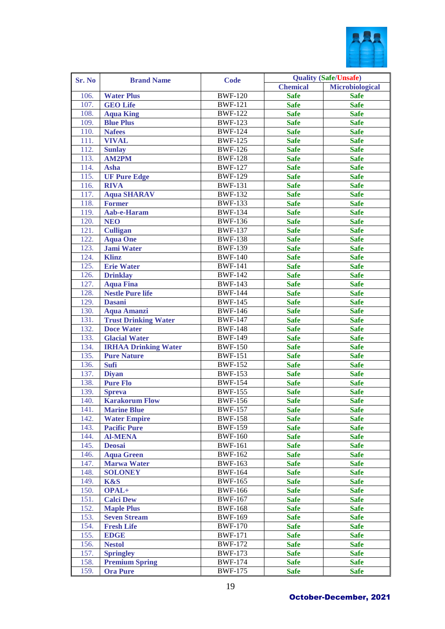

| Sr. No | <b>Brand Name</b>           | <b>Code</b>    |                 | <b>Quality (Safe/Unsafe)</b> |
|--------|-----------------------------|----------------|-----------------|------------------------------|
|        |                             |                | <b>Chemical</b> | Microbiological              |
| 106.   | <b>Water Plus</b>           | <b>BWF-120</b> | <b>Safe</b>     | <b>Safe</b>                  |
| 107.   | <b>GEO Life</b>             | <b>BWF-121</b> | <b>Safe</b>     | <b>Safe</b>                  |
| 108.   | <b>Aqua King</b>            | <b>BWF-122</b> | <b>Safe</b>     | <b>Safe</b>                  |
| 109.   | <b>Blue Plus</b>            | $BWF-123$      | <b>Safe</b>     | <b>Safe</b>                  |
| 110.   | <b>Nafees</b>               | <b>BWF-124</b> | <b>Safe</b>     | <b>Safe</b>                  |
| 111.   | <b>VIVAL</b>                | <b>BWF-125</b> | <b>Safe</b>     | <b>Safe</b>                  |
| 112.   | <b>Sunlay</b>               | <b>BWF-126</b> | <b>Safe</b>     | <b>Safe</b>                  |
| 113.   | <b>AM2PM</b>                | <b>BWF-128</b> | <b>Safe</b>     | <b>Safe</b>                  |
| 114.   | <b>Asha</b>                 | <b>BWF-127</b> | <b>Safe</b>     | <b>Safe</b>                  |
| 115.   | <b>UF Pure Edge</b>         | <b>BWF-129</b> | <b>Safe</b>     | <b>Safe</b>                  |
| 116.   | <b>RIVA</b>                 | <b>BWF-131</b> | <b>Safe</b>     | <b>Safe</b>                  |
| 117.   | <b>Aqua SHARAV</b>          | <b>BWF-132</b> | <b>Safe</b>     | <b>Safe</b>                  |
| 118.   | <b>Former</b>               | <b>BWF-133</b> | <b>Safe</b>     | <b>Safe</b>                  |
| 119.   | Aab-e-Haram                 | <b>BWF-134</b> | <b>Safe</b>     | <b>Safe</b>                  |
| 120.   | <b>NEO</b>                  | <b>BWF-136</b> | <b>Safe</b>     | <b>Safe</b>                  |
| 121.   | <b>Culligan</b>             | <b>BWF-137</b> | <b>Safe</b>     | <b>Safe</b>                  |
| 122.   | <b>Aqua One</b>             | <b>BWF-138</b> | <b>Safe</b>     | <b>Safe</b>                  |
| 123.   | <b>Jami Water</b>           | <b>BWF-139</b> | <b>Safe</b>     | <b>Safe</b>                  |
| 124.   | Klinz                       | <b>BWF-140</b> | <b>Safe</b>     | <b>Safe</b>                  |
| 125.   | <b>Erie Water</b>           | <b>BWF-141</b> | <b>Safe</b>     | <b>Safe</b>                  |
| 126.   | <b>Drinklay</b>             | <b>BWF-142</b> | <b>Safe</b>     | <b>Safe</b>                  |
| 127.   | <b>Aqua Fina</b>            | <b>BWF-143</b> | <b>Safe</b>     | <b>Safe</b>                  |
| 128.   | <b>Nestle Pure life</b>     | <b>BWF-144</b> | <b>Safe</b>     | <b>Safe</b>                  |
| 129.   | <b>Dasani</b>               | <b>BWF-145</b> | <b>Safe</b>     | <b>Safe</b>                  |
| 130.   | <b>Aqua Amanzi</b>          | <b>BWF-146</b> | <b>Safe</b>     | <b>Safe</b>                  |
| 131.   | <b>Trust Drinking Water</b> | <b>BWF-147</b> | <b>Safe</b>     | <b>Safe</b>                  |
| 132.   | <b>Doce Water</b>           | <b>BWF-148</b> | <b>Safe</b>     | <b>Safe</b>                  |
| 133.   | <b>Glacial Water</b>        | <b>BWF-149</b> | <b>Safe</b>     | <b>Safe</b>                  |
| 134.   | <b>IRHAA Drinking Water</b> | <b>BWF-150</b> | <b>Safe</b>     | <b>Safe</b>                  |
| 135.   | <b>Pure Nature</b>          | <b>BWF-151</b> | <b>Safe</b>     | <b>Safe</b>                  |
| 136.   | <b>Sufi</b>                 | <b>BWF-152</b> | <b>Safe</b>     | <b>Safe</b>                  |
| 137.   | <b>Diyan</b>                | <b>BWF-153</b> | <b>Safe</b>     | <b>Safe</b>                  |
| 138.   | <b>Pure Flo</b>             | <b>BWF-154</b> | <b>Safe</b>     | <b>Safe</b>                  |
| 139.   | <b>Spreva</b>               | <b>BWF-155</b> | <b>Safe</b>     | <b>Safe</b>                  |
| 140.   | <b>Karakorum Flow</b>       | <b>BWF-156</b> | <b>Safe</b>     | <b>Safe</b>                  |
| 141.   | <b>Marine Blue</b>          | <b>BWF-157</b> | <b>Safe</b>     | <b>Safe</b>                  |
| 142.   | <b>Water Empire</b>         | <b>BWF-158</b> | <b>Safe</b>     | <b>Safe</b>                  |
| 143.   | <b>Pacific Pure</b>         | <b>BWF-159</b> | <b>Safe</b>     | <b>Safe</b>                  |
| 144.   | <b>Al-MENA</b>              | <b>BWF-160</b> | <b>Safe</b>     | <b>Safe</b>                  |
| 145.   | <b>Deosai</b>               | <b>BWF-161</b> | <b>Safe</b>     | <b>Safe</b>                  |
| 146.   | <b>Aqua Green</b>           | <b>BWF-162</b> | <b>Safe</b>     | <b>Safe</b>                  |
| 147.   | <b>Marwa Water</b>          | <b>BWF-163</b> | <b>Safe</b>     | <b>Safe</b>                  |
| 148.   | <b>SOLONEY</b>              | <b>BWF-164</b> | <b>Safe</b>     | <b>Safe</b>                  |
| 149.   | K&S                         | <b>BWF-165</b> | <b>Safe</b>     | <b>Safe</b>                  |
| 150.   | OPAL+                       | <b>BWF-166</b> | <b>Safe</b>     | <b>Safe</b>                  |
| 151.   | <b>Calci Dew</b>            | <b>BWF-167</b> | <b>Safe</b>     | <b>Safe</b>                  |
| 152.   | <b>Maple Plus</b>           | <b>BWF-168</b> | <b>Safe</b>     | <b>Safe</b>                  |
| 153.   | <b>Seven Stream</b>         | <b>BWF-169</b> | <b>Safe</b>     | <b>Safe</b>                  |
| 154.   | <b>Fresh Life</b>           | <b>BWF-170</b> | <b>Safe</b>     | <b>Safe</b>                  |
| 155.   | <b>EDGE</b>                 | <b>BWF-171</b> | <b>Safe</b>     | <b>Safe</b>                  |
| 156.   | <b>Nestol</b>               | <b>BWF-172</b> | <b>Safe</b>     | <b>Safe</b>                  |
| 157.   | <b>Springley</b>            | <b>BWF-173</b> | <b>Safe</b>     | <b>Safe</b>                  |
| 158.   | <b>Premium Spring</b>       | <b>BWF-174</b> | <b>Safe</b>     | <b>Safe</b>                  |
| 159.   | <b>Ora Pure</b>             | <b>BWF-175</b> | <b>Safe</b>     | <b>Safe</b>                  |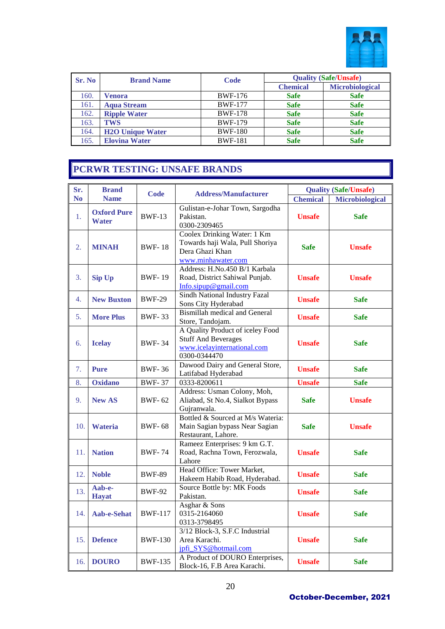

| Sr. No | <b>Brand Name</b>       | Code           | <b>Quality (Safe/Unsafe)</b> |                        |  |  |  |  |  |
|--------|-------------------------|----------------|------------------------------|------------------------|--|--|--|--|--|
|        |                         |                | <b>Chemical</b>              | <b>Microbiological</b> |  |  |  |  |  |
| 160.   | Venora                  | <b>BWF-176</b> | <b>Safe</b>                  | <b>Safe</b>            |  |  |  |  |  |
| 161.   | <b>Aqua Stream</b>      | <b>BWF-177</b> | <b>Safe</b>                  | <b>Safe</b>            |  |  |  |  |  |
| 162.   | <b>Ripple Water</b>     | <b>BWF-178</b> | <b>Safe</b>                  | <b>Safe</b>            |  |  |  |  |  |
| 163.   | <b>TWS</b>              | <b>BWF-179</b> | <b>Safe</b>                  | <b>Safe</b>            |  |  |  |  |  |
| 164.   | <b>H2O Unique Water</b> | <b>BWF-180</b> | <b>Safe</b>                  | <b>Safe</b>            |  |  |  |  |  |
| 165.   | <b>Elovina Water</b>    | <b>BWF-181</b> | <b>Safe</b>                  | <b>Safe</b>            |  |  |  |  |  |

# **PCRWR TESTING: UNSAFE BRANDS**

| Sr.            | <b>Brand</b>                | <b>Code</b>    | <b>Address/Manufacturer</b>                                                                                   |                 | <b>Quality (Safe/Unsafe)</b> |
|----------------|-----------------------------|----------------|---------------------------------------------------------------------------------------------------------------|-----------------|------------------------------|
| N <sub>o</sub> | <b>Name</b>                 |                |                                                                                                               | <b>Chemical</b> | <b>Microbiological</b>       |
| 1.             | <b>Oxford Pure</b><br>Water | <b>BWF-13</b>  | Gulistan-e-Johar Town, Sargodha<br>Pakistan.<br>0300-2309465                                                  | <b>Unsafe</b>   | <b>Safe</b>                  |
| 2.             | <b>MINAH</b>                | <b>BWF-18</b>  | Coolex Drinking Water: 1 Km<br>Towards haji Wala, Pull Shoriya<br>Dera Ghazi Khan<br>www.minhawater.com       | <b>Safe</b>     | <b>Unsafe</b>                |
| 3.             | <b>Sip Up</b>               | <b>BWF-19</b>  | Address: H.No.450 B/1 Karbala<br>Road, District Sahiwal Punjab.<br>$Info.\text{sipup@gmail.com}$              | <b>Unsafe</b>   | <b>Unsafe</b>                |
| 4.             | <b>New Buxton</b>           | <b>BWF-29</b>  | Sindh National Industry Fazal<br>Sons City Hyderabad                                                          | <b>Unsafe</b>   | <b>Safe</b>                  |
| 5.             | <b>More Plus</b>            | <b>BWF-33</b>  | <b>Bismillah medical and General</b><br>Store, Tandojam.                                                      | <b>Unsafe</b>   | <b>Safe</b>                  |
| 6.             | <b>Icelay</b>               | <b>BWF-34</b>  | A Quality Product of iceley Food<br><b>Stuff And Beverages</b><br>www.icelayinternational.com<br>0300-0344470 | <b>Unsafe</b>   | <b>Safe</b>                  |
| 7.             | <b>Pure</b>                 | <b>BWF-36</b>  | Dawood Dairy and General Store,<br>Latifabad Hyderabad                                                        | <b>Unsafe</b>   | <b>Safe</b>                  |
| 8.             | <b>Oxidano</b>              | <b>BWF-37</b>  | 0333-8200611                                                                                                  | <b>Unsafe</b>   | <b>Safe</b>                  |
| 9.             | <b>New AS</b>               | <b>BWF-62</b>  | Address: Usman Colony, Moh,<br>Aliabad, St No.4, Sialkot Bypass<br>Gujranwala.                                | <b>Safe</b>     | <b>Unsafe</b>                |
| 10.            | Wateria                     | <b>BWF-68</b>  | Bottled & Sourced at M/s Wateria:<br>Main Sagian bypass Near Sagian<br>Restaurant, Lahore.                    | <b>Safe</b>     | <b>Unsafe</b>                |
| 11.            | <b>Nation</b>               | <b>BWF-74</b>  | Rameez Enterprises: 9 km G.T.<br>Road, Rachna Town, Ferozwala,<br>Lahore                                      | <b>Unsafe</b>   | <b>Safe</b>                  |
| 12.            | <b>Noble</b>                | <b>BWF-89</b>  | Head Office: Tower Market,<br>Hakeem Habib Road, Hyderabad.                                                   | <b>Unsafe</b>   | <b>Safe</b>                  |
| 13.            | Aab-e-<br><b>Hayat</b>      | <b>BWF-92</b>  | Source Bottle by: MK Foods<br>Pakistan.                                                                       | <b>Unsafe</b>   | <b>Safe</b>                  |
| 14.            | Aab-e-Sehat                 | <b>BWF-117</b> | Asghar & Sons<br>0315-2164060<br>0313-3798495                                                                 | <b>Unsafe</b>   | <b>Safe</b>                  |
| 15.            | <b>Defence</b>              | <b>BWF-130</b> | 3/12 Block-3, S.F.C Industrial<br>Area Karachi.<br>jpfi_SYS@hotmail.com                                       | <b>Unsafe</b>   | <b>Safe</b>                  |
| 16.            | <b>DOURO</b>                | <b>BWF-135</b> | A Product of DOURO Enterprises,<br>Block-16, F.B Area Karachi.                                                | <b>Unsafe</b>   | <b>Safe</b>                  |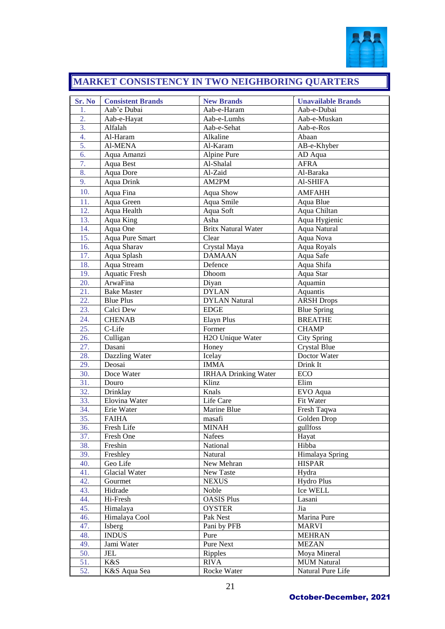

# **MARKET CONSISTENCY IN TWO NEIGHBORING QUARTERS**

| Sr. No                 | <b>Consistent Brands</b><br>Aab'e Dubai | <b>New Brands</b>             | <b>Unavailable Brands</b> |
|------------------------|-----------------------------------------|-------------------------------|---------------------------|
| 1.<br>$\overline{2}$ . |                                         | Aab-e-Haram<br>Aab-e-Lumhs    | Aab-e-Dubai               |
| $\overline{3}$ .       | Aab-e-Hayat                             |                               | Aab-e-Muskan              |
|                        | Alfalah                                 | Aab-e-Sehat                   | Aab-e-Ros                 |
| 4.<br>5.               | Al-Haram                                | Alkaline                      | Abaan                     |
|                        | <b>Al-MENA</b>                          | Al-Karam                      | AB-e-Khyber               |
| 6.                     | Aqua Amanzi                             | Alpine Pure                   | AD Aqua                   |
| $\overline{7}$ .       | Aqua Best                               | Al-Shalal                     | <b>AFRA</b>               |
| 8.                     | Aqua Dore                               | Al-Zaid                       | Al-Baraka                 |
| $\overline{9}$ .       | Aqua Drink                              | AM2PM                         | Al-SHIFA                  |
| 10.                    | Aqua Fina                               | Aqua Show                     | <b>AMFAHH</b>             |
| 11.                    | Aqua Green                              | Aqua Smile                    | Aqua Blue                 |
| 12.                    | Aqua Health                             | Aqua Soft                     | Aqua Chiltan              |
| 13.                    | Aqua King                               | Asha                          | Aqua Hygienic             |
| 14.                    | Aqua One                                | <b>Britx Natural Water</b>    | Aqua Natural              |
| 15.                    | Aqua Pure Smart                         | Clear                         | Aqua Nova                 |
| 16.                    | Aqua Sharav                             | Crystal Maya                  | Aqua Royals               |
| 17.                    | Aqua Splash                             | <b>DAMAAN</b>                 | Aqua Safe                 |
| 18.                    | Aqua Stream                             | Defence                       | Aqua Shifa                |
| 19.                    | <b>Aquatic Fresh</b>                    | Dhoom                         | Aqua Star                 |
| 20.                    | ArwaFina                                | Diyan                         | Aquamin                   |
| 21.                    | <b>Bake Master</b>                      | <b>DYLAN</b>                  | Aquantis                  |
| 22.                    | <b>Blue Plus</b>                        | <b>DYLAN Natural</b>          | <b>ARSH Drops</b>         |
| 23.                    | Calci Dew                               | <b>EDGE</b>                   | <b>Blue Spring</b>        |
| 24.                    | <b>CHENAB</b>                           | <b>Elayn Plus</b>             | <b>BREATHE</b>            |
| 25.                    | C-Life                                  | Former                        | <b>CHAMP</b>              |
| 26.                    | Culligan                                | H <sub>2</sub> O Unique Water | <b>City Spring</b>        |
| 27.                    | Dasani                                  | Honey                         | <b>Crystal Blue</b>       |
| 28.                    | Dazzling Water                          | Icelay                        | Doctor Water              |
| 29.                    | Deosai                                  | <b>IMMA</b>                   | Drink It                  |
| 30.                    | Doce Water                              | <b>IRHAA Drinking Water</b>   | ECO                       |
| 31.                    | Douro                                   | Klinz                         | Elim                      |
| 32.                    | Drinklay                                | Knals<br>Life Care            | EVO Aqua                  |
| 33.<br>34.             | Elovina Water                           | Marine Blue                   | Fit Water                 |
| 35.                    | Erie Water                              |                               | Fresh Taqwa               |
| 36.                    | <b>FAIHA</b>                            | masafi                        | Golden Drop               |
| 37.                    | Fresh Life                              | <b>MINAH</b>                  | gullfoss                  |
| 38.                    | Fresh One<br>Freshin                    | Nafees<br>National            | Hayat<br>Hibba            |
| 39.                    | Freshley                                | Natural                       | Himalaya Spring           |
| 40.                    | Geo Life                                | New Mehran                    | <b>HISPAR</b>             |
| 41.                    | Glacial Water                           | New Taste                     | Hydra                     |
| 42.                    | Gourmet                                 | <b>NEXUS</b>                  | Hydro Plus                |
| 43.                    | Hidrade                                 | Noble                         | Ice WELL                  |
| 44.                    | Hi-Fresh                                | <b>OASIS Plus</b>             | Lasani                    |
| 45.                    | Himalaya                                | <b>OYSTER</b>                 | Jia                       |
| 46.                    | Himalaya Cool                           | Pak Nest                      | Marina Pure               |
| 47.                    | Isberg                                  | Pani by PFB                   | <b>MARVI</b>              |
| 48.                    | <b>INDUS</b>                            | Pure                          | <b>MEHRAN</b>             |
| 49.                    | Jami Water                              | Pure Next                     | <b>MEZAN</b>              |
| 50.                    | JEL                                     | Ripples                       | Moya Mineral              |
| 51.                    | $\overline{\text{K}}$ &S                | <b>RIVA</b>                   | <b>MUM Natural</b>        |
| 52.                    | K&S Aqua Sea                            | Rocke Water                   | Natural Pure Life         |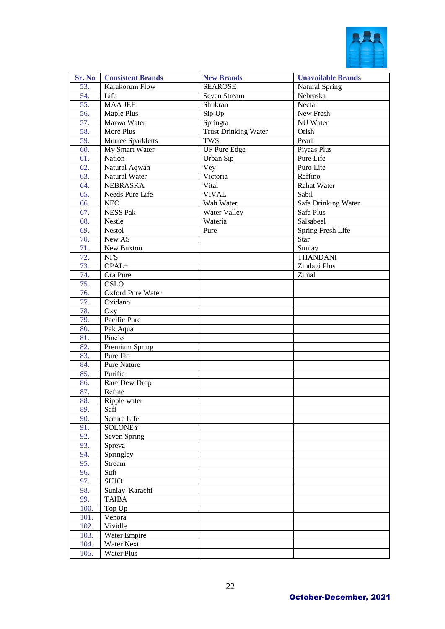

| Sr. No     | <b>Consistent Brands</b>       | <b>New Brands</b>    | <b>Unavailable Brands</b> |
|------------|--------------------------------|----------------------|---------------------------|
| 53.        | Karakorum Flow                 | <b>SEAROSE</b>       | <b>Natural Spring</b>     |
| 54.        | Life                           | Seven Stream         | Nebraska                  |
| 55.        | <b>MAA JEE</b>                 | Shukran              | Nectar                    |
| 56.        | Maple Plus                     | Sip Up               | New Fresh                 |
| 57.        | Marwa Water                    | Springta             | NU Water                  |
| 58.        | More Plus                      | Trust Drinking Water | Orish                     |
| 59.        | Murree Sparkletts              | <b>TWS</b>           | Pearl                     |
| 60.        | My Smart Water                 | <b>UF Pure Edge</b>  | Piyaas Plus               |
| 61.        | Nation                         | Urban Sip            | Pure Life                 |
| 62.        | Natural Aqwah                  | Vey                  | Puro Lite                 |
| 63.        | Natural Water                  | Victoria             | Raffino                   |
| 64.        | NEBRASKA                       | Vital                | Rahat Water               |
| 65.        | Needs Pure Life                | <b>VIVAL</b>         | Sabil                     |
| 66.        | <b>NEO</b>                     | Wah Water            | Safa Drinking Water       |
| 67.        | <b>NESS Pak</b>                | Water Valley         | Safa Plus                 |
| 68.        | Nestle                         | Wateria              | Salsabeel                 |
| 69.        | Nestol                         | Pure                 | Spring Fresh Life         |
| 70.        | New AS                         |                      | Star                      |
| 71.        | New Buxton                     |                      | Sunlay                    |
| 72.        | <b>NFS</b>                     |                      | <b>THANDANI</b>           |
| 73.        | OPAL+                          |                      | Zindagi Plus              |
| 74.        | Ora Pure                       |                      | Zimal                     |
| 75.        | <b>OSLO</b>                    |                      |                           |
| 76.        | Oxford Pure Water              |                      |                           |
| 77.        | Oxidano                        |                      |                           |
| 78.        | Oxy                            |                      |                           |
| 79.        | Pacific Pure                   |                      |                           |
| 80.        | Pak Aqua                       |                      |                           |
| 81.        | Pine'o                         |                      |                           |
| 82.        | Premium Spring                 |                      |                           |
| 83.        | Pure Flo                       |                      |                           |
| 84.        | Pure Nature                    |                      |                           |
| 85.        | Purific                        |                      |                           |
| 86.        | Rare Dew Drop                  |                      |                           |
| 87.        | Refine                         |                      |                           |
| 88.        | Ripple water                   |                      |                           |
| 89.        | Safi                           |                      |                           |
| 90.        | Secure Life                    |                      |                           |
| 91.<br>92. | <b>SOLONEY</b><br>Seven Spring |                      |                           |
| 93.        | Spreva                         |                      |                           |
| 94.        | Springley                      |                      |                           |
| 95.        | Stream                         |                      |                           |
| 96.        | Sufi                           |                      |                           |
| 97.        | <b>SUJO</b>                    |                      |                           |
| 98.        | Sunlay Karachi                 |                      |                           |
| 99.        | <b>TAIBA</b>                   |                      |                           |
| 100.       | Top Up                         |                      |                           |
| 101.       | Venora                         |                      |                           |
| 102.       | Vividle                        |                      |                           |
| 103.       | Water Empire                   |                      |                           |
| 104.       | <b>Water Next</b>              |                      |                           |
| 105.       | <b>Water Plus</b>              |                      |                           |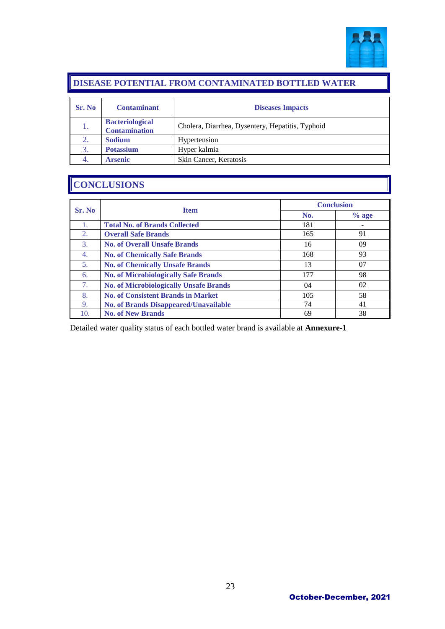

#### **DISEASE POTENTIAL FROM CONTAMINATED BOTTLED WATER**

| Sr. No | <b>Contaminant</b>                             | <b>Diseases Impacts</b>                          |
|--------|------------------------------------------------|--------------------------------------------------|
|        | <b>Bacteriological</b><br><b>Contamination</b> | Cholera, Diarrhea, Dysentery, Hepatitis, Typhoid |
|        | <b>Sodium</b>                                  | Hypertension                                     |
| 3.     | <b>Potassium</b>                               | Hyper kalmia                                     |
|        | <b>Arsenic</b>                                 | Skin Cancer, Keratosis                           |

### **CONCLUSIONS**

| Sr. No           | <b>Item</b>                                   | <b>Conclusion</b> |         |
|------------------|-----------------------------------------------|-------------------|---------|
|                  |                                               | No.               | $%$ age |
| 1.               | <b>Total No. of Brands Collected</b>          | 181               |         |
| 2.               | <b>Overall Safe Brands</b>                    | 165               | 91      |
| 3.               | <b>No. of Overall Unsafe Brands</b>           | 16                | 09      |
| $\overline{4}$ . | <b>No. of Chemically Safe Brands</b>          | 168               | 93      |
| 5.               | <b>No. of Chemically Unsafe Brands</b>        | 13                | 07      |
| 6.               | <b>No. of Microbiologically Safe Brands</b>   | 177               | 98      |
| 7.               | <b>No. of Microbiologically Unsafe Brands</b> | 04                | 02      |
| 8.               | <b>No. of Consistent Brands in Market</b>     | 105               | 58      |
| 9.               | <b>No. of Brands Disappeared/Unavailable</b>  | 74                | 41      |
| 10.              | <b>No. of New Brands</b>                      | 69                | 38      |

Detailed water quality status of each bottled water brand is available at **Annexure-1**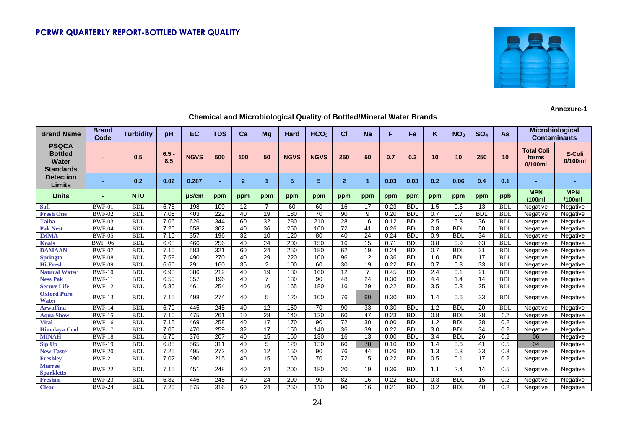

#### **Annexure-1**

| <b>Brand Name</b>                                           | <b>Brand</b><br>Code | <b>Turbidity</b> | pH             | <b>EC</b>   | <b>TDS</b>     | Ca             | Mg              | Hard        | HCO <sub>3</sub> | <b>CI</b>      | <b>Na</b>            | F    | Fe         | ĸ   | NO <sub>3</sub> | SO <sub>4</sub> | As         | <b>Contaminants</b>                   | Microbiological      |
|-------------------------------------------------------------|----------------------|------------------|----------------|-------------|----------------|----------------|-----------------|-------------|------------------|----------------|----------------------|------|------------|-----|-----------------|-----------------|------------|---------------------------------------|----------------------|
| <b>PSQCA</b><br><b>Bottled</b><br>Water<br><b>Standards</b> |                      | 0.5              | $6.5 -$<br>8.5 | <b>NGVS</b> | 500            | 100            | 50              | <b>NGVS</b> | <b>NGVS</b>      | 250            | 50                   | 0.7  | 0.3        | 10  | 10              | 250             | 10         | <b>Total Coli</b><br>forms<br>0/100ml | E-Coli<br>0/100ml    |
| <b>Detection</b><br>Limits                                  |                      | 0.2              | 0.02           | 0.287       | $\blacksquare$ | $\overline{2}$ | 1               | 5           | 5                | $\overline{2}$ | $\blacktriangleleft$ | 0.03 | 0.03       | 0.2 | 0.06            | 0.4             | 0.1        |                                       |                      |
| <b>Units</b>                                                |                      | <b>NTU</b>       |                | µS/cm       | ppm            | ppm            | ppm             | ppm         | ppm              | ppm            | ppm                  | ppm  | ppm        | ppm | ppm             | ppm             | ppb        | <b>MPN</b><br>/100ml                  | <b>MPN</b><br>/100ml |
| <b>Safi</b>                                                 | $BWF-01$             | <b>BDI</b>       | 6.75           | 198         | 109            | 12             | 7               | 60          | 60               | 16             | 17                   | 0.23 | <b>BDL</b> | 1.5 | 0.5             | 13              | <b>BDI</b> | Negative                              | Negative             |
| <b>Fresh One</b>                                            | <b>BWF-02</b>        | <b>BDI</b>       | 7.05           | 403         | 222            | 40             | 19              | 180         | 70               | 90             | 9                    | 0.20 | <b>BDL</b> | 0.7 | 0.7             | <b>BDL</b>      | <b>BDL</b> | Negative                              | Negative             |
| <b>Taiba</b>                                                | <b>BWF-03</b>        | <b>BDI</b>       | 7.06           | 626         | 344            | 60             | 32              | 280         | 210              | 28             | 16                   | 0.12 | <b>BDL</b> | 2.5 | 5.3             | 36              | <b>BDL</b> | Negative                              | Negative             |
| <b>Pak Nest</b>                                             | <b>BWF-04</b>        | <b>BDI</b>       | 7.25           | 658         | 362            | 40             | $\overline{36}$ | 250         | 160              | 72             | 41                   | 0.26 | <b>BDL</b> | 0.8 | <b>BDL</b>      | $\overline{50}$ | <b>BDL</b> | Negative                              | Negative             |
| <b>IMMA</b>                                                 | <b>BWF-05</b>        | <b>BDI</b>       | 7.15           | 357         | 196            | 32             | 10              | 120         | 80               | 40             | 24                   | 0.24 | <b>BDL</b> | 0.9 | <b>BDL</b>      | 34              | <b>BDL</b> | Negative                              | Negative             |
| <b>Knals</b>                                                | <b>BWF-06</b>        | <b>BDI</b>       | 6.68           | 466         | 256            | 40             | 24              | 200         | 150              | 16             | 15                   | 0.71 | <b>BDL</b> | 0.8 | 0.9             | 63              | <b>BDI</b> | Negative                              | Negative             |
| <b>DAMAAN</b>                                               | <b>BWF-07</b>        | <b>BDL</b>       | 7.10           | 583         | 321            | 60             | 24              | 250         | 180              | 62             | 19                   | 0.24 | <b>BDL</b> | 0.7 | <b>BDL</b>      | 31              | <b>BDL</b> | Negative                              | Negative             |
| <b>Springta</b>                                             | <b>BWF-08</b>        | <b>BDI</b>       | 7.58           | 490         | 270            | 40             | 29              | 220         | 100              | 96             | 12                   | 0.36 | <b>BDL</b> | 1.0 | <b>BDL</b>      | 17              | <b>BDI</b> | Negative                              | Negative             |
| <b>Hi-Fresh</b>                                             | <b>BWF-09</b>        | <b>BDI</b>       | 6.60           | 291         | 160            | 36             | $\overline{2}$  | 100         | 60               | 30             | 19                   | 0.22 | <b>BDL</b> | 0.7 | 0.3             | 33              | <b>BDL</b> | Negative                              | Negative             |
| <b>Natural Water</b>                                        | <b>BWF-10</b>        | <b>BDI</b>       | 6.93           | 386         | 212            | 40             | 19              | 180         | 160              | 12             | 7                    | 0.45 | <b>BDL</b> | 2.4 | 0.1             | 21              | <b>BDI</b> | Negative                              | Negative             |
| <b>Ness Pak</b>                                             | <b>BWF-11</b>        | <b>BDI</b>       | 6.50           | 357         | 196            | 40             | $\overline{7}$  | 130         | 90               | 48             | 24                   | 0.30 | <b>BDL</b> | 4.4 | 1.4             | 14              | <b>BDI</b> | Negative                              | Negative             |
| <b>Secure Life</b>                                          | <b>BWF-12</b>        | <b>BDI</b>       | 6.85           | 461         | 254            | 40             | 16              | 165         | 180              | 16             | 29                   | 0.22 | <b>BDL</b> | 3.5 | 0.3             | 25              | <b>BDI</b> | Negative                              | Negative             |
| <b>Oxford Pure</b><br><b>Water</b>                          | <b>BWF-13</b>        | <b>BDL</b>       | 7.15           | 498         | 274            | 40             | 5               | 120         | 100              | 76             | 60                   | 0.30 | <b>BDL</b> | 1.4 | 0.6             | 33              | <b>BDL</b> | Negative                              | Negative             |
| <b>ArwaFina</b>                                             | <b>BWF-14</b>        | <b>BDI</b>       | 6.70           | 445         | 245            | 40             | 12              | 150         | 70               | 90             | 33                   | 0.30 | <b>BDL</b> | 1.2 | <b>BDL</b>      | 20              | <b>BDI</b> | Negative                              | Negative             |
| <b>Aqua Show</b>                                            | <b>BWF-15</b>        | <b>BDI</b>       | 7.10           | 475         | 261            | 10             | 28              | 140         | 120              | 60             | 47                   | 0.23 | <b>BDL</b> | 0.8 | <b>BDL</b>      | 28              | 0.2        | Negative                              | Negative             |
| <b>Vital</b>                                                | <b>BWF-16</b>        | <b>BDI</b>       | 7.15           | 469         | 258            | 40             | 17              | 170         | 90               | 72             | 30                   | 0.00 | <b>BDL</b> | 1.2 | <b>BDL</b>      | 28              | 0.2        | Negative                              | Negative             |
| <b>Himalava Cool</b>                                        | <b>BWF-17</b>        | <b>BDI</b>       | 7.05           | 470         | 259            | 32             | 17              | 150         | 140              | 36             | 39                   | 0.22 | <b>BDL</b> | 3.0 | <b>BDL</b>      | 34              | 0.2        | Negative                              | Negative             |
| <b>MINAH</b>                                                | <b>BWF-18</b>        | <b>BDI</b>       | 6.70           | 376         | 207            | 40             | 15              | 160         | 130              | 16             | 13                   | 0.00 | <b>BDL</b> | 3.4 | <b>BDL</b>      | 26              | 0.2        | 06                                    | Negative             |
| <b>Sip Up</b>                                               | <b>BWF-19</b>        | <b>BDI</b>       | 6.85           | 565         | 311            | 40             | 5               | 120         | 130              | 60             | 78                   | 0.10 | <b>BDL</b> | 1.4 | 3.6             | 41              | 0.5        | 04                                    | Negative             |
| <b>New Taste</b>                                            | <b>BWF-20</b>        | <b>BDI</b>       | 7.25           | 495         | 272            | 40             | 12              | 150         | 90               | 76             | 44                   | 0.26 | <b>BDL</b> | 1.3 | 0.3             | 33              | 0.3        | Negative                              | Negative             |
| <b>Freshlev</b>                                             | <b>BWF-21</b>        | <b>BDI</b>       | 7.02           | 390         | 215            | 40             | 15              | 160         | 70               | 72             | 15                   | 0.22 | <b>BDL</b> | 0.5 | 0.1             | 17              | 0.2        | Negative                              | Negative             |
| <b>Murree</b><br><b>Sparkletts</b>                          | <b>BWF-22</b>        | <b>BDL</b>       | 7.15           | 451         | 248            | 40             | 24              | 200         | 180              | 20             | 19                   | 0.36 | <b>BDL</b> | 1.1 | 2.4             | 14              | 0.5        | Negative                              | Negative             |
| <b>Freshin</b>                                              | <b>BWF-23</b>        | <b>BDI</b>       | 6.82           | 446         | 245            | 40             | 24              | 200         | 90               | 82             | 16                   | 0.22 | <b>BDL</b> | 0.3 | <b>BDL</b>      | 15              | 0.2        | Negative                              | Negative             |
| <b>Clear</b>                                                | <b>BWF-24</b>        | <b>BDI</b>       | 7.20           | 575         | 316            | 60             | 24              | 250         | 110              | 90             | 16                   | 0.21 | <b>BDL</b> | 0.2 | <b>BDL</b>      | 40              | 0.2        | Negative                              | Negative             |

#### **Chemical and Microbiological Quality of Bottled/Mineral Water Brands**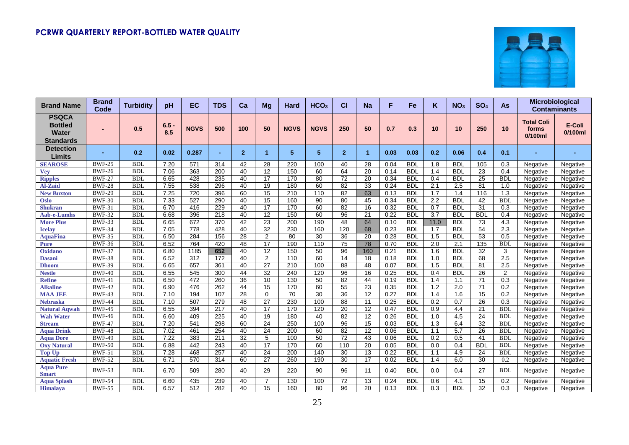

| <b>Brand Name</b>                                                  | <b>Brand</b><br>Code | <b>Turbidity</b> | pH             | EC          | <b>TDS</b>       | Ca             | Mg              | Hard             | HCO <sub>3</sub> | СI             | <b>Na</b>            | F    | <b>Fe</b>  | Κ                | NO <sub>3</sub>  | SO <sub>4</sub> | As         |                                          | Microbiological<br><b>Contaminants</b> |
|--------------------------------------------------------------------|----------------------|------------------|----------------|-------------|------------------|----------------|-----------------|------------------|------------------|----------------|----------------------|------|------------|------------------|------------------|-----------------|------------|------------------------------------------|----------------------------------------|
| <b>PSQCA</b><br><b>Bottled</b><br><b>Water</b><br><b>Standards</b> |                      | 0.5              | $6.5 -$<br>8.5 | <b>NGVS</b> | 500              | 100            | 50              | <b>NGVS</b>      | <b>NGVS</b>      | 250            | 50                   | 0.7  | 0.3        | 10               | 10               | 250             | 10         | <b>Total Coli</b><br>forms<br>$0/100$ ml | E-Coli<br>0/100ml                      |
| <b>Detection</b><br>Limits                                         |                      | 0.2              | 0.02           | 0.287       | ٠                | $\overline{2}$ | 1               | 5                | 5                | $\overline{2}$ | $\blacktriangleleft$ | 0.03 | 0.03       | 0.2              | 0.06             | 0.4             | 0.1        |                                          |                                        |
| <b>SEAROSE</b>                                                     | <b>BWF-25</b>        | <b>BDL</b>       | 7.20           | 571         | 314              | 42             | 28              | 220              | 100              | 40             | 28                   | 0.04 | <b>BDL</b> | 1.8              | <b>BDL</b>       | 105             | 0.3        | Negative                                 | Negative                               |
| <b>Vev</b>                                                         | <b>BWF-26</b>        | <b>BDI</b>       | 7.06           | 363         | 200              | 40             | $\overline{12}$ | 150              | 60               | 64             | 20                   | 0.14 | <b>BDL</b> | 1.4              | <b>BDL</b>       | 23              | 0.4        | Negative                                 | Negative                               |
| <b>Ripples</b>                                                     | <b>BWF-27</b>        | <b>BDL</b>       | 6.65           | 428         | 235              | 40             | 17              | 170              | 80               | 72             | 20                   | 0.34 | <b>BDL</b> | 0.4              | <b>BDL</b>       | 25              | <b>BDL</b> | Negative                                 | Negative                               |
| <b>Al-Zaid</b>                                                     | <b>BWF-28</b>        | <b>BDL</b>       | 7.55           | 538         | 296              | 40             | 19              | 180              | 60               | 82             | 33                   | 0.24 | <b>BDL</b> | 2.1              | 2.5              | 81              | 1.0        | Negative                                 | Negative                               |
| <b>New Buxton</b>                                                  | <b>BWF-29</b>        | <b>BDL</b>       | 7.25           | 720         | 396              | 60             | 15              | 210              | 110              | 82             | 63                   | 0.13 | <b>BDL</b> | 1.7              | 1.4              | 116             | 1.3        | Negative                                 | Negative                               |
| <b>Oslo</b>                                                        | <b>BWF-30</b>        | <b>BDL</b>       | 7.33           | 527         | 290              | 40             | $\overline{15}$ | 160              | 90               | 80             | 45                   | 0.34 | <b>BDL</b> | 2.2              | <b>BDL</b>       | 42              | <b>BDL</b> | Negative                                 | Negative                               |
| <b>Shukran</b>                                                     | <b>BWF-31</b>        | <b>BDL</b>       | 6.70           | 416         | 229              | 40             | $\overline{17}$ | 170              | 60               | 82             | $\overline{16}$      | 0.32 | <b>BDL</b> | 0.7              | <b>BDL</b>       | 31              | 0.3        | Negative                                 | Negative                               |
| <b>Aab-e-Lumhs</b>                                                 | <b>BWF-32</b>        | <b>BDL</b>       | 6.68           | 396         | $\overline{218}$ | 40             | $\overline{12}$ | 150              | 60               | 96             | 21                   | 0.22 | <b>BDL</b> | 3.7              | <b>BDL</b>       | <b>BDL</b>      | 0.4        | Negative                                 | Negative                               |
| <b>More Plus</b>                                                   | <b>BWF-33</b>        | <b>BDL</b>       | 6.65           | 672         | 370              | 42             | 23              | 200              | 190              | 48             | 64                   | 0.10 | <b>BDL</b> | 11.0             | <b>BDL</b>       | 73              | 4.3        | Negative                                 | Negative                               |
| <b>Icelay</b>                                                      | <b>BWF-34</b>        | <b>BDL</b>       | 7.05           | 778         | 428              | 40             | 32              | 230              | 160              | 120            | 68                   | 0.23 | <b>BDL</b> | 1.7              | <b>BDL</b>       | 54              | 2.3        | Negative                                 | Negative                               |
| <b>AquaFina</b>                                                    | <b>BWF-35</b>        | <b>BDL</b>       | 6.50           | 284         | 156              | 28             | 2               | 80               | 30               | 36             | 20                   | 0.28 | <b>BDL</b> | 1.5              | <b>BDL</b>       | 53              | 0.5        | Negative                                 | Negative                               |
| <b>Pure</b>                                                        | <b>BWF-36</b>        | <b>BDL</b>       | 6.52           | 764         | 420              | 48             | 17              | 190              | 110              | 75             | 78                   | 0.70 | <b>BDL</b> | 2.0              | 2.1              | 135             | <b>BDL</b> | Negative                                 | Negative                               |
| Oxidano                                                            | <b>BWF-37</b>        | <b>BDL</b>       | 6.80           | 1185        | 652              | 40             | $\overline{12}$ | 150              | 50               | 96             | 160                  | 0.21 | <b>BDL</b> | 1.6              | <b>BDL</b>       | $\overline{32}$ | 3          | Negative                                 | Negative                               |
| <b>Dasani</b>                                                      | <b>BWF-38</b>        | <b>BDL</b>       | 6.52           | 312         | 172              | 40             | 2               | 110              | 60               | 14             | 18                   | 0.18 | <b>BDL</b> | 1.0              | <b>BDL</b>       | 68              | 2.5        | Negative                                 | Negative                               |
| <b>Dhoom</b>                                                       | <b>BWF-39</b>        | <b>BDL</b>       | 6.65           | 657         | 361              | 40             | $\overline{27}$ | $\overline{210}$ | 100              | 88             | 48                   | 0.07 | <b>BDL</b> | 1.5              | <b>BDI</b>       | 81              | 2.5        | Negative                                 | Negative                               |
| <b>Nestle</b>                                                      | <b>BWF-40</b>        | <b>BDL</b>       | 6.55           | 545         | 300              | 44             | 32              | 240              | 120              | 96             | 16                   | 0.25 | <b>BDL</b> | 0.4              | <b>BDL</b>       | 26              | 2          | Negative                                 | Negative                               |
| <b>Refine</b>                                                      | <b>BWF-41</b>        | <b>BDI</b>       | 6.50           | 472         | 260              | 36             | 10              | 130              | 50               | 82             | 44                   | 0.19 | <b>BDL</b> | 1.4              | 1.1              | 71              | 0.3        | Negative                                 | Negative                               |
| <b>Alkaline</b>                                                    | <b>BWF-42</b>        | <b>BDL</b>       | 6.90           | 476         | 262              | 44             | 15              | 170              | 60               | 55             | 23                   | 0.35 | <b>BDL</b> | 1.2              | 2.0              | 71              | 0.2        | Negative                                 | Negative                               |
| <b>MAA JEE</b>                                                     | <b>BWF-43</b>        | <b>BDL</b>       | 7.10           | 194         | 107              | 28             | $\Omega$        | 70               | 30               | 36             | 12                   | 0.27 | <b>BDL</b> | 1.4              | 1.6              | 15              | 0.2        | Negative                                 | Negative                               |
| <b>Nebraska</b>                                                    | <b>BWF-44</b>        | <b>BDL</b>       | 7.10           | 507         | 279              | 48             | $\overline{27}$ | 230              | 100              | 88             | $\overline{11}$      | 0.25 | <b>BDL</b> | $\overline{0.2}$ | $\overline{0.7}$ | $\overline{26}$ | 0.3        | Negative                                 | Negative                               |
| <b>Natural Aqwah</b>                                               | <b>BWF-45</b>        | <b>BDL</b>       | 6.55           | 394         | $\overline{217}$ | 40             | $\overline{17}$ | 170              | 120              | 20             | $\overline{12}$      | 0.47 | <b>BDL</b> | $\overline{0.9}$ | 4.4              | 21              | <b>BDL</b> | Negative                                 | Negative                               |
| <b>Wah Water</b>                                                   | <b>BWF-46</b>        | <b>BDL</b>       | 6.60           | 409         | 225              | 40             | 19              | 180              | 40               | 82             | $\overline{12}$      | 0.26 | <b>BDL</b> | 1.0              | 4.5              | $\overline{24}$ | <b>BDL</b> | Negative                                 | Negative                               |
| <b>Stream</b>                                                      | <b>BWF-47</b>        | <b>BDL</b>       | 7.20           | 541         | 298              | 60             | 24              | 250              | 100              | 96             | 15                   | 0.03 | <b>BDL</b> | 1.3              | 6.4              | 32              | <b>BDL</b> | Negative                                 | Negative                               |
| <b>Aqua Drink</b>                                                  | <b>BWF-48</b>        | <b>BDL</b>       | 7.02           | 461         | 254              | 40             | 24              | 200              | 60               | 82             | $\overline{12}$      | 0.06 | <b>BDL</b> | 1.1              | 5.7              | 26              | <b>BDL</b> | Negative                                 | Negative                               |
| <b>Aqua Dore</b>                                                   | <b>BWF-49</b>        | <b>BDI</b>       | 7.22           | 383         | 211              | 32             | 5               | 100              | 50               | 72             | $\overline{43}$      | 0.06 | <b>BDL</b> | 0.2              | 0.5              | 41              | <b>BDL</b> | Negative                                 | Negative                               |
| <b>Oxy Natural</b>                                                 | <b>BWF-50</b>        | <b>BDL</b>       | 6.88           | 442         | 243              | 40             | $\overline{17}$ | 170              | 60               | 110            | 20                   | 0.05 | <b>BDL</b> | $\overline{0.0}$ | 0.4              | <b>BDL</b>      | <b>BDL</b> | Negative                                 | Negative                               |
| <b>Top Up</b>                                                      | <b>BWF-51</b>        | <b>BDL</b>       | 7.28           | 468         | 257              | 40             | 24              | 200              | 140              | 30             | 13                   | 0.22 | <b>BDL</b> | 1.1              | 4.9              | 24              | <b>BDL</b> | Negative                                 | Negative                               |
| <b>Aquatic Fresh</b>                                               | <b>BWF-52</b>        | <b>BDL</b>       | 6.71           | 570         | 314              | 60             | 27              | 260              | 190              | 30             | 17                   | 0.02 | <b>BDL</b> | 1.4              | 6.0              | 30              | 0.2        | Negative                                 | Negative                               |
| <b>Aqua Pure</b><br><b>Smart</b>                                   | <b>BWF-53</b>        | <b>BDL</b>       | 6.70           | 509         | 280              | 40             | 29              | 220              | 90               | 96             | 11                   | 0.40 | <b>BDL</b> | 0.0              | 0.4              | 27              | <b>BDL</b> | Negative                                 | Negative                               |
| <b>Aqua Splash</b>                                                 | <b>BWF-54</b>        | <b>BDL</b>       | 6.60           | 435         | 239              | 40             | 7               | 130              | 100              | 72             | 13                   | 0.24 | <b>BDL</b> | 0.6              | 4.1              | 15              | 0.2        | Negative                                 | Negative                               |
| Himalaya                                                           | <b>BWF-55</b>        | <b>BDI</b>       | 6.57           | 512         | 282              | 40             | 15              | 160              | 80               | 96             | 20                   | 0.13 | <b>BDL</b> | 0.3              | <b>BDL</b>       | 32              | 0.3        | Negative                                 | Negative                               |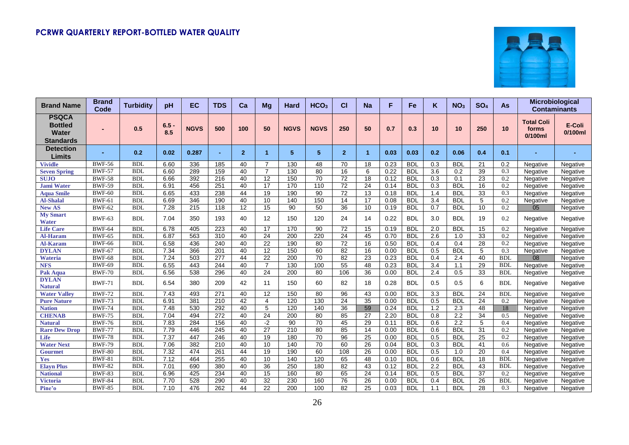

| <b>Brand Name</b>                                                  | <b>Brand</b><br>Code | <b>Turbidity</b> | рH             | EC          | <b>TDS</b>       | Ca             | Mg             | Hard             | HCO <sub>3</sub> | СI             | <b>Na</b>       | F    | Fe         | κ                | NO <sub>3</sub>  | SO <sub>4</sub> | As            |                                          | Microbiological<br><b>Contaminants</b> |
|--------------------------------------------------------------------|----------------------|------------------|----------------|-------------|------------------|----------------|----------------|------------------|------------------|----------------|-----------------|------|------------|------------------|------------------|-----------------|---------------|------------------------------------------|----------------------------------------|
| <b>PSQCA</b><br><b>Bottled</b><br><b>Water</b><br><b>Standards</b> |                      | 0.5              | $6.5 -$<br>8.5 | <b>NGVS</b> | 500              | 100            | 50             | <b>NGVS</b>      | <b>NGVS</b>      | 250            | 50              | 0.7  | 0.3        | 10               | 10               | 250             | 10            | <b>Total Coli</b><br>forms<br>$0/100$ ml | E-Coli<br>$0/100$ ml                   |
| <b>Detection</b><br>Limits                                         |                      | 0.2              | 0.02           | 0.287       |                  | $\overline{2}$ | 1              | 5                | 5                | $\overline{2}$ | -1              | 0.03 | 0.03       | 0.2              | 0.06             | 0.4             | 0.1           |                                          |                                        |
| <b>Vividle</b>                                                     | <b>BWF-56</b>        | <b>BDL</b>       | 6.60           | 336         | 185              | 40             |                | 130              | 48               | 70             | 18              | 0.23 | <b>BDL</b> | 0.3              | <b>BDL</b>       | 21              | 0.2           | Negative                                 | Negative                               |
| <b>Seven Spring</b>                                                | <b>BWF-57</b>        | <b>BDI</b>       | 6.60           | 289         | 159              | 40             | $\overline{7}$ | 130              | 80               | 16             | 6               | 0.22 | <b>BDL</b> | 3.6              | 0.2              | 39              | 0.3           | Negative                                 | Negative                               |
| <b>SUJO</b>                                                        | <b>BWF-58</b>        | <b>BDL</b>       | 6.66           | 392         | 216              | 40             | 12             | 150              | 70               | 72             | 18              | 0.12 | <b>BDL</b> | 0.3              | 0.1              | 23              | 0.2           | Negative                                 | Negative                               |
| <b>Jami Water</b>                                                  | <b>BWF-59</b>        | <b>BDL</b>       | 6.91           | 456         | 251              | 40             | 17             | 170              | 110              | 72             | 24              | 0.14 | <b>BDL</b> | 0.3              | <b>BDL</b>       | 16              | 0.2           | Negative                                 | Negative                               |
| <b>Aqua Smile</b>                                                  | <b>BWF-60</b>        | <b>BDL</b>       | 6.65           | 433         | 238              | 44             | 19             | 190              | 90               | 72             | $\overline{13}$ | 0.18 | <b>BDL</b> | 1.4              | <b>BDL</b>       | 33              | 0.3           | Negative                                 | Negative                               |
| <b>Al-Shalal</b>                                                   | <b>BWF-61</b>        | <b>BDL</b>       | 6.69           | 346         | 190              | 40             | 10             | 140              | 150              | 14             | $\overline{17}$ | 0.08 | <b>BDL</b> | 3.4              | <b>BDL</b>       | 5               | 0.2           | Negative                                 | Negative                               |
| <b>New AS</b>                                                      | <b>BWF-62</b>        | <b>BDL</b>       | 7.28           | 215         | 118              | 12             | 15             | 90               | 50               | 36             | 10              | 0.19 | <b>BDL</b> | 0.7              | <b>BDL</b>       | 10              | 0.2           | 05                                       | Negative                               |
| <b>My Smart</b><br><b>Water</b>                                    | <b>BWF-63</b>        | <b>BDL</b>       | 7.04           | 350         | 193              | 40             | 12             | 150              | 120              | 24             | 14              | 0.22 | <b>BDL</b> | 3.0              | <b>BDL</b>       | 19              | 0.2           | Negative                                 | Negative                               |
| <b>Life Care</b>                                                   | <b>BWF-64</b>        | <b>BDL</b>       | 6.78           | 405         | 223              | 40             | 17             | 170              | 90               | 72             | 15              | 0.19 | <b>BDL</b> | 2.0              | <b>BDL</b>       | 15              | 0.2           | Negative                                 | Negative                               |
| <b>Al-Haram</b>                                                    | <b>BWF-65</b>        | <b>BDL</b>       | 6.87           | 563         | 310              | 40             | 24             | 200              | 220              | 24             | 45              | 0.70 | <b>BDL</b> | 2.6              | 1.0              | 33              | 0.2           | Negative                                 | Negative                               |
| <b>Al-Karam</b>                                                    | <b>BWF-66</b>        | <b>BDL</b>       | 6.58           | 436         | 240              | 40             | 22             | 190              | 80               | 72             | 16              | 0.50 | <b>BDL</b> | 0.4              | 0.4              | $\overline{28}$ | 0.2           | Negative                                 | Negative                               |
| <b>DYLAN</b>                                                       | <b>BWF-67</b>        | <b>BDL</b>       | 7.34           | 366         | 201              | 40             | 12             | 150              | 60               | 82             | 16              | 0.00 | <b>BDL</b> | 0.5              | <b>BDL</b>       | 5               | 0.3           | Negative                                 | Negative                               |
| <b>Wateria</b>                                                     | <b>BWF-68</b>        | <b>BDL</b>       | 7.24           | 503         | $\overline{277}$ | 44             | 22             | $\overline{200}$ | 70               | 82             | 23              | 0.23 | <b>BDL</b> | 0.4              | 2.4              | 40              | <b>BDL</b>    | 08                                       | Negative                               |
| <b>NFS</b>                                                         | <b>BWF-69</b>        | <b>BDL</b>       | 6.55           | 443         | 244              | 40             | $\overline{7}$ | 130              | 100              | 55             | 48              | 0.23 | <b>BDL</b> | 3.4              | 1.1              | 29              | <b>BDI</b>    | Negative                                 | Negative                               |
| Pak Aqua                                                           | <b>BWF-70</b>        | <b>BDL</b>       | 6.56           | 538         | 296              | 40             | 24             | 200              | 80               | 106            | 36              | 0.00 | <b>BDL</b> | 2.4              | 0.5              | 33              | <b>BDL</b>    | Negative                                 | Negative                               |
| <b>DYLAN</b><br>Natural                                            | <b>BWF-71</b>        | <b>BDL</b>       | 6.54           | 380         | 209              | 42             | 11             | 150              | 60               | 82             | 18              | 0.28 | <b>BDL</b> | 0.5              | 0.5              | 6               | <b>BDL</b>    | Negative                                 | Negative                               |
| <b>Water Valley</b>                                                | <b>BWF-72</b>        | <b>BDL</b>       | 7.43           | 493         | 271              | 40             | 12             | 150              | 80               | 96             | 43              | 0.00 | <b>BDL</b> | 3.3              | <b>BDL</b>       | 24              | <b>BDI</b>    | Negative                                 | Negative                               |
| <b>Pure Nature</b>                                                 | <b>BWF-73</b>        | <b>BDL</b>       | 6.91           | 381         | 210              | 42             | 4              | 120              | 130              | 24             | $\overline{35}$ | 0.00 | <b>BDL</b> | $\overline{0.5}$ | <b>BDL</b>       | $\overline{24}$ | 0.2           | Negative                                 | Negative                               |
| <b>Nation</b>                                                      | <b>BWF-74</b>        | <b>BDI</b>       | 7.48           | 530         | 292              | 40             | 5              | 120              | 140              | 36             | 59              | 0.24 | <b>BDL</b> | 1.2              | 2.3              | 48              | 18            | Negative                                 | Negative                               |
| <b>CHENAB</b>                                                      | <b>BWF-75</b>        | <b>BDL</b>       | 7.04           | 494         | 272              | 40             | 24             | 200              | 80               | 85             | 27              | 2.20 | <b>BDL</b> | 0.8              | 2.2              | 34              | 0.5           | Negative                                 | Negative                               |
| <b>Natural</b>                                                     | <b>BWF-76</b>        | <b>BDL</b>       | 7.83           | 284         | 156              | 40             | $-2$           | 90               | $\overline{70}$  | 45             | 29              | 0.11 | <b>BDL</b> | 0.6              | $\overline{2.2}$ | 5               | 0.4           | Negative                                 | Negative                               |
| <b>Rare Dew Drop</b>                                               | <b>BWF-77</b>        | <b>BDL</b>       | 7.79           | 446         | 245              | 40             | 27             | 210              | 80               | 85             | 14              | 0.00 | <b>BDL</b> | 0.6              | <b>BDL</b>       | 31              | 0.2           | Negative                                 | Negative                               |
| Life                                                               | <b>BWF-78</b>        | <b>BDL</b>       | 7.37           | 447         | 246              | 40             | 19             | 180              | 70               | 96             | 25              | 0.00 | <b>BDL</b> | 0.5              | <b>BDL</b>       | 25              | 0.2           | Negative                                 | Negative                               |
| <b>Water Next</b>                                                  | <b>BWF-79</b>        | <b>BDL</b>       | 7.06           | 382         | 210              | 40             | 10             | 140              | 70               | 60             | 26              | 0.04 | <b>BDL</b> | 0.3              | <b>BDL</b>       | 41              | $0.6^{\circ}$ | Negative                                 | Negative                               |
| <b>Gourmet</b>                                                     | <b>BWF-80</b>        | <b>BDL</b>       | 7.32           | 474         | 261              | 44             | 19             | 190              | 60               | 108            | 26              | 0.00 | <b>BDL</b> | 0.5              | 1.0              | $\overline{20}$ | 0.4           | Negative                                 | Negative                               |
| Yes                                                                | <b>BWF-81</b>        | <b>BDL</b>       | 7.12           | 464         | 255              | 40             | 10             | 140              | 120              | 65             | 48              | 0.10 | <b>BDL</b> | 0.6              | <b>BDL</b>       | 18              | <b>BDI</b>    | Negative                                 | Negative                               |
| <b>Elavn Plus</b>                                                  | <b>BWF-82</b>        | <b>BDL</b>       | 7.01           | 690         | 380              | 40             | 36             | 250              | 180              | 82             | 43              | 0.12 | <b>BDL</b> | 2.2              | <b>BDL</b>       | 43              | <b>BDI</b>    | Negative                                 | Negative                               |
| <b>National</b>                                                    | <b>BWF-83</b>        | <b>BDL</b>       | 6.96           | 425         | 234              | 40             | 15             | 160              | 80               | 65             | 24              | 0.14 | <b>BDL</b> | 0.5              | <b>BDL</b>       | 37              | 0.2           | Negative                                 | Negative                               |
| <b>Victoria</b>                                                    | <b>BWF-84</b>        | <b>BDL</b>       | 7.70           | 528         | 290              | 40             | 32             | 230              | 160              | 76             | 26              | 0.00 | <b>BDL</b> | 0.4              | <b>BDL</b>       | $\overline{26}$ | <b>BDL</b>    | Negative                                 | Negative                               |
| Pine'o                                                             | <b>BWF-85</b>        | BDL              | 7.10           | 476         | 262              | 44             | 22             | 200              | 100              | 82             | 25              | 0.03 | <b>BDL</b> | 1.1              | <b>BDL</b>       | 28              | 0.3           | Negative                                 | Negative                               |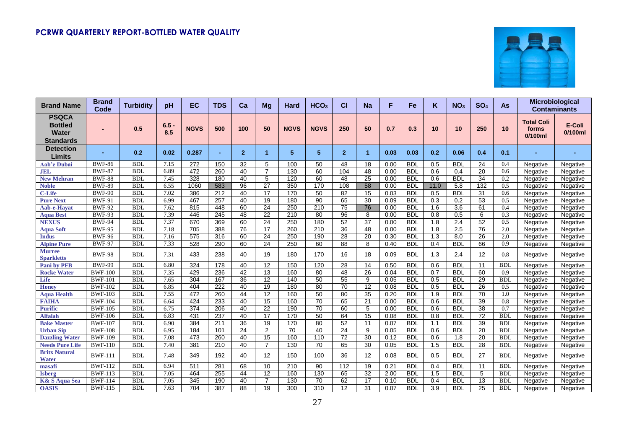

| <b>Brand Name</b>                                                  | <b>Brand</b><br>Code | <b>Turbidity</b> | pH             | <b>EC</b>        | <b>TDS</b>       | Ca             | Mg              | Hard             | HCO <sub>3</sub> | СI             | <b>Na</b>            | F    | <b>Fe</b>  | K                | NO <sub>3</sub>  | SO <sub>4</sub> | As         | Microbiological<br><b>Contaminants</b>   |                      |
|--------------------------------------------------------------------|----------------------|------------------|----------------|------------------|------------------|----------------|-----------------|------------------|------------------|----------------|----------------------|------|------------|------------------|------------------|-----------------|------------|------------------------------------------|----------------------|
| <b>PSQCA</b><br><b>Bottled</b><br><b>Water</b><br><b>Standards</b> |                      | 0.5              | $6.5 -$<br>8.5 | <b>NGVS</b>      | 500              | 100            | 50              | <b>NGVS</b>      | <b>NGVS</b>      | 250            | 50                   | 0.7  | 0.3        | 10               | 10               | 250             | 10         | <b>Total Coli</b><br>forms<br>$0/100$ ml | E-Coli<br>$0/100$ ml |
| <b>Detection</b><br>Limits                                         |                      | 0.2              | 0.02           | 0.287            |                  | $\overline{2}$ | 1               | 5                | 5                | $\overline{2}$ | $\blacktriangleleft$ | 0.03 | 0.03       | 0.2              | 0.06             | 0.4             | 0.1        |                                          |                      |
| Aab'e Dubai                                                        | <b>BWF-86</b>        | <b>BDL</b>       | 7.15           | 272              | 150              | 32             | 5               | 100              | 50               | 48             | 18                   | 0.00 | <b>BDL</b> | 0.5              | <b>BDL</b>       | 24              | 0.4        | Negative                                 | Negative             |
| <b>JEL</b>                                                         | <b>BWF-87</b>        | <b>BDI</b>       | 6.89           | 472              | 260              | 40             | $\overline{7}$  | 130              | 60               | 104            | $\overline{48}$      | 0.00 | <b>BDL</b> | 0.6              | 0.4              | 20              | 0.6        | Negative                                 | Negative             |
| <b>New Mehran</b>                                                  | <b>BWF-88</b>        | <b>BDL</b>       | 7.45           | 328              | 180              | 40             | 5               | 120              | 60               | 48             | 25                   | 0.00 | <b>BDL</b> | 0.6              | <b>BDL</b>       | 34              | 0.2        | Negative                                 | Negative             |
| <b>Noble</b>                                                       | <b>BWF-89</b>        | <b>BDL</b>       | 6.55           | 1060             | 583              | 96             | 27              | 350              | 170              | 108            | 58                   | 0.00 | <b>BDL</b> | 11.0             | 5.8              | 132             | 0.5        | Negative                                 | Negative             |
| <b>C-Life</b>                                                      | <b>BWF-90</b>        | <b>BDL</b>       | 7.02           | 386              | 212              | 40             | $\overline{17}$ | 170              | 50               | 82             | 15                   | 0.03 | <b>BDL</b> | 0.5              | <b>BDL</b>       | 31              | 0.6        | Negative                                 | Negative             |
| <b>Pure Next</b>                                                   | <b>BWF-91</b>        | <b>BDL</b>       | 6.99           | 467              | 257              | 40             | 19              | 180              | 90               | 65             | 30                   | 0.09 | <b>BDL</b> | 0.3              | 0.2              | 53              | 0.5        | Negative                                 | Negative             |
| Aab-e-Havat                                                        | <b>BWF-92</b>        | <b>BDI</b>       | 7.62           | 815              | 448              | 60             | $\overline{24}$ | 250              | $\overline{210}$ | 75             | 76                   | 0.00 | <b>BDL</b> | $\overline{1.6}$ | $\overline{3.6}$ | 61              | 0.4        | Negative                                 | Negative             |
| <b>Aqua Best</b>                                                   | <b>BWF-93</b>        | <b>BDL</b>       | 7.39           | 446              | 245              | 48             | $\overline{22}$ | $\overline{210}$ | 80               | 96             | 8                    | 0.00 | <b>BDL</b> | 0.8              | 0.5              | 6               | 0.3        | Negative                                 | Negative             |
| <b>NEXUS</b>                                                       | <b>BWF-94</b>        | <b>BDL</b>       | 7.37           | 670              | 369              | 60             | $\overline{24}$ | 250              | 180              | 52             | 37                   | 0.00 | <b>BDL</b> | 1.8              | $\overline{2.4}$ | 52              | 0.5        | Negative                                 | Negative             |
| <b>Aqua Soft</b>                                                   | <b>BWF-95</b>        | <b>BDI</b>       | 7.18           | 705              | 388              | 76             | 17              | 260              | 210              | 36             | 48                   | 0.00 | <b>BDL</b> | 1.8              | 2.5              | 76              | 2.0        | Negative                                 | Negative             |
| <b>Indus</b>                                                       | <b>BWF-96</b>        | <b>BDL</b>       | 7.16           | 575              | 316              | 60             | 24              | 250              | 190              | 28             | 20                   | 0.30 | <b>BDL</b> | 1.3              | 8.0              | 26              | 2.0        | Negative                                 | Negative             |
| <b>Alpine Pure</b>                                                 | <b>BWF-97</b>        | <b>BDL</b>       | 7.33           | 528              | 290              | 60             | 24              | 250              | 60               | 88             | 8                    | 0.40 | <b>BDL</b> | 0.4              | <b>BDI</b>       | 66              | 0.9        | Negative                                 | Negative             |
| <b>Murree</b><br><b>Sparkletts</b>                                 | <b>BWF-98</b>        | <b>BDL</b>       | 7.31           | 433              | 238              | 40             | 19              | 180              | 170              | 16             | 18                   | 0.09 | <b>BDL</b> | 1.3              | 2.4              | 12              | 0.8        | Negative                                 | Negative             |
| <b>Pani by PFB</b>                                                 | <b>BWF-99</b>        | <b>BDL</b>       | 6.80           | 324              | 178              | 40             | 12              | 150              | 120              | 28             | 14                   | 0.50 | <b>BDL</b> | 0.6              | <b>BDL</b>       | 11              | <b>BDL</b> | Negative                                 | Negative             |
| <b>Rocke Water</b>                                                 | <b>BWF-100</b>       | <b>BDL</b>       | 7.35           | 429              | 236              | 42             | 13              | 160              | 80               | 48             | 26                   | 0.04 | <b>BDL</b> | 0.7              | <b>BDI</b>       | 60              | 0.9        | Negative                                 | Negative             |
| Life                                                               | <b>BWF-101</b>       | <b>BDL</b>       | 7.65           | 304              | 167              | 36             | 12              | 140              | 50               | 55             | 9                    | 0.05 | <b>BDL</b> | 0.5              | <b>BDL</b>       | 29              | <b>BDL</b> | Negative                                 | Negative             |
| Honey                                                              | <b>BWF-102</b>       | <b>BDL</b>       | 6.85           | 404              | $\overline{222}$ | 40             | $\overline{19}$ | 180              | 80               | 70             | $\overline{12}$      | 0.08 | <b>BDL</b> | 0.5              | <b>BDL</b>       | $\overline{26}$ | 0.5        | Negative                                 | Negative             |
| <b>Aqua Health</b>                                                 | <b>BWF-103</b>       | <b>BDL</b>       | 7.55           | 472              | 260              | 44             | 12              | 160              | 50               | 80             | $\overline{35}$      | 0.20 | <b>BDL</b> | 1.9              | <b>BDL</b>       | 70              | 1.0        | Negative                                 | Negative             |
| <b>FAIHA</b>                                                       | <b>BWF-104</b>       | <b>BDI</b>       | 6.64           | 424              | 233              | 40             | $\overline{15}$ | 160              | 70               | 65             | $\overline{21}$      | 0.00 | <b>BDL</b> | 0.6              | <b>BDL</b>       | 39              | 0.8        | Negative                                 | Negative             |
| <b>Purific</b>                                                     | <b>BWF-105</b>       | <b>BDL</b>       | 6.75           | $\overline{374}$ | $\overline{206}$ | 40             | $\overline{22}$ | 190              | 70               | 60             | 5                    | 0.00 | <b>BDL</b> | 0.6              | <b>BDL</b>       | 38              | 0.7        | Negative                                 | Negative             |
| <b>Alfalah</b>                                                     | <b>BWF-106</b>       | <b>BDL</b>       | 6.83           | 431              | $\overline{237}$ | 40             | $\overline{17}$ | 170              | 50               | 64             | 15                   | 0.08 | <b>BDL</b> | 0.8              | <b>BDL</b>       | $\overline{72}$ | <b>BDL</b> | Negative                                 | Negative             |
| <b>Bake Master</b>                                                 | <b>BWF-107</b>       | <b>BDL</b>       | 6.90           | 384              | 211              | 36             | 19              | 170              | 80               | 52             | 11                   | 0.07 | <b>BDL</b> | 1.1              | <b>BDL</b>       | 39              | <b>BDL</b> | Negative                                 | Negative             |
| <b>Urban Sip</b>                                                   | <b>BWF-108</b>       | <b>BDL</b>       | 6.95           | 184              | 101              | 24             | 2               | 70               | 40               | 24             | 9                    | 0.05 | <b>BDL</b> | 0.6              | <b>BDL</b>       | 20              | <b>BDL</b> | Negative                                 | Negative             |
| <b>Dazzling Water</b>                                              | <b>BWF-109</b>       | <b>BDL</b>       | 7.08           | 473              | 260              | 40             | 15              | 160              | 110              | 72             | 30                   | 0.12 | <b>BDL</b> | 0.6              | 1.8              | 20              | <b>BDL</b> | Negative                                 | Negative             |
| <b>Needs Pure Life</b>                                             | <b>BWF-110</b>       | <b>BDL</b>       | 7.40           | 381              | 210              | 40             | $\overline{7}$  | 130              | 70               | 65             | $\overline{30}$      | 0.05 | <b>BDL</b> | 1.5              | <b>BDL</b>       | 28              | <b>BDL</b> | Negative                                 | Negative             |
| <b>Britx Natural</b><br><b>Water</b>                               | <b>BWF-111</b>       | <b>BDL</b>       | 7.48           | 349              | 192              | 40             | 12              | 150              | 100              | 36             | 12                   | 0.08 | <b>BDL</b> | 0.5              | <b>BDL</b>       | 27              | <b>BDL</b> | Negative                                 | Negative             |
| masafi                                                             | <b>BWF-112</b>       | <b>BDL</b>       | 6.94           | 511              | 281              | 68             | 10              | 210              | 90               | 112            | 19                   | 0.21 | <b>BDL</b> | 0.4              | <b>BDL</b>       | 11              | <b>BDL</b> | Negative                                 | Negative             |
| <b>Isberg</b>                                                      | <b>BWF-113</b>       | <b>BDL</b>       | 7.05           | 464              | 255              | 44             | 12              | 160              | 130              | 65             | 32                   | 2.00 | <b>BDL</b> | 1.5              | <b>BDL</b>       | 5               | <b>BDL</b> | Negative                                 | Negative             |
| <b>K&amp; S Aqua Sea</b>                                           | <b>BWF-114</b>       | <b>BDL</b>       | 7.05           | 345              | 190              | 40             | $\overline{7}$  | 130              | 70               | 62             | $\overline{17}$      | 0.10 | <b>BDL</b> | 0.4              | <b>BDL</b>       | 13              | <b>BDL</b> | Negative                                 | Negative             |
| <b>OASIS</b>                                                       | <b>BWF-115</b>       | <b>BDI</b>       | 7.63           | 704              | 387              | 88             | 19              | 300              | 310              | 12             | 31                   | 0.07 | <b>BDL</b> | 3.9              | <b>BDL</b>       | 25              | BDL        | Negative                                 | Negative             |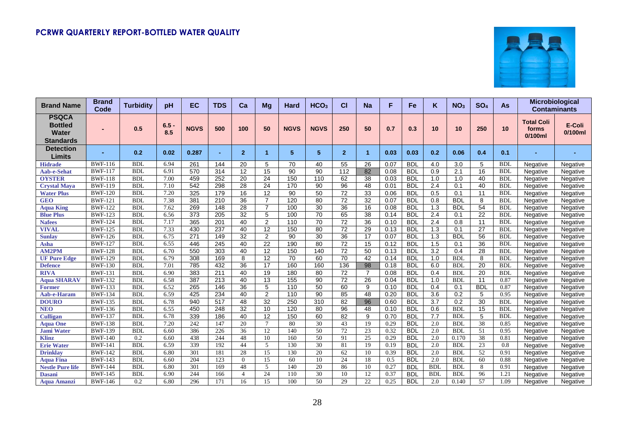

| <b>Brand Name</b>                                                  | <b>Brand</b><br>Code | <b>Turbidity</b> | pH             | EC               | <b>TDS</b>       | Ca              | Mg              | Hard        | HCO <sub>3</sub> | СI             | <b>Na</b>       | F    | <b>Fe</b>  | K                | NO <sub>3</sub> | SO <sub>4</sub> | As         | Microbiological<br><b>Contaminants</b>   |                      |
|--------------------------------------------------------------------|----------------------|------------------|----------------|------------------|------------------|-----------------|-----------------|-------------|------------------|----------------|-----------------|------|------------|------------------|-----------------|-----------------|------------|------------------------------------------|----------------------|
| <b>PSQCA</b><br><b>Bottled</b><br><b>Water</b><br><b>Standards</b> |                      | 0.5              | $6.5 -$<br>8.5 | <b>NGVS</b>      | 500              | 100             | 50              | <b>NGVS</b> | <b>NGVS</b>      | 250            | 50              | 0.7  | 0.3        | 10               | 10              | 250             | 10         | <b>Total Coli</b><br>forms<br>$0/100$ ml | E-Coli<br>$0/100$ ml |
| <b>Detection</b><br><b>Limits</b>                                  |                      | 0.2              | 0.02           | 0.287            |                  | $\overline{2}$  | 1.              | 5           | 5                | $\overline{2}$ | $\overline{1}$  | 0.03 | 0.03       | 0.2              | 0.06            | 0.4             | 0.1        |                                          |                      |
| <b>Hidrade</b>                                                     | <b>BWF-116</b>       | <b>BDL</b>       | 6.94           | 261              | 144              | 20              | 5               | 70          | 40               | 55             | 26              | 0.07 | <b>BDL</b> | 4.0              | 3.0             | 5               | <b>BDL</b> | Negative                                 | Negative             |
| <b>Aab-e-Sehat</b>                                                 | <b>BWF-117</b>       | <b>BDL</b>       | 6.91           | 570              | 314              | $\overline{12}$ | $\overline{15}$ | 90          | 90               | 112            | 82              | 0.08 | <b>BDL</b> | 0.9              | 2.1             | 16              | <b>BDL</b> | Negative                                 | Negative             |
| <b>OYSTER</b>                                                      | <b>BWF-118</b>       | <b>BDL</b>       | 7.00           | 459              | 252              | 20              | 24              | 150         | 110              | 62             | 38              | 0.03 | <b>BDL</b> | 1.0              | 1.0             | 40              | <b>BDL</b> | Negative                                 | Negative             |
| <b>Crystal Maya</b>                                                | <b>BWF-119</b>       | <b>BDL</b>       | 7.10           | 542              | 298              | 28              | 24              | 170         | 90               | 96             | 48              | 0.01 | <b>BDL</b> | 2.4              | 0.1             | 40              | <b>BDL</b> | Negative                                 | Negative             |
| <b>Water Plus</b>                                                  | <b>BWF-120</b>       | <b>BDI</b>       | 7.20           | 325              | 179              | $\overline{16}$ | 12              | 90          | 50               | 72             | 33              | 0.06 | <b>BDL</b> | 0.5              | 0.1             | 11              | <b>BDI</b> | Negative                                 | Negative             |
| <b>GEO</b>                                                         | <b>BWF-121</b>       | <b>BDL</b>       | 7.38           | 381              | 210              | 36              | $\overline{7}$  | 120         | 80               | 72             | $\overline{32}$ | 0.07 | <b>BDL</b> | 0.8              | <b>BDL</b>      | 8               | <b>BDL</b> | Negative                                 | Negative             |
| <b>Aqua King</b>                                                   | <b>BWF-122</b>       | <b>BDI</b>       | 7.62           | 269              | 148              | 28              | $\overline{7}$  | 100         | 30               | 36             | $\overline{16}$ | 0.08 | <b>BDL</b> | 1.3              | <b>BDL</b>      | 54              | <b>BDL</b> | Negative                                 | Negative             |
| <b>Blue Plus</b>                                                   | <b>BWF-123</b>       | <b>BDL</b>       | 6.56           | $\overline{373}$ | 205              | 32              | 5               | 100         | 70               | 65             | $\overline{38}$ | 0.14 | <b>BDL</b> | 2.4              | 0.1             | 22              | <b>BDL</b> | Negative                                 | Negative             |
| <b>Nafees</b>                                                      | <b>BWF-124</b>       | <b>BDL</b>       | 7.17           | 365              | 201              | 40              | $\overline{2}$  | 110         | 70               | 72             | $\overline{36}$ | 0.10 | <b>BDL</b> | 2.4              | 0.8             | 11              | <b>BDL</b> | Negative                                 | Negative             |
| <b>VIVAL</b>                                                       | <b>BWF-125</b>       | <b>BDL</b>       | 7.33           | 430              | 237              | 40              | 12              | 150         | 80               | 72             | 29              | 0.13 | <b>BDL</b> | 1.3              | 0.1             | $\overline{27}$ | <b>BDL</b> | Negative                                 | Negative             |
| <b>Sunlay</b>                                                      | <b>BWF-126</b>       | <b>BDL</b>       | 6.75           | 271              | 149              | 32              | 2               | 90          | 30               | 36             | $\overline{17}$ | 0.07 | <b>BDL</b> | 1.3              | <b>BDL</b>      | 56              | <b>BDL</b> | Negative                                 | Negative             |
| Asha                                                               | <b>BWF-127</b>       | <b>BDL</b>       | 6.55           | 446              | 245              | 40              | 22              | 190         | 80               | 72             | 15              | 0.12 | <b>BDL</b> | 1.5              | 0.1             | 36              | <b>BDL</b> | Negative                                 | Negative             |
| <b>AM2PM</b>                                                       | <b>BWF-128</b>       | <b>BDL</b>       | 6.70           | 550              | $\overline{303}$ | 40              | $\overline{12}$ | 150         | 140              | 72             | 50              | 0.13 | <b>BDL</b> | $\overline{3.2}$ | 0.4             | 28              | <b>BDL</b> | Negative                                 | Negative             |
| <b>UF Pure Edge</b>                                                | <b>BWF-129</b>       | <b>BDL</b>       | 6.79           | 308              | 169              | 8               | $\overline{12}$ | 70          | 60               | 70             | 42              | 0.14 | <b>BDL</b> | 1.0              | <b>BDL</b>      | 8               | <b>BDL</b> | Negative                                 | Negative             |
| <b>Defence</b>                                                     | <b>BWF-130</b>       | <b>BDI</b>       | 7.01           | 785              | 432              | 36              | $\overline{17}$ | 160         | 160              | 136            | 98              | 0.18 | <b>BDL</b> | 6.0              | <b>BDL</b>      | $\overline{20}$ | <b>BDL</b> | Negative                                 | Negative             |
| <b>RIVA</b>                                                        | <b>BWF-131</b>       | <b>BDL</b>       | 6.90           | 383              | 211              | 40              | 19              | 180         | 80               | 72             | $\overline{7}$  | 0.08 | <b>BDL</b> | 0.4              | <b>BDL</b>      | 20              | <b>BDI</b> | Negative                                 | Negative             |
| <b>Aqua SHARAV</b>                                                 | <b>BWF-132</b>       | <b>BDL</b>       | 6.58           | 387              | 213              | 40              | 13              | 155         | 90               | 72             | 26              | 0.04 | <b>BDL</b> | 1.0              | <b>BDL</b>      | 11              | 0.87       | Negative                                 | Negative             |
| <b>Former</b>                                                      | <b>BWF-133</b>       | <b>BDL</b>       | 6.52           | 265              | 146              | 36              | 5               | 110         | 50               | 60             | 9               | 0.10 | <b>BDL</b> | 0.4              | 0.1             | <b>BDL</b>      | 0.87       | Negative                                 | Negative             |
| <b>Aab-e-Haram</b>                                                 | <b>BWF-134</b>       | <b>BDL</b>       | 6.59           | 425              | 234              | 40              | 2               | 110         | $\overline{90}$  | 85             | $\overline{48}$ | 0.20 | <b>BDL</b> | 3.6              | 0.2             | 5               | 0.95       | Negative                                 | Negative             |
| <b>DOURO</b>                                                       | <b>BWF-135</b>       | <b>BDL</b>       | 6.78           | 940              | 517              | 48              | 32              | 250         | 310              | 82             | 96              | 0.60 | <b>BDL</b> | $\overline{3.7}$ | 0.2             | $\overline{30}$ | <b>BDL</b> | Negative                                 | Negative             |
| <b>NEO</b>                                                         | <b>BWF-136</b>       | <b>BDL</b>       | 6.55           | 450              | 248              | $\overline{32}$ | $\overline{10}$ | 120         | 80               | 96             | $\overline{48}$ | 0.10 | <b>BDL</b> | 0.6              | BDL             | 15              | <b>BDL</b> | Negative                                 | Negative             |
| <b>Culligan</b>                                                    | <b>BWF-137</b>       | <b>BDL</b>       | 6.78           | 339              | 186              | 40              | 12              | 150         | 60               | 82             | 9               | 0.70 | <b>BDL</b> | 7.7              | <b>BDL</b>      | 5               | <b>BDL</b> | Negative                                 | Negative             |
| <b>Aqua One</b>                                                    | <b>BWF-138</b>       | <b>BDL</b>       | 7.20           | 242              | 147              | 20              | $\tau$          | 80          | 30               | 43             | 19              | 0.29 | <b>BDL</b> | 2.0              | <b>BDL</b>      | 38              | 0.85       | Negative                                 | Negative             |
| <b>Jami Water</b>                                                  | <b>BWF-139</b>       | <b>BDL</b>       | 6.60           | 386              | 226              | 36              | 12              | 140         | 50               | 72             | 23              | 0.32 | <b>BDL</b> | 2.0              | <b>BDL</b>      | 51              | 0.95       | Negative                                 | Negative             |
| <b>Klinz</b>                                                       | <b>BWF-140</b>       | $\overline{0.2}$ | 6.60           | 438              | 244              | 48              | 10              | 160         | 50               | 91             | 25              | 0.29 | <b>BDL</b> | 2.0              | 0.170           | $\overline{38}$ | 0.81       | Negative                                 | Negative             |
| <b>Erie Water</b>                                                  | <b>BWF-141</b>       | <b>BDL</b>       | 6.59           | 339              | 192              | 44              | 5               | 130         | 30               | 81             | 19              | 0.19 | <b>BDL</b> | 2.0              | <b>BDL</b>      | 23              | 0.8        | Negative                                 | Negative             |
| <b>Drinklav</b>                                                    | <b>BWF-142</b>       | <b>BDL</b>       | 6.80           | 301              | 181              | 28              | 15              | 130         | 20               | 62             | 10              | 0.39 | <b>BDL</b> | 2.0              | <b>BDL</b>      | 52              | 0.91       | Negative                                 | Negative             |
| <b>Aqua Fina</b>                                                   | <b>BWF-143</b>       | <b>BDL</b>       | 6.60           | 204              | 123              | $\Omega$        | 15              | 60          | 10               | 24             | 18              | 0.5  | <b>BDL</b> | 2.0              | <b>BDL</b>      | 60              | 0.88       | Negative                                 | Negative             |
| <b>Nestle Pure life</b>                                            | <b>BWF-144</b>       | <b>BDI</b>       | 6.80           | 301              | 169              | 48              | 5               | 140         | 20               | 86             | 10              | 0.27 | <b>BDL</b> | <b>BDI</b>       | <b>BDL</b>      | 8               | 0.91       | Negative                                 | Negative             |
| <b>Dasani</b>                                                      | <b>BWF-145</b>       | <b>BDL</b>       | 6.90           | 244              | 166              | $\overline{4}$  | 24              | 110         | 30               | 10             | 12              | 0.37 | <b>BDL</b> | <b>BDL</b>       | <b>BDL</b>      | 96              | 1.21       | Negative                                 | Negative             |
| Aqua Amanzi                                                        | <b>BWF-146</b>       | 0.2              | 6.80           | 296              | 171              | 16              | 15              | 100         | 50               | 29             | 22              | 0.25 | <b>BDL</b> | 2.0              | 0.140           | 57              | 1.09       | Negative                                 | Negative             |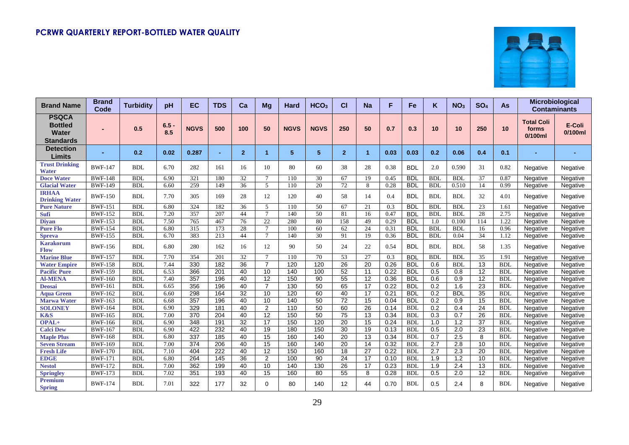

| <b>Brand Name</b>                                                  | <b>Brand</b><br>Code | <b>Turbidity</b> | рH             | EC          | <b>TDS</b> | Ca              | Mg              | Hard        | HCO <sub>3</sub> | СI             | <b>Na</b>            | F    | <b>Fe</b>  | Κ                | NO <sub>3</sub>  | SO <sub>4</sub> | As         | Microbiological<br><b>Contaminants</b>   |                   |
|--------------------------------------------------------------------|----------------------|------------------|----------------|-------------|------------|-----------------|-----------------|-------------|------------------|----------------|----------------------|------|------------|------------------|------------------|-----------------|------------|------------------------------------------|-------------------|
| <b>PSQCA</b><br><b>Bottled</b><br><b>Water</b><br><b>Standards</b> |                      | 0.5              | $6.5 -$<br>8.5 | <b>NGVS</b> | 500        | 100             | 50              | <b>NGVS</b> | <b>NGVS</b>      | 250            | 50                   | 0.7  | 0.3        | 10               | 10               | 250             | 10         | <b>Total Coli</b><br>forms<br>$0/100$ ml | E-Coli<br>0/100ml |
| <b>Detection</b><br>Limits                                         |                      | 0.2              | 0.02           | 0.287       | ٠          | $\overline{2}$  | 1               | 5           | 5                | $\overline{2}$ | $\blacktriangleleft$ | 0.03 | 0.03       | 0.2              | 0.06             | 0.4             | 0.1        |                                          |                   |
| <b>Trust Drinking</b><br><b>Water</b>                              | <b>BWF-147</b>       | <b>BDL</b>       | 6.70           | 282         | 161        | 16              | 10              | 80          | 60               | 38             | 28                   | 0.38 | <b>BDL</b> | 2.0              | 0.590            | 31              | 0.82       | Negative                                 | Negative          |
| <b>Doce Water</b>                                                  | <b>BWF-148</b>       | <b>BDL</b>       | 6.90           | 321         | 180        | 32              | $\tau$          | 110         | 30               | 67             | 19                   | 0.45 | <b>BDL</b> | <b>BDL</b>       | <b>BDL</b>       | 37              | 0.87       | Negative                                 | Negative          |
| <b>Glacial Water</b>                                               | <b>BWF-149</b>       | <b>BDL</b>       | 6.60           | 259         | 149        | 36              | 5               | 110         | 20               | 72             | 8                    | 0.28 | <b>BDL</b> | <b>BDL</b>       | 0.510            | 14              | 0.99       | Negative                                 | Negative          |
| <b>IRHAA</b><br><b>Drinking Water</b>                              | <b>BWF-150</b>       | <b>BDL</b>       | 7.70           | 305         | 169        | 28              | 12              | 120         | 40               | 58             | 14                   | 0.4  | <b>BDL</b> | <b>BDL</b>       | <b>BDL</b>       | 32              | 4.01       | Negative                                 | Negative          |
| <b>Pure Nature</b>                                                 | <b>BWF-151</b>       | <b>BDL</b>       | 6.80           | 324         | 182        | 36              | $\mathfrak{F}$  | 110         | 50               | 67             | 21                   | 0.3  | <b>BDL</b> | <b>BDI</b>       | <b>BDL</b>       | 23              | 1.61       | Negative                                 | Negative          |
| <b>Sufi</b>                                                        | <b>BWF-152</b>       | <b>BDL</b>       | 7.20           | 357         | 207        | 44              | $\tau$          | 140         | 50               | 81             | 16                   | 0.47 | <b>BDL</b> | <b>BDI</b>       | <b>BDL</b>       | 28              | 2.75       | Negative                                 | Negative          |
| <b>Divan</b>                                                       | <b>BWF-153</b>       | <b>BDL</b>       | 7.50           | 765         | 467        | 76              | 22              | 280         | 80               | 158            | 49                   | 0.29 | <b>BDL</b> | 1.0              | 0.100            | 114             | 1.22       | Negative                                 | Negative          |
| <b>Pure Flo</b>                                                    | <b>BWF-154</b>       | <b>BDL</b>       | 6.80           | 315         | 173        | 28              | $\tau$          | 100         | 60               | 62             | 24                   | 0.31 | <b>BDL</b> | <b>BDL</b>       | <b>BDL</b>       | 16              | 0.96       | Negative                                 | Negative          |
| <b>Spreva</b>                                                      | <b>BWF-155</b>       | <b>BDL</b>       | 6.70           | 383         | 213        | 44              | $\tau$          | 140         | 30               | 91             | 19                   | 0.36 | <b>BDL</b> | <b>BDL</b>       | 0.04             | 34              | 1.12       | Negative                                 | Negative          |
| Karakorum<br><b>Flow</b>                                           | <b>BWF-156</b>       | <b>BDL</b>       | 6.80           | 280         | 162        | 16              | 12              | 90          | 50               | 24             | 22                   | 0.54 | <b>BDL</b> | <b>BDL</b>       | <b>BDL</b>       | 58              | 1.35       | Negative                                 | Negative          |
| <b>Marine Blue</b>                                                 | <b>BWF-157</b>       | <b>BDL</b>       | 7.70           | 354         | 201        | 32              | $\tau$          | 110         | 70               | 53             | 27                   | 0.3  | <b>BDL</b> | <b>BDI</b>       | <b>BDL</b>       | 35              | 1.91       | Negative                                 | Negative          |
| <b>Water Empire</b>                                                | <b>BWF-158</b>       | <b>BDL</b>       | 7.44           | 330         | 182        | 36              | $\overline{7}$  | 120         | 120              | 26             | 20                   | 0.26 | <b>BDL</b> | 0.6              | <b>BDL</b>       | 13              | <b>BDL</b> | Negative                                 | Negative          |
| <b>Pacific Pure</b>                                                | <b>BWF-159</b>       | <b>BDL</b>       | 6.53           | 366         | 201        | 40              | 10              | 140         | 100              | 52             | 11                   | 0.22 | <b>BDL</b> | 0.5              | 0.8              | $\overline{12}$ | <b>BDL</b> | Negative                                 | Negative          |
| <b>Al-MENA</b>                                                     | <b>BWF-160</b>       | <b>BDL</b>       | 7.40           | 357         | 196        | 40              | 12              | 150         | 90               | 55             | 12                   | 0.36 | <b>BDL</b> | 0.6              | 0.9              | 12              | <b>BDL</b> | Negative                                 | Negative          |
| <b>Deosai</b>                                                      | <b>BWF-161</b>       | <b>BDL</b>       | 6.65           | 356         | 196        | 40              | $\overline{7}$  | 130         | $\overline{50}$  | 65             | $\overline{17}$      | 0.22 | <b>BDL</b> | 0.2              | 1.6              | 23              | <b>BDL</b> | Negative                                 | Negative          |
| <b>Aqua Green</b>                                                  | <b>BWF-162</b>       | <b>BDL</b>       | 6.60           | 298         | 164        | 32              | 10              | 120         | 60               | 40             | 17                   | 0.21 | <b>BDL</b> | 0.2              | <b>BDL</b>       | 35              | <b>BDL</b> | Negative                                 | Negative          |
| <b>Marwa Water</b>                                                 | <b>BWF-163</b>       | <b>BDL</b>       | 6.68           | 357         | 196        | 40              | 10              | 140         | 50               | 72             | 15                   | 0.04 | <b>BDL</b> | 0.2              | 0.9              | 15              | <b>BDL</b> | Negative                                 | Negative          |
| <b>SOLONEY</b>                                                     | <b>BWF-164</b>       | <b>BDI</b>       | 6.90           | 329         | 181        | 40              | 2               | 110         | 50               | 60             | 26                   | 0.14 | <b>BDL</b> | 0.2              | 0.4              | 24              | <b>BDL</b> | Negative                                 | Negative          |
| K&S                                                                | <b>BWF-165</b>       | <b>BDL</b>       | 7.00           | 370         | 204        | 40              | 12              | 150         | 50               | 75             | 13                   | 0.34 | <b>BDL</b> | 0.3              | 0.7              | 26              | <b>BDL</b> | Negative                                 | Negative          |
| OPAL+                                                              | <b>BWF-166</b>       | <b>BDL</b>       | 6.90           | 348         | 191        | 32              | 17              | 150         | 120              | 20             | 15                   | 0.24 | <b>BDL</b> | 1.0              | 1.2              | 37              | <b>BDL</b> | Negative                                 | Negative          |
| <b>Calci Dew</b>                                                   | <b>BWF-167</b>       | <b>BDL</b>       | 6.90           | 422         | 232        | 40              | 19              | 180         | 150              | 30             | 19                   | 0.13 | <b>BDL</b> | 0.5              | 2.0              | 23              | <b>BDL</b> | Negative                                 | Negative          |
| <b>Maple Plus</b>                                                  | <b>BWF-168</b>       | <b>BDI</b>       | 6.80           | 337         | 185        | 40              | 15              | 160         | 140              | 20             | $\overline{13}$      | 0.34 | <b>BDL</b> | 0.7              | 2.5              | 8               | <b>BDL</b> | Negative                                 | Negative          |
| <b>Seven Stream</b>                                                | <b>BWF-169</b>       | <b>BDL</b>       | 7.00           | 374         | 206        | 40              | $\overline{15}$ | 160         | 140              | 20             | $\overline{14}$      | 0.32 | <b>BDL</b> | 2.7              | $\overline{2.8}$ | 10              | <b>BDL</b> | Negative                                 | Negative          |
| <b>Fresh Life</b>                                                  | <b>BWF-170</b>       | <b>BDL</b>       | 7.10           | 404         | 222        | 40              | 12              | 150         | 160              | 18             | 27                   | 0.22 | <b>BDL</b> | 2.7              | 2.3              | 20              | <b>BDL</b> | Negative                                 | Negative          |
| <b>EDGE</b>                                                        | <b>BWF-171</b>       | <b>BDL</b>       | 6.80           | 264         | 145        | $\overline{36}$ | $\overline{2}$  | 100         | $\overline{90}$  | 24             | 17                   | 0.10 | <b>BDL</b> | $\overline{1.9}$ | $\overline{1.2}$ | $\overline{10}$ | <b>BDL</b> | Negative                                 | Negative          |
| <b>Nestol</b>                                                      | <b>BWF-172</b>       | <b>BDL</b>       | 7.00           | 362         | 199        | 40              | 10              | 140         | 130              | 26             | $\overline{17}$      | 0.23 | <b>BDL</b> | 1.9              | 2.4              | 13              | <b>BDL</b> | Negative                                 | Negative          |
| <b>Springley</b>                                                   | <b>BWF-173</b>       | <b>BDL</b>       | 7.02           | 351         | 193        | 40              | 15              | 160         | 80               | 55             | 8                    | 0.28 | <b>BDL</b> | 0.5              | 2.0              | $\overline{12}$ | <b>BDL</b> | Negative                                 | Negative          |
| <b>Premium</b><br><b>Spring</b>                                    | <b>BWF-174</b>       | <b>BDL</b>       | 7.01           | 322         | 177        | 32              | $\Omega$        | 80          | 140              | 12             | 44                   | 0.70 | <b>BDL</b> | 0.5              | 2.4              | 8               | <b>BDL</b> | Negative                                 | Negative          |